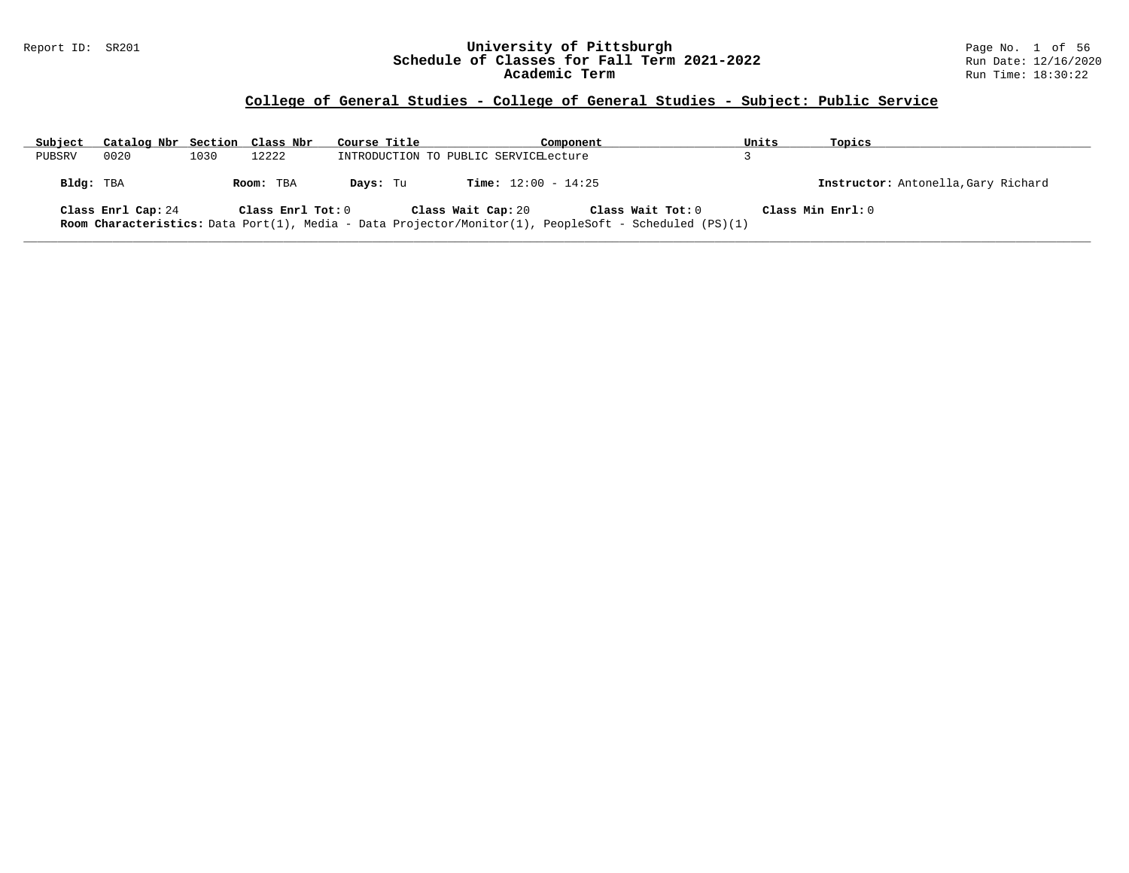### Report ID: SR201 **University of Pittsburgh** Page No. 1 of 56 **Schedule of Classes for Fall Term 2021-2022** Run Date: 12/16/2020 **Academic Term** Run Time: 18:30:22

# **College of General Studies - College of General Studies - Subject: Public Service**

| Subject   | Catalog Nbr Section Class Nbr |      |                   | Course Title                          |                              | Component                                                                                                                  | Units             | Topics                              |
|-----------|-------------------------------|------|-------------------|---------------------------------------|------------------------------|----------------------------------------------------------------------------------------------------------------------------|-------------------|-------------------------------------|
| PUBSRV    | 0020                          | 1030 | 12222             | INTRODUCTION TO PUBLIC SERVICELecture |                              |                                                                                                                            |                   |                                     |
| Bldg: TBA |                               |      | Room: TBA         | Davs: Tu                              | <b>Time:</b> $12:00 - 14:25$ |                                                                                                                            |                   | Instructor: Antonella, Gary Richard |
|           | Class Enrl Cap: 24            |      | Class Enrl Tot: 0 |                                       | Class Wait Cap: 20           | Class Wait Tot: 0<br>Room Characteristics: Data Port(1), Media - Data Projector/Monitor(1), PeopleSoft - Scheduled (PS)(1) | Class Min Enrl: 0 |                                     |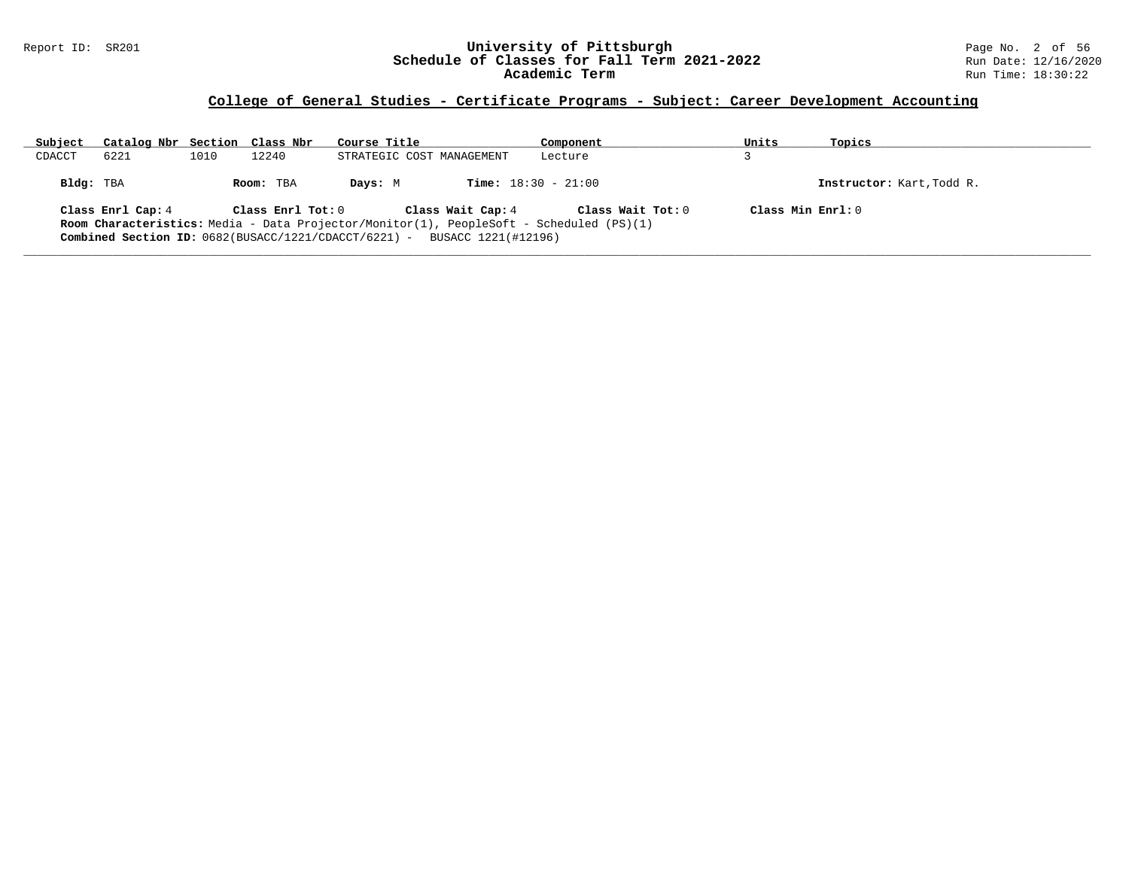### Report ID: SR201 **University of Pittsburgh** Page No. 2 of 56 **Schedule of Classes for Fall Term 2021-2022** Run Date: 12/16/2020 **Academic Term** Run Time: 18:30:22

### **College of General Studies - Certificate Programs - Subject: Career Development Accounting**

| Subject   | Catalog Nbr Section Class Nbr                        |      |                   | Course Title              |                              | Component                                                                                      | Units              | Topics                    |
|-----------|------------------------------------------------------|------|-------------------|---------------------------|------------------------------|------------------------------------------------------------------------------------------------|--------------------|---------------------------|
| CDACCT    | 6221                                                 | 1010 | 12240             | STRATEGIC COST MANAGEMENT |                              | Lecture                                                                                        |                    |                           |
| Bldg: TBA |                                                      |      | Room: TBA         | Davs: M                   | <b>Time:</b> $18:30 - 21:00$ |                                                                                                |                    | Instructor: Kart, Todd R. |
|           | Class Enrl Cap: 4                                    |      | Class Enrl Tot: 0 |                           | Class Wait Cap: 4            | Class Wait Tot: 0                                                                              | Class Min $Err1:0$ |                           |
|           |                                                      |      |                   |                           |                              | <b>Room Characteristics:</b> Media - Data Projector/Monitor(1), PeopleSoft - Scheduled (PS)(1) |                    |                           |
|           | Combined Section ID: 0682(BUSACC/1221/CDACCT/6221) - |      |                   |                           | BUSACC 1221(#12196)          |                                                                                                |                    |                           |
|           |                                                      |      |                   |                           |                              |                                                                                                |                    |                           |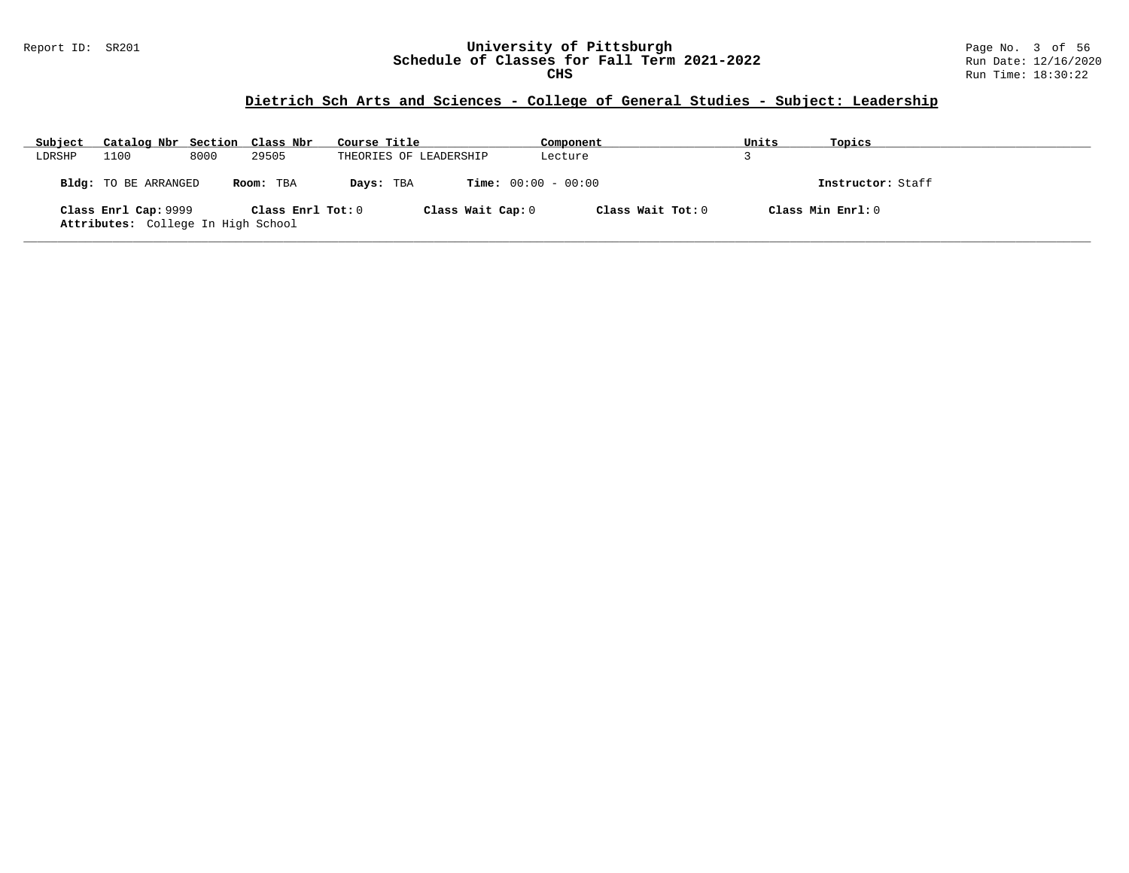#### Report ID: SR201 **University of Pittsburgh** Page No. 3 of 56 **Schedule of Classes for Fall Term 2021-2022** Run Date: 12/16/2020 **CHS** Run Time: 18:30:22

### **Dietrich Sch Arts and Sciences - College of General Studies - Subject: Leadership**

| Subject | Catalog Nbr Section Class Nbr                              |      |                   | Course Title           | Component             | Units | Topics            |
|---------|------------------------------------------------------------|------|-------------------|------------------------|-----------------------|-------|-------------------|
| LDRSHP  | 1100                                                       | 8000 | 29505             | THEORIES OF LEADERSHIP | Lecture               |       |                   |
|         | Bldg: TO BE ARRANGED                                       |      | Room: TBA         | Days: TBA              | $Time: 00:00 - 00:00$ |       | Instructor: Staff |
|         | Class Enrl Cap: 9999<br>Attributes: College In High School |      | Class Enrl Tot: 0 | Class Wait Cap: 0      | Class Wait Tot: 0     |       | Class Min Enrl: 0 |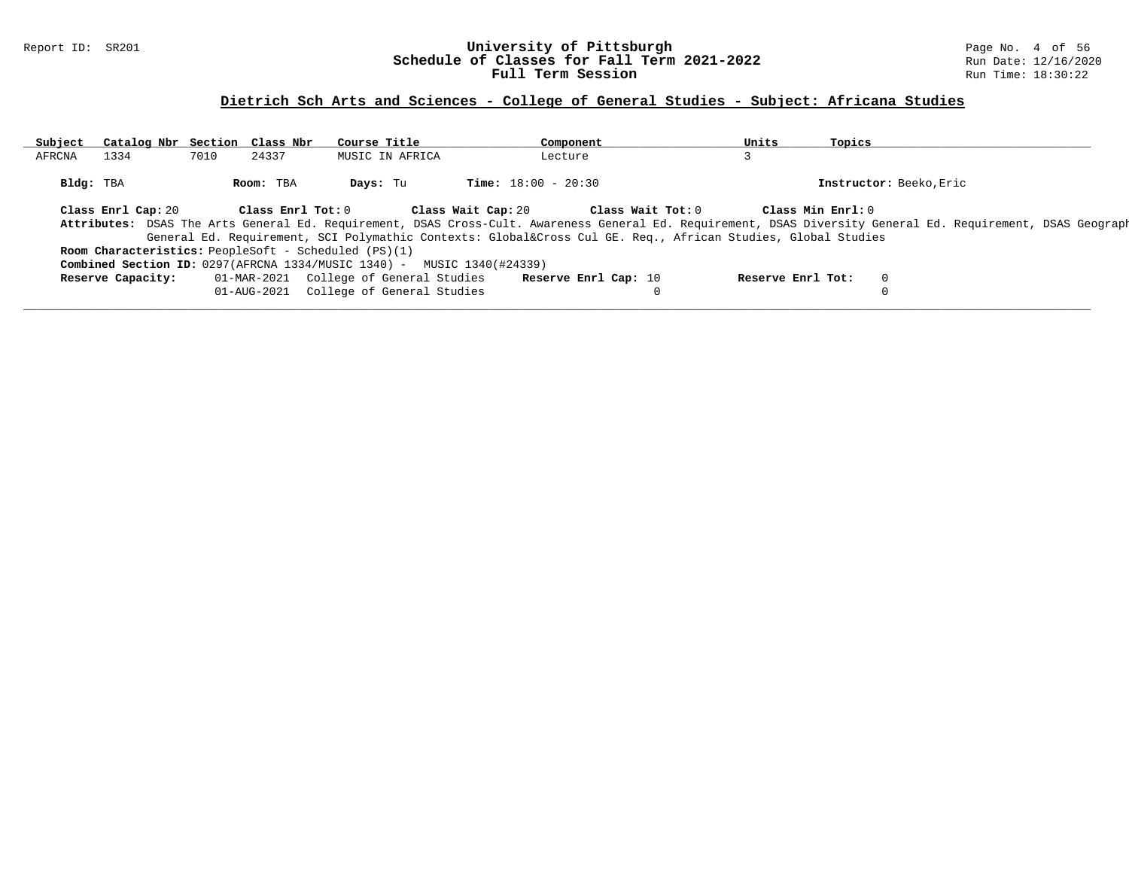### Report ID: SR201 **University of Pittsburgh** Page No. 4 of 56 **Schedule of Classes for Fall Term 2021-2022** Run Date: 12/16/2020 **Full Term Session Rundall Term Session Rundall Term Session**

# **Dietrich Sch Arts and Sciences - College of General Studies - Subject: Africana Studies**

| Subject   | Catalog Nbr Section Class Nbr |      |                   | Course Title                                                                    | Component                                                                                               | Units             | Topics                  |                                                                                                                                                              |
|-----------|-------------------------------|------|-------------------|---------------------------------------------------------------------------------|---------------------------------------------------------------------------------------------------------|-------------------|-------------------------|--------------------------------------------------------------------------------------------------------------------------------------------------------------|
| AFRCNA    | 1334                          | 7010 | 24337             | MUSIC IN AFRICA                                                                 | Lecture                                                                                                 |                   |                         |                                                                                                                                                              |
| Bldg: TBA |                               |      | Room: TBA         | Days: Tu                                                                        | <b>Time:</b> $18:00 - 20:30$                                                                            |                   | Instructor: Beeko, Eric |                                                                                                                                                              |
|           | Class Enrl Cap: 20            |      | Class Enrl Tot: 0 |                                                                                 | Class Wait Cap: 20<br>Class Wait Tot: 0                                                                 |                   | Class Min Enrl: 0       |                                                                                                                                                              |
|           |                               |      |                   |                                                                                 |                                                                                                         |                   |                         | Attributes: DSAS The Arts General Ed. Requirement, DSAS Cross-Cult. Awareness General Ed. Requirement, DSAS Diversity General Ed. Requirement, DSAS Geograph |
|           |                               |      |                   |                                                                                 | General Ed. Requirement, SCI Polymathic Contexts: Global⨯ Cul GE. Req., African Studies, Global Studies |                   |                         |                                                                                                                                                              |
|           |                               |      |                   | Room Characteristics: PeopleSoft - Scheduled (PS)(1)                            |                                                                                                         |                   |                         |                                                                                                                                                              |
|           |                               |      |                   | <b>Combined Section ID:</b> $0297(AFRCNA 1334/MUSIC 1340) - MUSIC 1340(#24339)$ |                                                                                                         |                   |                         |                                                                                                                                                              |
|           | Reserve Capacity:             |      |                   | 01-MAR-2021 College of General Studies                                          | Reserve Enrl Cap: 10                                                                                    | Reserve Enrl Tot: | 0                       |                                                                                                                                                              |
|           |                               |      | 01-AUG-2021       | College of General Studies                                                      |                                                                                                         |                   |                         |                                                                                                                                                              |
|           |                               |      |                   |                                                                                 |                                                                                                         |                   |                         |                                                                                                                                                              |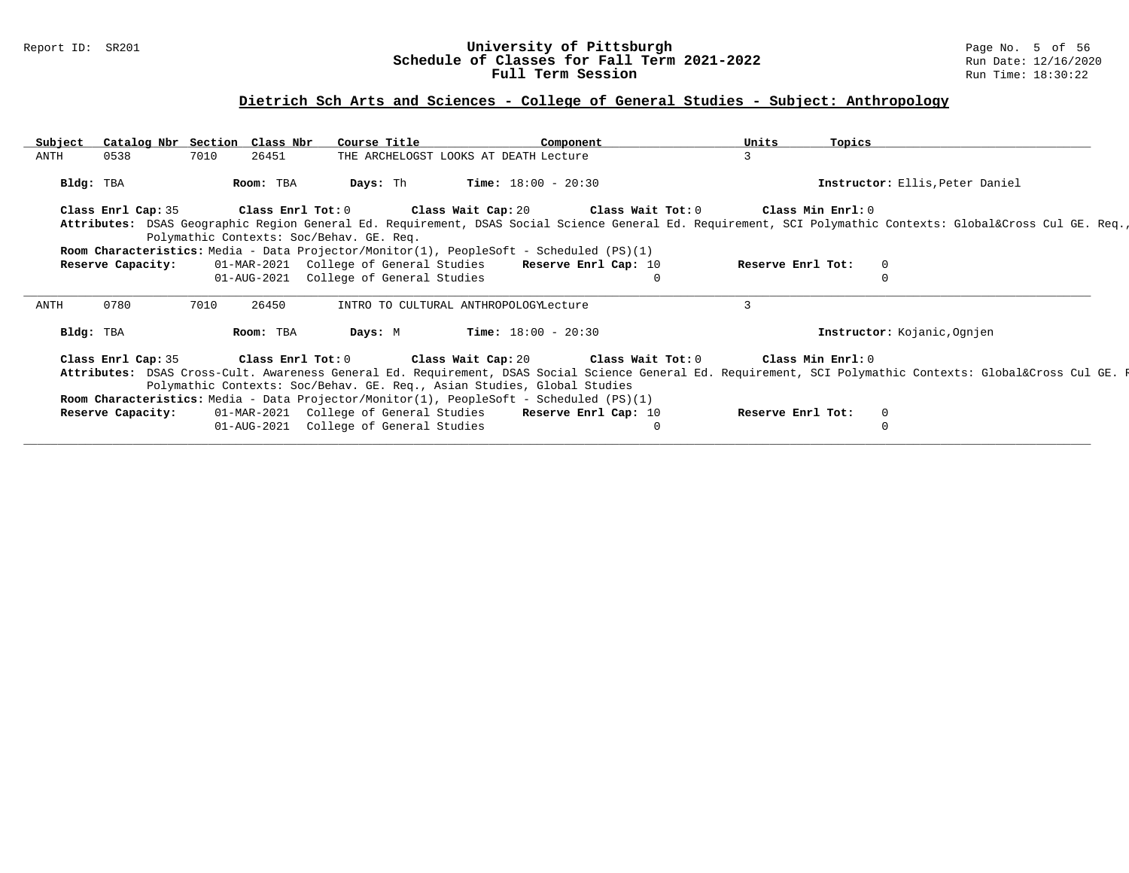### Report ID: SR201 **University of Pittsburgh** Page No. 5 of 56 **Schedule of Classes for Fall Term 2021-2022** Run Date: 12/16/2020 **Full Term Session Rundall Term Session Rundall Term Session**

# **Dietrich Sch Arts and Sciences - College of General Studies - Subject: Anthropology**

| Subject   | Catalog Nbr Section Class Nbr |      |           | Course Title                             | Component                                                                                                                                                                                                                          | Units             | Topics                          |  |
|-----------|-------------------------------|------|-----------|------------------------------------------|------------------------------------------------------------------------------------------------------------------------------------------------------------------------------------------------------------------------------------|-------------------|---------------------------------|--|
| ANTH      | 0538                          | 7010 | 26451     |                                          | THE ARCHELOGST LOOKS AT DEATH Lecture                                                                                                                                                                                              | 3                 |                                 |  |
| Bldg: TBA |                               |      | Room: TBA | Days: Th                                 | <b>Time:</b> $18:00 - 20:30$                                                                                                                                                                                                       |                   | Instructor: Ellis, Peter Daniel |  |
|           |                               |      |           |                                          | Class Enrl Cap: 35 Class Enrl Tot: 0 Class Wait Cap: 20 Class Wait Tot: 0 Class Min Enrl: 0                                                                                                                                        |                   |                                 |  |
|           |                               |      |           |                                          | Attributes: DSAS Geographic Region General Ed. Requirement, DSAS Social Science General Ed. Requirement, SCI Polymathic Contexts: Global⨯ Cul GE. Req.,                                                                            |                   |                                 |  |
|           |                               |      |           | Polymathic Contexts: Soc/Behav. GE. Req. |                                                                                                                                                                                                                                    |                   |                                 |  |
|           |                               |      |           |                                          | <b>Room Characteristics:</b> Media - Data Projector/Monitor(1), PeopleSoft - Scheduled (PS)(1)                                                                                                                                     |                   |                                 |  |
|           | Reserve Capacity:             |      |           |                                          | 01-MAR-2021 College of General Studies Reserve Enrl Cap: 10                                                                                                                                                                        | Reserve Enrl Tot: | $\Omega$                        |  |
|           |                               |      |           | 01-AUG-2021 College of General Studies   | $\Omega$                                                                                                                                                                                                                           |                   |                                 |  |
| ANTH      | 0780                          | 7010 | 26450     |                                          | INTRO TO CULTURAL ANTHROPOLOGYLecture                                                                                                                                                                                              | 3                 |                                 |  |
| Bldg: TBA |                               |      | Room: TBA | Days: M                                  | $Time: 18:00 - 20:30$                                                                                                                                                                                                              |                   | Instructor: Kojanic, Ognjen     |  |
|           |                               |      |           |                                          | Class Enrl Cap: 35 Class Enrl Tot: 0 Class Wait Cap: 20 Class Wait Tot: 0 Class Min Enrl: 0                                                                                                                                        |                   |                                 |  |
|           |                               |      |           |                                          | Attributes: DSAS Cross-Cult. Awareness General Ed. Requirement, DSAS Social Science General Ed. Requirement, SCI Polymathic Contexts: Global⨯ Cul GE. F<br>Polymathic Contexts: Soc/Behav. GE. Req., Asian Studies, Global Studies |                   |                                 |  |
|           |                               |      |           |                                          | Room Characteristics: Media - Data Projector/Monitor(1), PeopleSoft - Scheduled (PS)(1)                                                                                                                                            |                   |                                 |  |
|           | Reserve Capacity:             |      |           | 01-AUG-2021 College of General Studies   | 01-MAR-2021 College of General Studies Reserve Enrl Cap: 10<br>$\Omega$                                                                                                                                                            | Reserve Enrl Tot: | $\overline{0}$                  |  |
|           |                               |      |           |                                          |                                                                                                                                                                                                                                    |                   |                                 |  |
|           |                               |      |           |                                          |                                                                                                                                                                                                                                    |                   |                                 |  |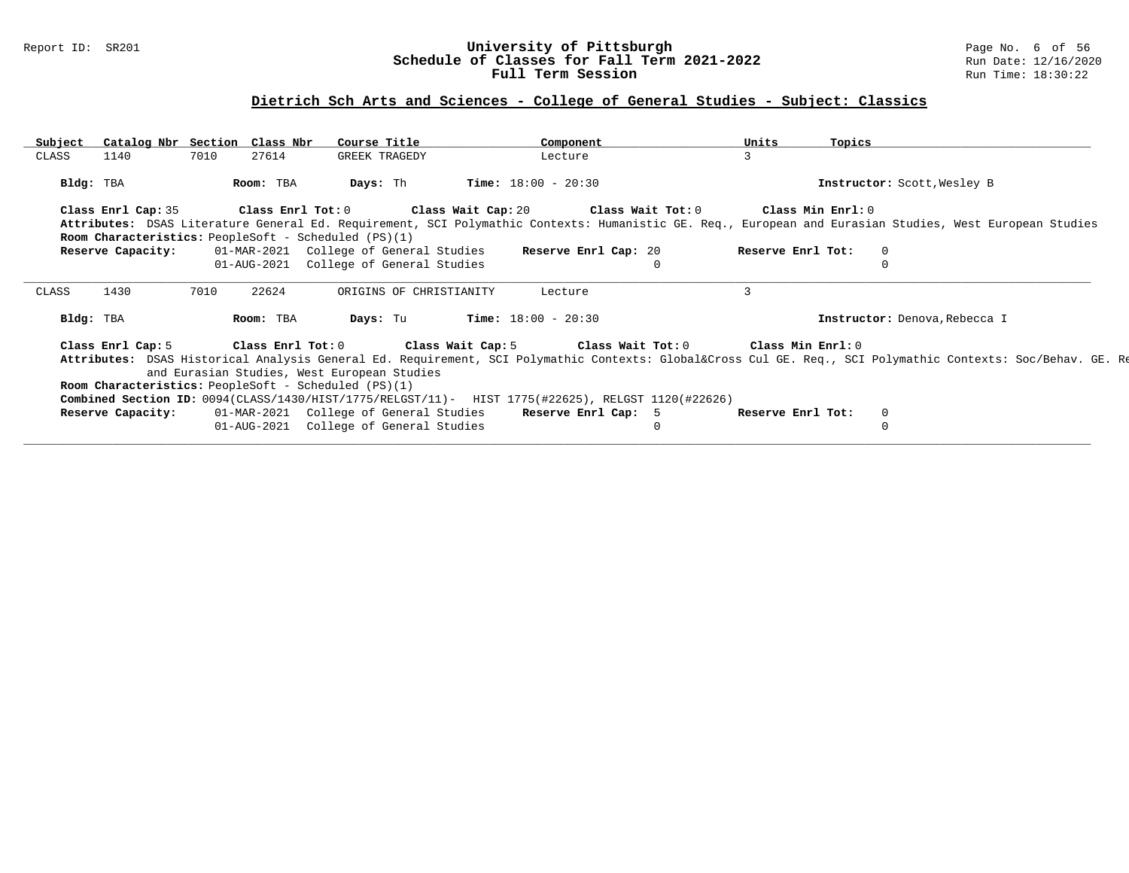### Report ID: SR201 **University of Pittsburgh** Page No. 6 of 56 **Schedule of Classes for Fall Term 2021-2022** Run Date: 12/16/2020 **Full Term Session Rundall Term Session Rundall Term Session**

# **Dietrich Sch Arts and Sciences - College of General Studies - Subject: Classics**

| Subject   |                   | Catalog Nbr Section Class Nbr                               | Course Title               | Component                                                                                         | Units             | Topics                                                                                                                                                  |
|-----------|-------------------|-------------------------------------------------------------|----------------------------|---------------------------------------------------------------------------------------------------|-------------------|---------------------------------------------------------------------------------------------------------------------------------------------------------|
| CLASS     | 1140              | 7010<br>27614                                               | GREEK TRAGEDY              | Lecture                                                                                           | 3                 |                                                                                                                                                         |
| Bldg: TBA |                   | Room: TBA                                                   | Days: Th                   | <b>Time:</b> $18:00 - 20:30$                                                                      |                   | Instructor: Scott, Wesley B                                                                                                                             |
|           |                   |                                                             |                            | Class Enrl Cap: 35 Class Enrl Tot: 0 Class Wait Cap: 20 Class Wait Tot: 0 Class Min Enrl: 0       |                   |                                                                                                                                                         |
|           |                   |                                                             |                            |                                                                                                   |                   | Attributes: DSAS Literature General Ed. Requirement, SCI Polymathic Contexts: Humanistic GE. Req., European and Eurasian Studies, West European Studies |
|           |                   | <b>Room Characteristics:</b> PeopleSoft - Scheduled (PS)(1) |                            |                                                                                                   |                   |                                                                                                                                                         |
|           | Reserve Capacity: |                                                             |                            | 01-MAR-2021 College of General Studies Reserve Enrl Cap: 20                                       | Reserve Enrl Tot: | $\mathbf{0}$                                                                                                                                            |
|           |                   | 01-AUG-2021                                                 | College of General Studies |                                                                                                   |                   |                                                                                                                                                         |
|           |                   |                                                             |                            |                                                                                                   |                   |                                                                                                                                                         |
| CLASS     | 1430              | 22624<br>7010                                               | ORIGINS OF CHRISTIANITY    | Lecture                                                                                           | 3                 |                                                                                                                                                         |
| Bldg: TBA |                   | Room: TBA                                                   | Days: Tu                   | <b>Time:</b> $18:00 - 20:30$                                                                      |                   | Instructor: Denova, Rebecca I                                                                                                                           |
|           |                   |                                                             |                            | Class Enrl Cap: 5 Class Enrl Tot: 0 Class Wait Cap: 5 Class Wait Tot: 0 Class Min Enrl: 0         |                   |                                                                                                                                                         |
|           |                   |                                                             |                            |                                                                                                   |                   | Attributes: DSAS Historical Analysis General Ed. Requirement, SCI Polymathic Contexts: Global⨯ Cul GE. Req., SCI Polymathic Contexts: Soc/Behav. GE. Re |
|           |                   | and Eurasian Studies, West European Studies                 |                            |                                                                                                   |                   |                                                                                                                                                         |
|           |                   | <b>Room Characteristics:</b> PeopleSoft - Scheduled (PS)(1) |                            |                                                                                                   |                   |                                                                                                                                                         |
|           |                   |                                                             |                            | Combined Section ID: 0094(CLASS/1430/HIST/1775/RELGST/11)- HIST 1775(#22625), RELGST 1120(#22626) |                   |                                                                                                                                                         |
|           | Reserve Capacity: |                                                             |                            | 01-MAR-2021 College of General Studies Reserve Enrl Cap: 5                                        | Reserve Enrl Tot: | 0                                                                                                                                                       |
|           |                   | 01-AUG-2021                                                 | College of General Studies |                                                                                                   |                   |                                                                                                                                                         |
|           |                   |                                                             |                            |                                                                                                   |                   |                                                                                                                                                         |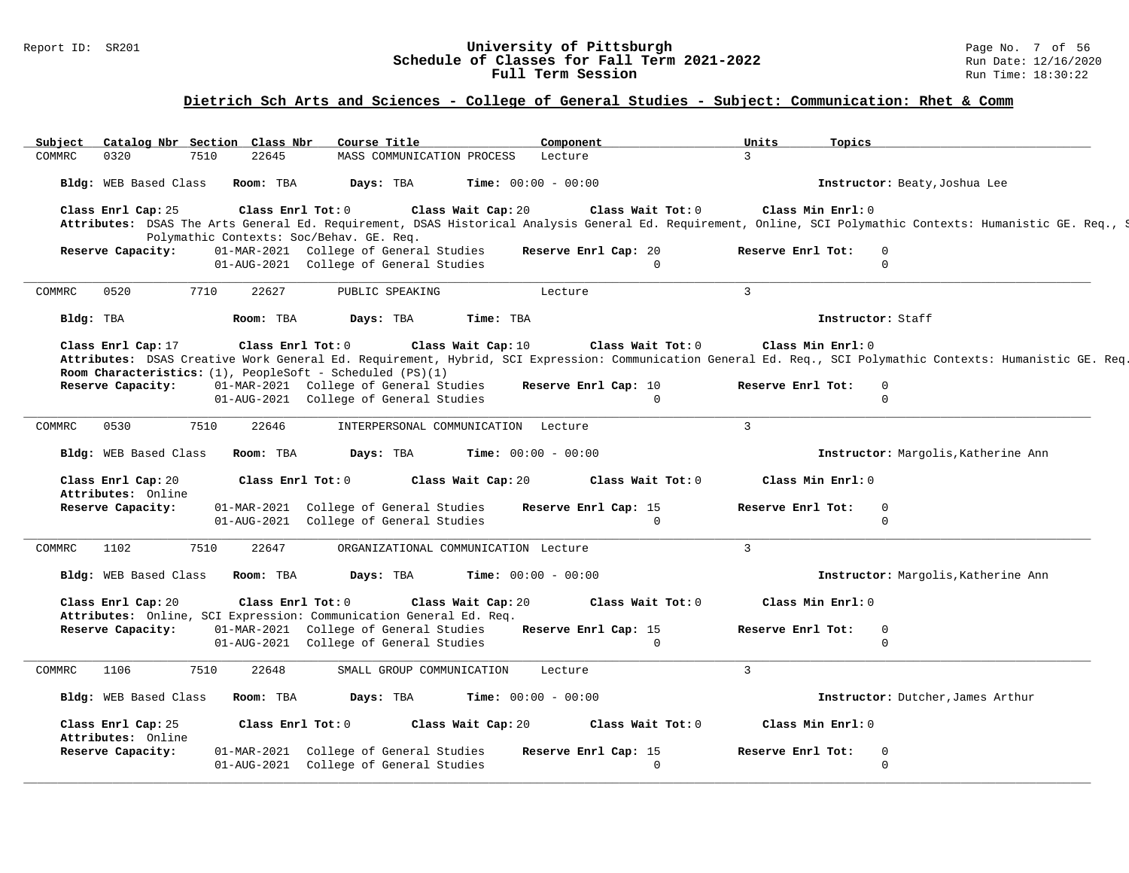### Report ID: SR201 **1988 Construment Superversity of Pittsburgh** Page No. 7 of 56 and Page No. 7 of 56 and Page No<br>**Schedule of Classes for Fall Term 2021-2022** 2011 Page 12/16/2020 **Schedule of Classes for Fall Term 2021-2022** Run Date: 12/16/2020 **Full Term Session Rundall Term Session Rundall Term Session**

### **Dietrich Sch Arts and Sciences - College of General Studies - Subject: Communication: Rhet & Comm**

| Subject                                                                                  | Catalog Nbr Section Class Nbr | Course Title                                                                     | Component                            |                                  | Units<br>Topics   |                                                                                                                                                              |
|------------------------------------------------------------------------------------------|-------------------------------|----------------------------------------------------------------------------------|--------------------------------------|----------------------------------|-------------------|--------------------------------------------------------------------------------------------------------------------------------------------------------------|
| COMMRC<br>0320<br>7510                                                                   | 22645                         | MASS COMMUNICATION PROCESS                                                       | Lecture                              |                                  | $\mathcal{L}$     |                                                                                                                                                              |
| Bldg: WEB Based Class Room: TBA                                                          |                               | Days: TBA                                                                        | <b>Time:</b> $00:00 - 00:00$         |                                  |                   | Instructor: Beaty, Joshua Lee                                                                                                                                |
| Class Enrl Cap: 25                                                                       | Class Enrl Tot: 0             | Polymathic Contexts: Soc/Behav. GE. Req.                                         | Class Wait Cap: 20                   | Class Wait Tot: 0                | Class Min Enrl: 0 | Attributes: DSAS The Arts General Ed. Requirement, DSAS Historical Analysis General Ed. Requirement, Online, SCI Polymathic Contexts: Humanistic GE. Req., S |
| Reserve Capacity:                                                                        |                               | 01-MAR-2021 College of General Studies<br>01-AUG-2021 College of General Studies |                                      | Reserve Enrl Cap: 20<br>$\Omega$ | Reserve Enrl Tot: | $\mathbf{0}$<br>$\mathbf 0$                                                                                                                                  |
| 0520<br>7710<br><b>COMMRC</b>                                                            | 22627                         | PUBLIC SPEAKING                                                                  | Lecture                              |                                  | $\overline{3}$    |                                                                                                                                                              |
| Bldg: TBA                                                                                | Room: TBA                     | Days: TBA                                                                        | Time: TBA                            |                                  | Instructor: Staff |                                                                                                                                                              |
| Class Enrl Cap: 17<br>Room Characteristics: $(1)$ , PeopleSoft - Scheduled $(PS)(1)$     | Class Enrl Tot: 0             |                                                                                  | Class Wait Cap: 10                   | Class Wait Tot: 0                | Class Min Enrl: 0 | Attributes: DSAS Creative Work General Ed. Requirement, Hybrid, SCI Expression: Communication General Ed. Req., SCI Polymathic Contexts: Humanistic GE. Req. |
| Reserve Capacity:                                                                        |                               | 01-MAR-2021 College of General Studies<br>01-AUG-2021 College of General Studies |                                      | Reserve Enrl Cap: 10<br>$\Omega$ | Reserve Enrl Tot: | $\mathbf 0$<br>$\mathbf{0}$                                                                                                                                  |
| 7510<br>COMMRC<br>0530                                                                   | 22646                         |                                                                                  | INTERPERSONAL COMMUNICATION Lecture  |                                  | $\mathbf{3}$      |                                                                                                                                                              |
| Bldg: WEB Based Class                                                                    | Room: TBA                     | Days: TBA                                                                        | <b>Time:</b> $00:00 - 00:00$         |                                  |                   | Instructor: Margolis, Katherine Ann                                                                                                                          |
| Class Enrl Cap: 20<br>Attributes: Online                                                 | Class Enrl Tot: 0             |                                                                                  | Class Wait Cap: 20                   | Class Wait Tot: 0                | Class Min Enrl: 0 |                                                                                                                                                              |
| Reserve Capacity:                                                                        |                               | 01-MAR-2021 College of General Studies                                           |                                      | Reserve Enrl Cap: 15             | Reserve Enrl Tot: | $\mathbf 0$                                                                                                                                                  |
|                                                                                          |                               | 01-AUG-2021 College of General Studies                                           |                                      | $\Omega$                         |                   | $\Omega$                                                                                                                                                     |
| 7510<br><b>COMMRC</b><br>1102                                                            | 22647                         |                                                                                  | ORGANIZATIONAL COMMUNICATION Lecture |                                  | $\overline{3}$    |                                                                                                                                                              |
| Bldg: WEB Based Class                                                                    | Room: TBA                     | Days: TBA                                                                        | <b>Time:</b> $00:00 - 00:00$         |                                  |                   | Instructor: Margolis, Katherine Ann                                                                                                                          |
| Class Enrl Cap: 20<br>Attributes: Online, SCI Expression: Communication General Ed. Req. | Class Enrl Tot: 0             |                                                                                  | Class Wait Cap: 20                   | Class Wait Tot: 0                | Class Min Enrl: 0 |                                                                                                                                                              |
| Reserve Capacity:                                                                        |                               | 01-MAR-2021 College of General Studies<br>01-AUG-2021 College of General Studies |                                      | Reserve Enrl Cap: 15<br>$\Omega$ | Reserve Enrl Tot: | $\mathbf 0$<br>$\Omega$                                                                                                                                      |
| 1106<br>7510<br><b>COMMRC</b>                                                            | 22648                         | SMALL GROUP COMMUNICATION                                                        | Lecture                              |                                  | $\overline{3}$    |                                                                                                                                                              |
|                                                                                          |                               | Days: TBA                                                                        | <b>Time:</b> $00:00 - 00:00$         |                                  |                   | Instructor: Dutcher, James Arthur                                                                                                                            |
| Bldg: WEB Based Class                                                                    | Room: TBA                     |                                                                                  |                                      |                                  |                   |                                                                                                                                                              |
| Class Enrl Cap: 25                                                                       | Class Enrl Tot: 0             |                                                                                  | Class Wait Cap: 20                   | Class Wait Tot: 0                | Class Min Enrl: 0 |                                                                                                                                                              |
| Attributes: Online<br>Reserve Capacity:                                                  |                               | 01-MAR-2021 College of General Studies<br>01-AUG-2021 College of General Studies |                                      | Reserve Enrl Cap: 15<br>$\Omega$ | Reserve Enrl Tot: | $\mathbf 0$<br>$\Omega$                                                                                                                                      |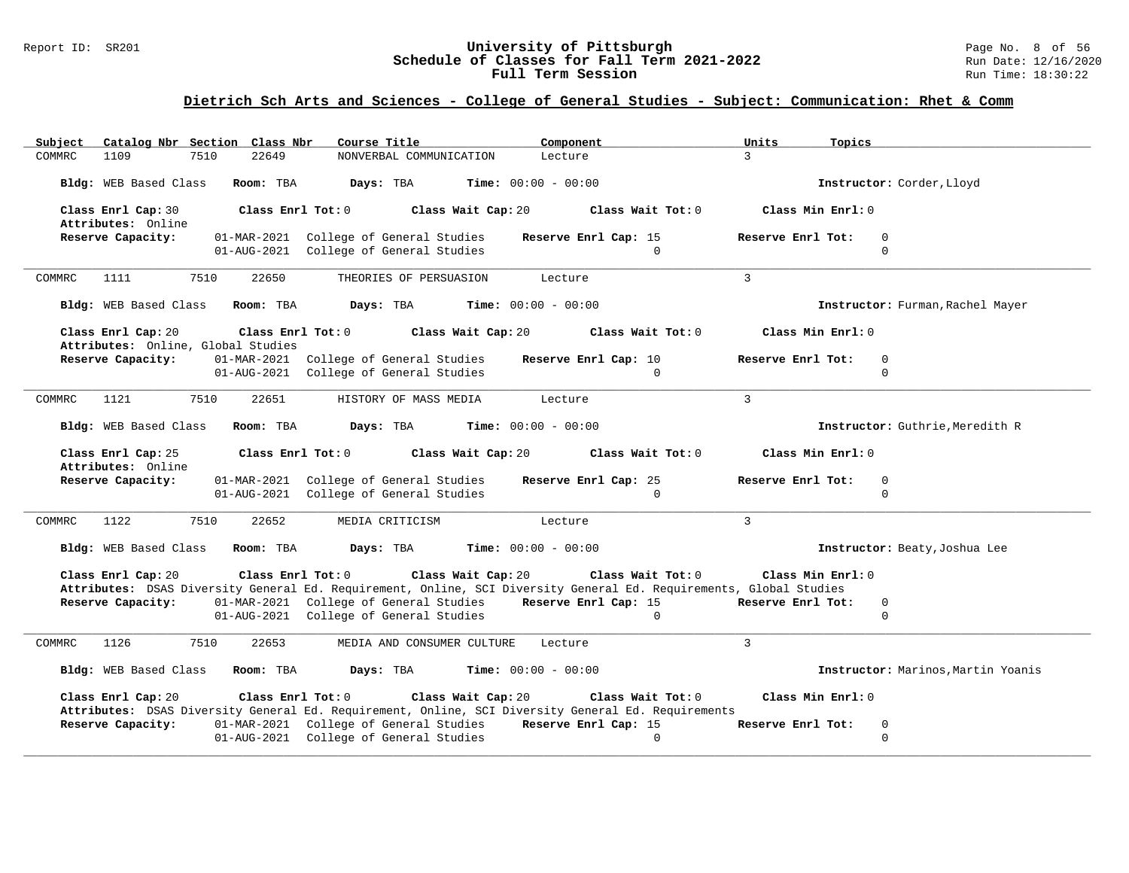### Report ID: SR201 **1988 Construment Superversity of Pittsburgh** Page No. 8 of 56 and Page No. 8 of 56 and Page No<br>**Schedule of Classes for Fall Term 2021-2022** 2011 Page 12/16/2020 **Schedule of Classes for Fall Term 2021-2022** Run Date: 12/16/2020 **Full Term Session Rundall Term Session Rundall Term Session**

# **Dietrich Sch Arts and Sciences - College of General Studies - Subject: Communication: Rhet & Comm**

| Catalog Nbr Section Class Nbr<br>Subject                 | Course Title                                                                                                                               |                                    | Component<br>Units                                                                                                                      | Topics                                       |
|----------------------------------------------------------|--------------------------------------------------------------------------------------------------------------------------------------------|------------------------------------|-----------------------------------------------------------------------------------------------------------------------------------------|----------------------------------------------|
| 1109<br>7510<br>COMMRC                                   | 22649                                                                                                                                      | NONVERBAL COMMUNICATION<br>Lecture | $\mathbf{R}$                                                                                                                            |                                              |
| Bldg: WEB Based Class Room: TBA                          | Days: TBA                                                                                                                                  | <b>Time:</b> $00:00 - 00:00$       |                                                                                                                                         | Instructor: Corder, Lloyd                    |
| Class Enrl Cap: 30<br>Attributes: Online                 | Class Enrl Tot: 0                                                                                                                          | Class Wait Cap: 20                 | Class Wait Tot: 0                                                                                                                       | Class Min Enrl: 0                            |
| Reserve Capacity:                                        | 01-MAR-2021 College of General Studies<br>01-AUG-2021 College of General Studies                                                           |                                    | Reserve Enrl Cap: 15<br>$\Omega$                                                                                                        | Reserve Enrl Tot:<br>$\mathbf 0$<br>$\Omega$ |
| 7510<br>COMMRC<br>1111                                   | 22650                                                                                                                                      | THEORIES OF PERSUASION<br>Lecture  | $\mathcal{L}$                                                                                                                           |                                              |
| Bldg: WEB Based Class                                    | Room: TBA<br>Days: TBA                                                                                                                     | <b>Time:</b> $00:00 - 00:00$       |                                                                                                                                         | Instructor: Furman, Rachel Mayer             |
| Class Enrl Cap: 20<br>Attributes: Online, Global Studies | Class Enrl Tot: 0                                                                                                                          | Class Wait Cap: 20                 | Class Wait Tot: 0                                                                                                                       | Class Min Enrl: 0                            |
| Reserve Capacity:                                        | 01-MAR-2021 College of General Studies                                                                                                     |                                    | Reserve Enrl Cap: 10                                                                                                                    | Reserve Enrl Tot:<br>$\overline{0}$          |
|                                                          | 01-AUG-2021 College of General Studies                                                                                                     |                                    | $\Omega$                                                                                                                                | $\Omega$                                     |
| 1121<br>7510<br>COMMRC                                   | 22651                                                                                                                                      | HISTORY OF MASS MEDIA<br>Lecture   | 3                                                                                                                                       |                                              |
| Bldg: WEB Based Class                                    | Room: TBA<br>Days: TBA                                                                                                                     | <b>Time:</b> $00:00 - 00:00$       |                                                                                                                                         | Instructor: Guthrie, Meredith R              |
| Class Enrl Cap: 25<br>Attributes: Online                 | Class Enrl Tot: 0                                                                                                                          | Class Wait Cap: 20                 | Class Wait Tot: 0                                                                                                                       | Class Min Enrl: 0                            |
| Reserve Capacity:                                        | 01-MAR-2021 College of General Studies<br>01-AUG-2021 College of General Studies                                                           |                                    | Reserve Enrl Cap: 25<br>$\Omega$                                                                                                        | Reserve Enrl Tot:<br>$\mathbf 0$<br>$\Omega$ |
| 1122<br>7510<br>COMMRC                                   | 22652<br>MEDIA CRITICISM                                                                                                                   | Lecture                            | $\mathbf{3}$                                                                                                                            |                                              |
| Bldg: WEB Based Class Room: TBA                          | Days: TBA                                                                                                                                  | <b>Time:</b> $00:00 - 00:00$       |                                                                                                                                         | Instructor: Beaty, Joshua Lee                |
| Class Enrl Cap: 20                                       | Class Enrl Tot: 0                                                                                                                          | Class Wait Cap: 20                 | Class Wait Tot: 0<br>Attributes: DSAS Diversity General Ed. Requirement, Online, SCI Diversity General Ed. Requirements, Global Studies | Class Min Enrl: 0                            |
| Reserve Capacity:                                        | 01-MAR-2021 College of General Studies Reserve Enrl Cap: 15                                                                                |                                    |                                                                                                                                         | Reserve Enrl Tot:<br>$\overline{0}$          |
|                                                          | 01-AUG-2021 College of General Studies                                                                                                     |                                    | $\overline{0}$                                                                                                                          | $\mathbf 0$                                  |
| 1126<br>7510<br>COMMRC                                   | 22653                                                                                                                                      | MEDIA AND CONSUMER CULTURE Lecture | $\mathbf{3}$                                                                                                                            |                                              |
| Bldg: WEB Based Class Room: TBA                          | Days: TBA                                                                                                                                  | <b>Time:</b> $00:00 - 00:00$       |                                                                                                                                         | Instructor: Marinos, Martin Yoanis           |
| Class Enrl Cap: 20                                       | Class Enrl Tot: 0 Class Wait Cap: 20<br>Attributes: DSAS Diversity General Ed. Requirement, Online, SCI Diversity General Ed. Requirements |                                    | Class Wait Tot: 0                                                                                                                       | Class Min Enrl: 0                            |
| Reserve Capacity:                                        | 01-MAR-2021 College of General Studies Reserve Enrl Cap: 15                                                                                |                                    |                                                                                                                                         | Reserve Enrl Tot:<br>$\mathbf 0$             |
|                                                          | 01-AUG-2021 College of General Studies                                                                                                     |                                    | $\Omega$                                                                                                                                | $\Omega$                                     |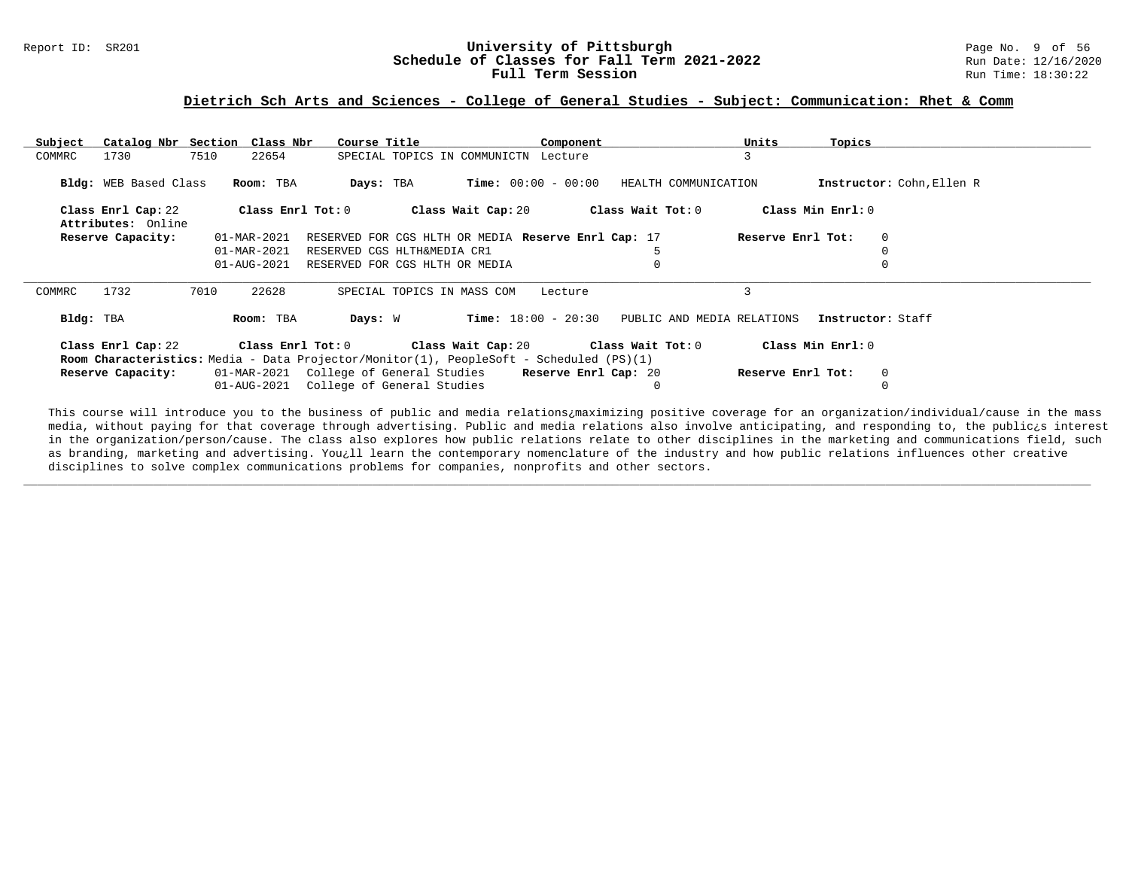#### Report ID: SR201 **1988 Constructed Supervisity of Pittsburgh** Page No. 9 of 56 **University of Pittsburgh** Page No. 9 of 56 **Schedule of Classes for Fall Term 2021-2022** Run Date: 12/16/2020 **Schedule of Classes for Fall Term 2021-2022** Run Date: 12/16/2021<br>**Full Term Session** Run Time: 18:30:22 Full Term Session

#### **Dietrich Sch Arts and Sciences - College of General Studies - Subject: Communication: Rhet & Comm**

| Subject   | Catalog Nbr Section Class Nbr |      |                                                      | Course Title                                                                                   |                                      |         | Component |                            | Units             | Topics            |                           |
|-----------|-------------------------------|------|------------------------------------------------------|------------------------------------------------------------------------------------------------|--------------------------------------|---------|-----------|----------------------------|-------------------|-------------------|---------------------------|
| COMMRC    | 1730                          | 7510 | 22654                                                |                                                                                                | SPECIAL TOPICS IN COMMUNICTN Lecture |         |           |                            | 3                 |                   |                           |
|           |                               |      |                                                      |                                                                                                |                                      |         |           |                            |                   |                   |                           |
|           | Bldg: WEB Based Class         |      | Room: TBA                                            | Days: TBA                                                                                      | <b>Time:</b> $00:00 - 00:00$         |         |           | HEALTH COMMUNICATION       |                   |                   | Instructor: Cohn, Ellen R |
|           |                               |      |                                                      |                                                                                                |                                      |         |           |                            |                   |                   |                           |
|           | Class Enrl Cap: 22            |      | $\texttt{Class}$ $\texttt{Enrl}$ $\texttt{Tot:}$ $0$ |                                                                                                | Class Wait Cap: 20                   |         |           | Class Wait Tot: 0          |                   | Class Min Enrl: 0 |                           |
|           | Attributes: Online            |      |                                                      |                                                                                                |                                      |         |           |                            |                   |                   |                           |
|           | Reserve Capacity:             |      | 01-MAR-2021                                          | RESERVED FOR CGS HLTH OR MEDIA Reserve Enrl Cap: 17                                            |                                      |         |           |                            | Reserve Enrl Tot: |                   | $\mathbf 0$               |
|           |                               |      | 01-MAR-2021                                          | RESERVED CGS HLTH&MEDIA CR1                                                                    |                                      |         |           |                            |                   |                   |                           |
|           |                               |      | 01-AUG-2021                                          | RESERVED FOR CGS HLTH OR MEDIA                                                                 |                                      |         |           |                            |                   |                   |                           |
|           |                               |      |                                                      |                                                                                                |                                      |         |           |                            |                   |                   |                           |
| COMMRC    | 1732                          | 7010 | 22628                                                |                                                                                                | SPECIAL TOPICS IN MASS COM           | Lecture |           |                            |                   |                   |                           |
|           |                               |      |                                                      |                                                                                                |                                      |         |           |                            |                   |                   |                           |
| Bldg: TBA |                               |      | Room: TBA                                            | Days: W                                                                                        | $Time: 18:00 - 20:30$                |         |           | PUBLIC AND MEDIA RELATIONS |                   | Instructor: Staff |                           |
|           |                               |      |                                                      |                                                                                                |                                      |         |           |                            |                   |                   |                           |
|           | Class Enrl Cap: 22            |      | Class Enrl Tot: 0                                    |                                                                                                | Class Wait Cap: 20                   |         |           | Class Wait Tot: 0          |                   | Class Min Enrl: 0 |                           |
|           |                               |      |                                                      | <b>Room Characteristics:</b> Media - Data Projector/Monitor(1), PeopleSoft - Scheduled (PS)(1) |                                      |         |           |                            |                   |                   |                           |
|           | Reserve Capacity:             |      |                                                      | 01-MAR-2021 College of General Studies                                                         |                                      |         |           | Reserve Enrl Cap: 20       | Reserve Enrl Tot: |                   | $\mathbf 0$               |
|           |                               |      | 01-AUG-2021                                          | College of General Studies                                                                     |                                      |         |           | 0                          |                   |                   |                           |

This course will introduce you to the business of public and media relations¿maximizing positive coverage for an organization/individual/cause in the mass media, without paying for that coverage through advertising. Public and media relations also involve anticipating, and responding to, the public¿s interest in the organization/person/cause. The class also explores how public relations relate to other disciplines in the marketing and communications field, such as branding, marketing and advertising. You¿ll learn the contemporary nomenclature of the industry and how public relations influences other creative disciplines to solve complex communications problems for companies, nonprofits and other sectors.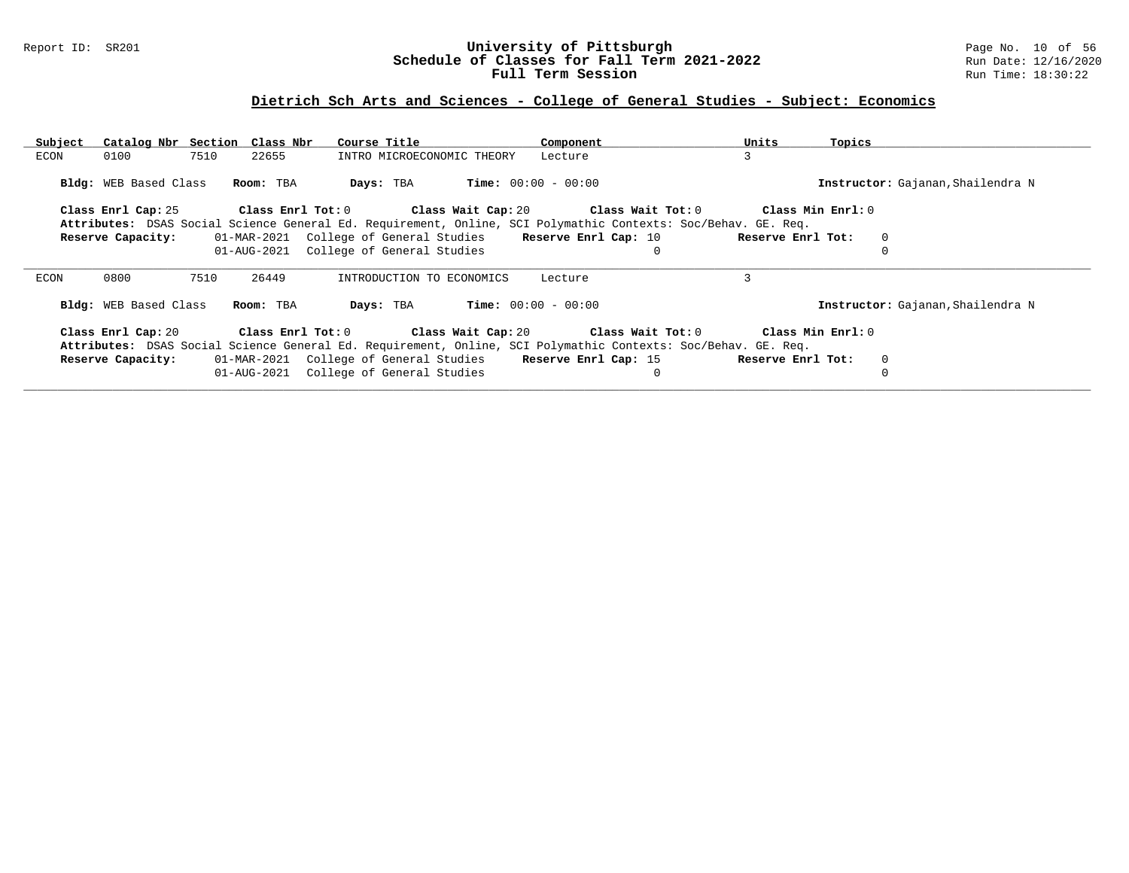### Report ID: SR201 **University of Pittsburgh** Page No. 10 of 56 **Schedule of Classes for Fall Term 2021-2022** Run Date: 12/16/2020 **Full Term Session Rundall Term Session Rundall Term Session**

# **Dietrich Sch Arts and Sciences - College of General Studies - Subject: Economics**

| Subject               | Catalog Nbr Section Class Nbr | Course Title                                                | Component                                                                                                                                                                                  | Units<br>Topics                   |  |
|-----------------------|-------------------------------|-------------------------------------------------------------|--------------------------------------------------------------------------------------------------------------------------------------------------------------------------------------------|-----------------------------------|--|
| ECON<br>0100          | 7510<br>22655                 | INTRO MICROECONOMIC THEORY                                  | Lecture                                                                                                                                                                                    | 3                                 |  |
| Bldg: WEB Based Class | Room: TBA                     | Days: TBA                                                   | $Time: 00:00 - 00:00$                                                                                                                                                                      | Instructor: Gajanan, Shailendra N |  |
| Class Enrl Cap: 25    |                               |                                                             | Class Enrl Tot: $0$ Class Wait Cap: $20$ Class Wait Tot: $0$                                                                                                                               | Class Min Enrl: 0                 |  |
|                       |                               |                                                             | Attributes: DSAS Social Science General Ed. Requirement, Online, SCI Polymathic Contexts: Soc/Behav. GE. Req.                                                                              |                                   |  |
| Reserve Capacity:     |                               | 01-MAR-2021 College of General Studies Reserve Enrl Cap: 10 |                                                                                                                                                                                            | Reserve Enrl Tot:<br>$\mathbf{0}$ |  |
|                       |                               | 01-AUG-2021 College of General Studies                      |                                                                                                                                                                                            |                                   |  |
| 0800<br>ECON          | 7510<br>26449                 | INTRODUCTION TO ECONOMICS                                   | Lecture                                                                                                                                                                                    | 3                                 |  |
| Bldg: WEB Based Class | Room: TBA                     | Days: TBA                                                   | <b>Time:</b> $00:00 - 00:00$                                                                                                                                                               | Instructor: Gajanan, Shailendra N |  |
|                       |                               |                                                             | Class Enrl Cap: 20 Class Enrl Tot: 0 Class Wait Cap: 20 Class Wait Tot: 0<br>Attributes: DSAS Social Science General Ed. Requirement, Online, SCI Polymathic Contexts: Soc/Behav. GE. Req. | Class Min Enrl: 0                 |  |
| Reserve Capacity:     |                               | 01-MAR-2021 College of General Studies Reserve Enrl Cap: 15 |                                                                                                                                                                                            | Reserve Enrl Tot:<br>$\mathbf{0}$ |  |
|                       |                               | 01-AUG-2021 College of General Studies                      |                                                                                                                                                                                            |                                   |  |
|                       |                               |                                                             |                                                                                                                                                                                            |                                   |  |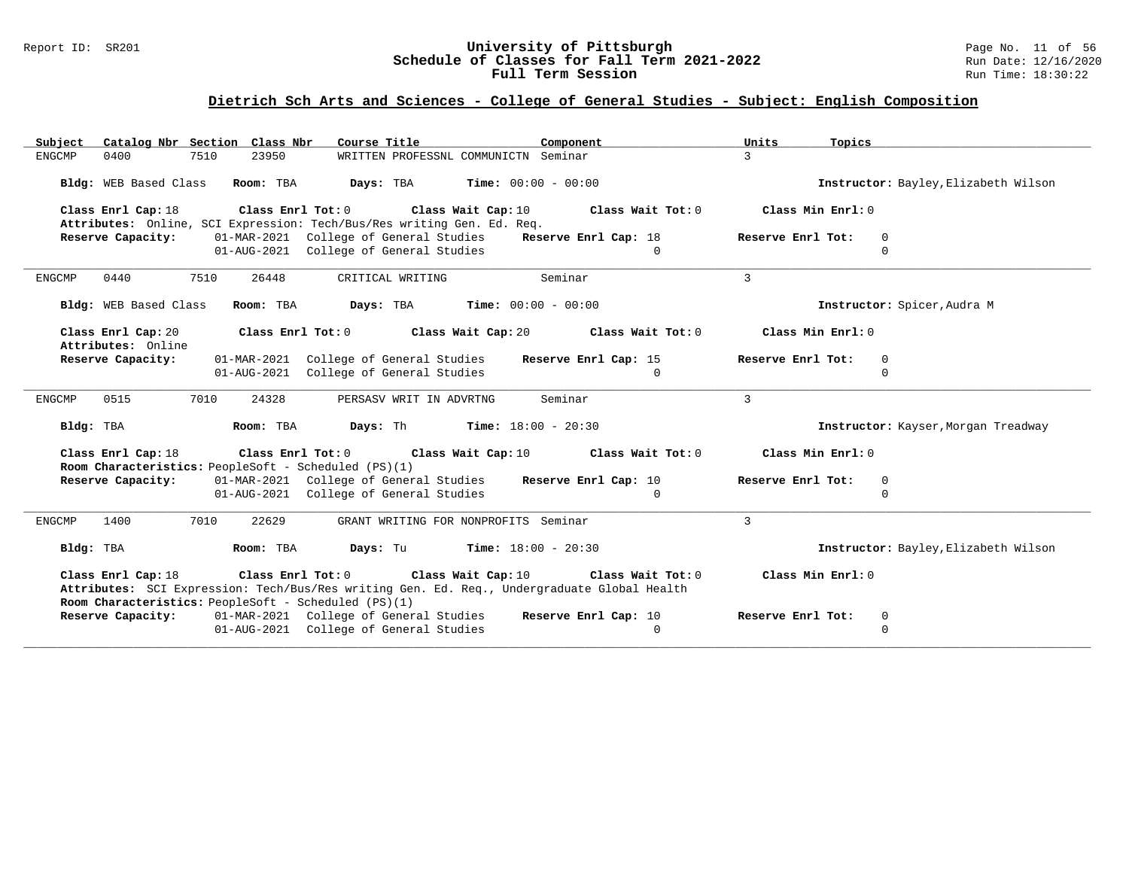### Report ID: SR201 **University of Pittsburgh** Page No. 11 of 56 **Schedule of Classes for Fall Term 2021-2022** Run Date: 12/16/2020 **Full Term Session Rundall Term Session Rundall Term Session**

# **Dietrich Sch Arts and Sciences - College of General Studies - Subject: English Composition**

| Catalog Nbr Section Class Nbr<br>Subject                                                                                                                                                                                         | Course Title                                 | Component                    | Units<br>Topics   |                                      |
|----------------------------------------------------------------------------------------------------------------------------------------------------------------------------------------------------------------------------------|----------------------------------------------|------------------------------|-------------------|--------------------------------------|
| 7510<br>23950<br><b>ENGCMP</b><br>0400                                                                                                                                                                                           | WRITTEN PROFESSNL COMMUNICTN Seminar         |                              | $\mathcal{L}$     |                                      |
| Bldg: WEB Based Class<br>Room: TBA                                                                                                                                                                                               | Days: TBA                                    | <b>Time:</b> $00:00 - 00:00$ |                   | Instructor: Bayley, Elizabeth Wilson |
| Class Enrl Cap: 18<br>Attributes: Online, SCI Expression: Tech/Bus/Res writing Gen. Ed. Req.                                                                                                                                     | Class Enrl Tot: 0 Class Wait Cap: 10         | Class Wait Tot: 0            | Class Min Enrl: 0 |                                      |
| Reserve Capacity:                                                                                                                                                                                                                | 01-MAR-2021 College of General Studies       | Reserve Enrl Cap: 18         | Reserve Enrl Tot: | 0                                    |
|                                                                                                                                                                                                                                  | 01-AUG-2021 College of General Studies       | $\Omega$                     |                   | $\Omega$                             |
|                                                                                                                                                                                                                                  |                                              |                              |                   |                                      |
| 0440<br>7510<br>26448<br><b>ENGCMP</b>                                                                                                                                                                                           | CRITICAL WRITING                             | Seminar                      | 3                 |                                      |
| Bldg: WEB Based Class<br>Room: TBA                                                                                                                                                                                               | Days: TBA                                    | <b>Time:</b> $00:00 - 00:00$ |                   | Instructor: Spicer, Audra M          |
| Class Enrl Cap: 20<br>Attributes: Online                                                                                                                                                                                         | Class Enrl Tot: 0 Class Wait Cap: 20         | Class Wait Tot: 0            | Class Min Enrl: 0 |                                      |
| Reserve Capacity:                                                                                                                                                                                                                | 01-MAR-2021 College of General Studies       | Reserve Enrl Cap: 15         | Reserve Enrl Tot: | $\mathbf 0$                          |
|                                                                                                                                                                                                                                  | 01-AUG-2021 College of General Studies       | $\Omega$                     |                   | $\Omega$                             |
|                                                                                                                                                                                                                                  |                                              |                              |                   |                                      |
| 7010<br><b>ENGCMP</b><br>0515<br>24328                                                                                                                                                                                           | PERSASV WRIT IN ADVRTNG                      | Seminar                      | 3                 |                                      |
| Room: TBA<br>Bldg: TBA                                                                                                                                                                                                           | <b>Davs:</b> Th                              | <b>Time:</b> $18:00 - 20:30$ |                   | Instructor: Kayser, Morgan Treadway  |
| Class Enrl Cap: 18<br>Room Characteristics: PeopleSoft - Scheduled (PS)(1)                                                                                                                                                       | Class Enrl Tot: 0 Class Wait Cap: 10         | Class Wait Tot: 0            | Class Min Enrl: 0 |                                      |
| Reserve Capacity:                                                                                                                                                                                                                | 01-MAR-2021 College of General Studies       | Reserve Enrl Cap: 10         | Reserve Enrl Tot: | $\mathbf 0$                          |
|                                                                                                                                                                                                                                  | 01-AUG-2021 College of General Studies       | $\Omega$                     |                   | $\Omega$                             |
|                                                                                                                                                                                                                                  |                                              |                              |                   |                                      |
| 7010<br>22629<br><b>ENGCMP</b><br>1400                                                                                                                                                                                           | GRANT WRITING FOR NONPROFITS Seminar         |                              | $\overline{3}$    |                                      |
| Bldg: TBA<br>Room: TBA                                                                                                                                                                                                           | <b>Days:</b> Tu <b>Time:</b> $18:00 - 20:30$ |                              |                   | Instructor: Bayley, Elizabeth Wilson |
| Class Enrl Cap: 18 Class Enrl Tot: 0 Class Wait Cap: 10 Class Wait Tot: 0<br>Attributes: SCI Expression: Tech/Bus/Res writing Gen. Ed. Req., Undergraduate Global Health<br>Room Characteristics: PeopleSoft - Scheduled (PS)(1) |                                              |                              | Class Min Enrl: 0 |                                      |
| <b>Reserve Capacity:</b> 01-MAR-2021 College of General Studies                                                                                                                                                                  |                                              | Reserve Enrl Cap: 10         | Reserve Enrl Tot: | $\mathbf 0$                          |
|                                                                                                                                                                                                                                  | 01-AUG-2021 College of General Studies       | $\Omega$                     |                   | $\Omega$                             |
|                                                                                                                                                                                                                                  |                                              |                              |                   |                                      |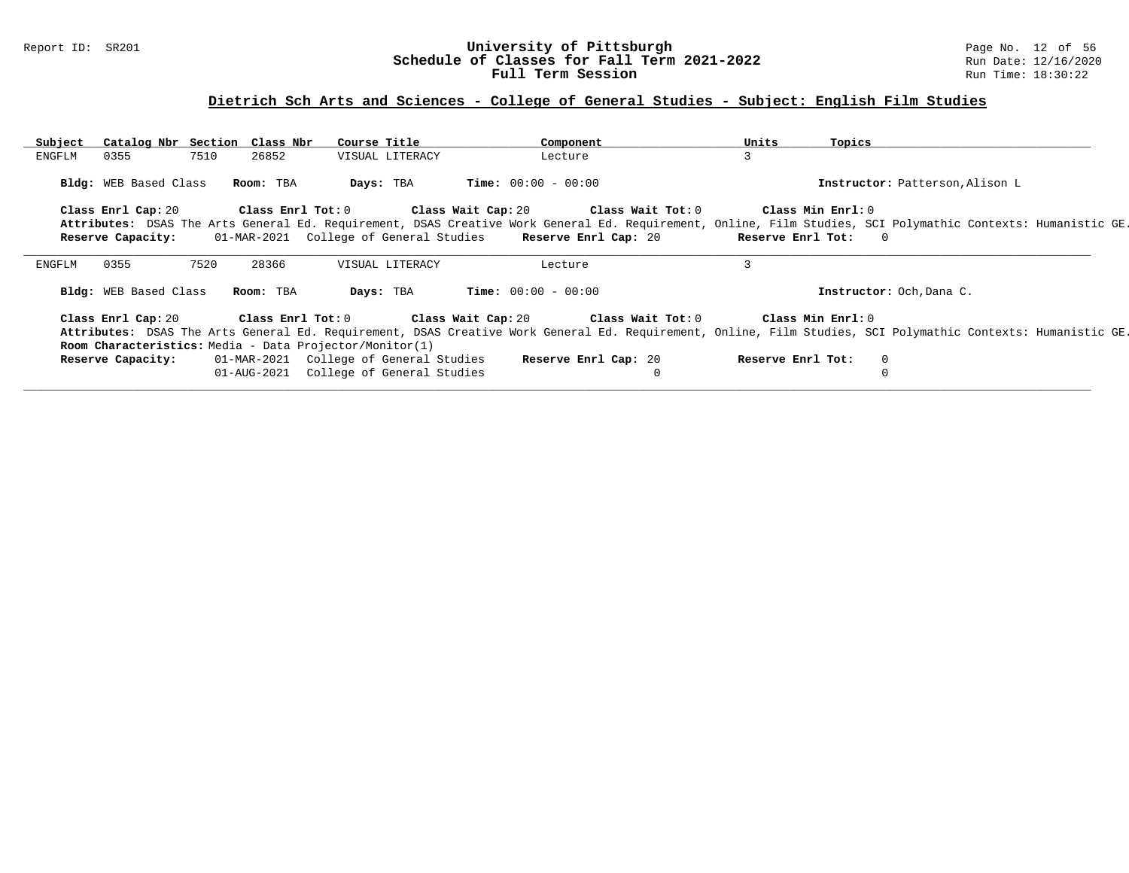### Report ID: SR201 **University of Pittsburgh** Page No. 12 of 56 **Schedule of Classes for Fall Term 2021-2022** Run Date: 12/16/2020 **Full Term Session Rundall Term Session Rundall Term Session**

### **Dietrich Sch Arts and Sciences - College of General Studies - Subject: English Film Studies**

| Subject                                                 | Catalog Nbr Section Class Nbr | Course Title                           | Component                                                                 | Units             | Topics                                                                                                                                                       |  |
|---------------------------------------------------------|-------------------------------|----------------------------------------|---------------------------------------------------------------------------|-------------------|--------------------------------------------------------------------------------------------------------------------------------------------------------------|--|
| 0355<br>ENGFLM                                          | 7510<br>26852                 | VISUAL LITERACY                        | Lecture                                                                   | 3                 |                                                                                                                                                              |  |
| Bldg: WEB Based Class                                   | Room: TBA                     | Days: TBA                              | $Time: 00:00 - 00:00$                                                     |                   | Instructor: Patterson, Alison L                                                                                                                              |  |
| Class Enrl Cap: 20                                      |                               |                                        | Class Enrl Tot: $0$ Class Wait Cap: $20$ Class Wait Tot: $0$              |                   | Class Min Enrl: 0                                                                                                                                            |  |
|                                                         |                               |                                        |                                                                           |                   | Attributes: DSAS The Arts General Ed. Requirement, DSAS Creative Work General Ed. Requirement, Online, Film Studies, SCI Polymathic Contexts: Humanistic GE. |  |
| Reserve Capacity:                                       |                               | 01-MAR-2021 College of General Studies | Reserve Enrl Cap: 20 Reserve Enrl Tot:                                    |                   | $\Omega$                                                                                                                                                     |  |
|                                                         |                               |                                        |                                                                           |                   |                                                                                                                                                              |  |
| 0355<br>ENGFLM                                          | 7520<br>28366                 | VISUAL LITERACY                        | Lecture                                                                   | 3                 |                                                                                                                                                              |  |
| Bldg: WEB Based Class                                   | Room: TBA                     | Days: TBA                              | <b>Time:</b> $00:00 - 00:00$                                              |                   | Instructor: Och, Dana C.                                                                                                                                     |  |
|                                                         |                               |                                        | Class Enrl Cap: 20 Class Enrl Tot: 0 Class Wait Cap: 20 Class Wait Tot: 0 |                   | Class Min Enrl: 0                                                                                                                                            |  |
|                                                         |                               |                                        |                                                                           |                   | Attributes: DSAS The Arts General Ed. Requirement, DSAS Creative Work General Ed. Requirement, Online, Film Studies, SCI Polymathic Contexts: Humanistic GE. |  |
| Room Characteristics: Media - Data Projector/Monitor(1) |                               |                                        |                                                                           |                   |                                                                                                                                                              |  |
| Reserve Capacity:                                       |                               | 01-MAR-2021 College of General Studies | <b>Reserve Enrl Cap:</b> 20                                               | Reserve Enrl Tot: | $\Omega$                                                                                                                                                     |  |
|                                                         |                               | 01-AUG-2021 College of General Studies |                                                                           |                   | 0                                                                                                                                                            |  |
|                                                         |                               |                                        |                                                                           |                   |                                                                                                                                                              |  |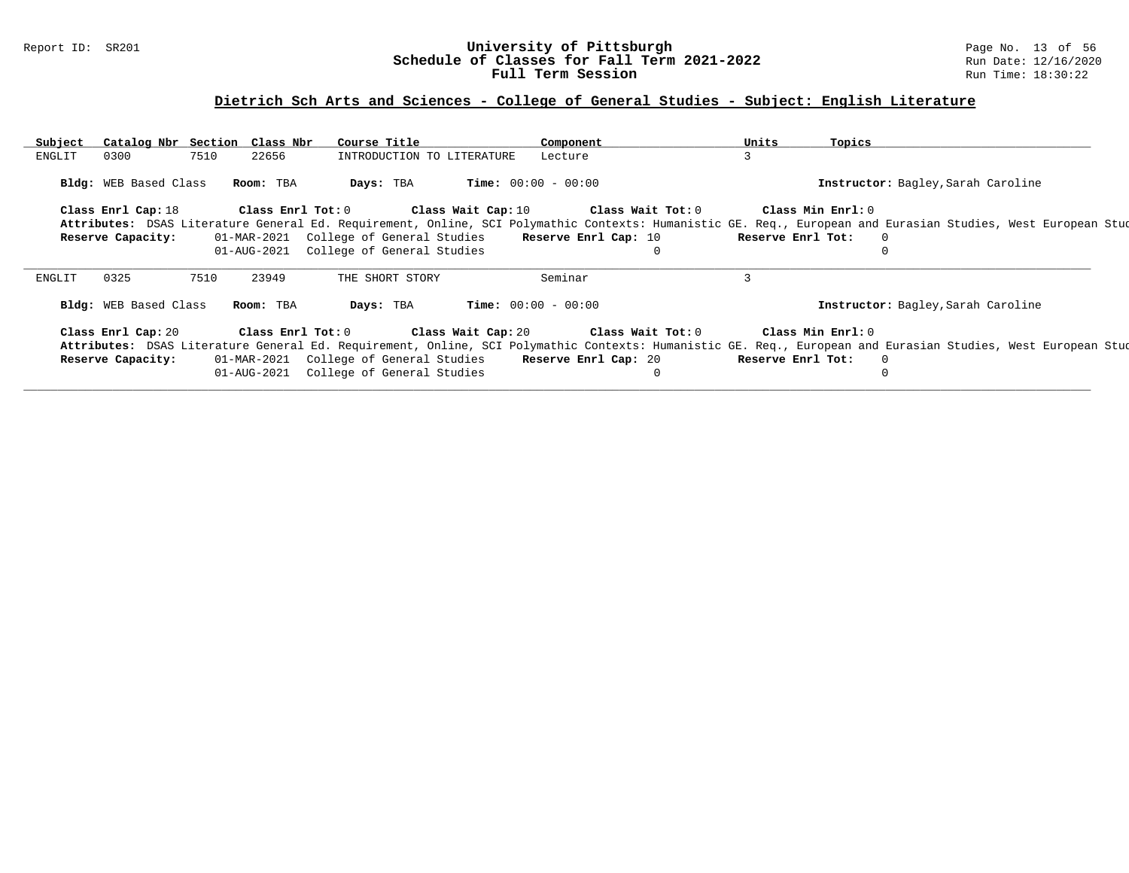### Report ID: SR201 **University of Pittsburgh** Page No. 13 of 56 **Schedule of Classes for Fall Term 2021-2022** Run Date: 12/16/2020 **Full Term Session Rundall Term Session Rundall Term Session**

# **Dietrich Sch Arts and Sciences - College of General Studies - Subject: English Literature**

| Subject | Catalog Nbr Section Class Nbr |      |                   | Course Title                                                 |                            | Component                    |                                               | Units | Topics            |                                           |                                                                                                                                                              |  |
|---------|-------------------------------|------|-------------------|--------------------------------------------------------------|----------------------------|------------------------------|-----------------------------------------------|-------|-------------------|-------------------------------------------|--------------------------------------------------------------------------------------------------------------------------------------------------------------|--|
| ENGLIT  | 0300                          | 7510 | 22656             |                                                              | INTRODUCTION TO LITERATURE | Lecture                      |                                               | 3     |                   |                                           |                                                                                                                                                              |  |
|         | <b>Bldg:</b> WEB Based Class  |      | Room: TBA         | Days: TBA                                                    |                            | <b>Time:</b> $00:00 - 00:00$ |                                               |       |                   | <b>Instructor:</b> Bagley, Sarah Caroline |                                                                                                                                                              |  |
|         | Class Enrl Cap: 18            |      | Class Enrl Tot: 0 |                                                              |                            |                              | Class Wait Cap: 10 $\qquad$ Class Wait Tot: 0 |       | Class Min Enrl: 0 |                                           |                                                                                                                                                              |  |
|         |                               |      |                   |                                                              |                            |                              |                                               |       |                   |                                           | Attributes: DSAS Literature General Ed. Requirement, Online, SCI Polymathic Contexts: Humanistic GE. Req., European and Eurasian Studies, West European Stud |  |
|         | Reserve Capacity:             |      |                   | 01-MAR-2021 College of General Studies Reserve Enrl Cap: 10  |                            |                              |                                               |       | Reserve Enrl Tot: | $\Omega$                                  |                                                                                                                                                              |  |
|         |                               |      |                   | 01-AUG-2021 College of General Studies                       |                            |                              |                                               |       |                   |                                           |                                                                                                                                                              |  |
| ENGLIT  | 0325                          | 7510 | 23949             |                                                              | THE SHORT STORY            | Seminar                      |                                               |       |                   |                                           |                                                                                                                                                              |  |
|         | Bldg: WEB Based Class         |      | Room: TBA         | Days: TBA                                                    |                            | <b>Time:</b> $00:00 - 00:00$ |                                               |       |                   | Instructor: Bagley, Sarah Caroline        |                                                                                                                                                              |  |
|         | Class Enrl Cap: 20            |      |                   | Class Enrl Tot: $0$ Class Wait Cap: $20$ Class Wait Tot: $0$ |                            |                              |                                               |       | Class Min Enrl: 0 |                                           |                                                                                                                                                              |  |
|         |                               |      |                   |                                                              |                            |                              |                                               |       |                   |                                           | Attributes: DSAS Literature General Ed. Requirement, Online, SCI Polymathic Contexts: Humanistic GE. Req., European and Eurasian Studies, West European Stud |  |
|         | Reserve Capacity:             |      |                   | 01-MAR-2021 College of General Studies Reserve Enrl Cap: 20  |                            |                              |                                               |       | Reserve Enrl Tot: | $\Omega$                                  |                                                                                                                                                              |  |
|         |                               |      |                   | 01-AUG-2021 College of General Studies                       |                            |                              |                                               |       |                   |                                           |                                                                                                                                                              |  |
|         |                               |      |                   |                                                              |                            |                              |                                               |       |                   |                                           |                                                                                                                                                              |  |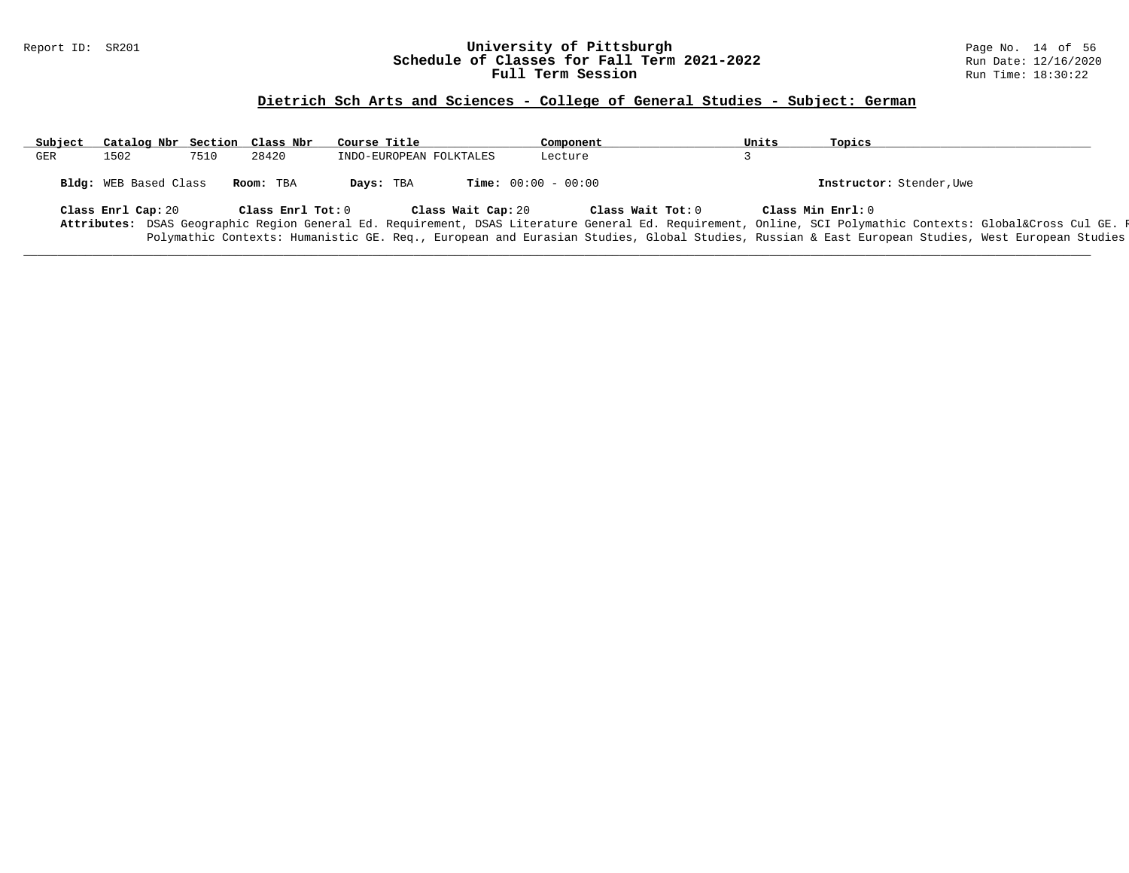### Report ID: SR201 **University of Pittsburgh** Page No. 14 of 56 **Schedule of Classes for Fall Term 2021-2022** Run Date: 12/16/2020 **Full Term Session Rundall Term Session Rundall Term Session**

# **Dietrich Sch Arts and Sciences - College of General Studies - Subject: German**

| Subject | Catalog Nbr Section Class Nbr |      |                   | Course Title |                         | Component                    |                   | Units | Topics                                                                                                                                                  |
|---------|-------------------------------|------|-------------------|--------------|-------------------------|------------------------------|-------------------|-------|---------------------------------------------------------------------------------------------------------------------------------------------------------|
| GER     | 1502                          | 7510 | 28420             |              | INDO-EUROPEAN FOLKTALES | Lecture                      |                   |       |                                                                                                                                                         |
|         | Bldg: WEB Based Class         |      | Room: TBA         | Days: TBA    |                         | <b>Time:</b> $00:00 - 00:00$ |                   |       | Instructor: Stender, Uwe                                                                                                                                |
|         | Class Enrl Cap: 20            |      | Class Enrl Tot: 0 |              | Class Wait Cap: 20      |                              | Class Wait Tot: 0 |       | Class Min Enrl: 0                                                                                                                                       |
|         |                               |      |                   |              |                         |                              |                   |       | Attributes: DSAS Geographic Region General Ed. Requirement, DSAS Literature General Ed. Requirement, Online, SCI Polymathic Contexts: Global⨯ Cul GE. F |
|         |                               |      |                   |              |                         |                              |                   |       | Polymathic Contexts: Humanistic GE. Req., European and Eurasian Studies, Global Studies, Russian & East European Studies, West European Studies         |
|         |                               |      |                   |              |                         |                              |                   |       |                                                                                                                                                         |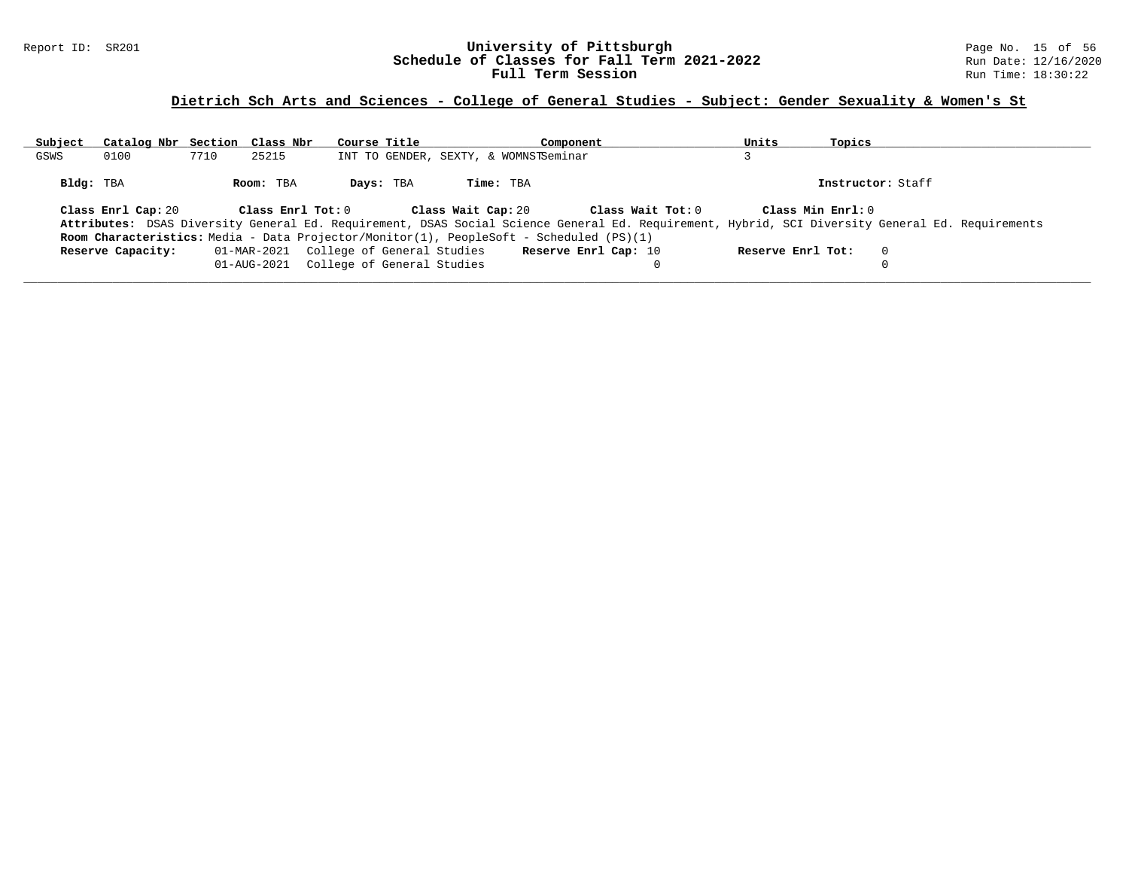### Report ID: SR201 **University of Pittsburgh University of Pittsburgh** Page No. 15 of 56<br>**Schedule of Classes for Fall Term 2021-2022** Run Date: 12/16/2020 **Schedule of Classes for Fall Term 2021-2022** Run Date: 12/16/2020 **Full Term Session Rundall Term Session Rundall Term Session**

# **Dietrich Sch Arts and Sciences - College of General Studies - Subject: Gender Sexuality & Women's St**

| Subject   | Catalog Nbr Section Class Nbr |      |                                                                                  | Course Title |                    | Component                                                                                                              |                   | Units             | Topics            |                                                                                                                                                 |
|-----------|-------------------------------|------|----------------------------------------------------------------------------------|--------------|--------------------|------------------------------------------------------------------------------------------------------------------------|-------------------|-------------------|-------------------|-------------------------------------------------------------------------------------------------------------------------------------------------|
| GSWS      | 0100                          | 7710 | 25215                                                                            |              |                    | INT TO GENDER, SEXTY, & WOMNSTSeminar                                                                                  |                   |                   |                   |                                                                                                                                                 |
| Bldg: TBA |                               |      | Room: TBA                                                                        | Days: TBA    | Time: TBA          |                                                                                                                        |                   |                   | Instructor: Staff |                                                                                                                                                 |
|           | Class Enrl Cap: 20            |      | Class Enrl Tot: 0                                                                |              | Class Wait Cap: 20 |                                                                                                                        | Class Wait Tot: 0 |                   | Class Min Enrl: 0 | Attributes: DSAS Diversity General Ed. Requirement, DSAS Social Science General Ed. Requirement, Hybrid, SCI Diversity General Ed. Requirements |
|           | Reserve Capacity:             |      | 01-MAR-2021 College of General Studies<br>01-AUG-2021 College of General Studies |              |                    | <b>Room Characteristics:</b> Media - Data Projector/Monitor(1), PeopleSoft - Scheduled (PS)(1)<br>Reserve Enrl Cap: 10 |                   | Reserve Enrl Tot: |                   | $\Omega$                                                                                                                                        |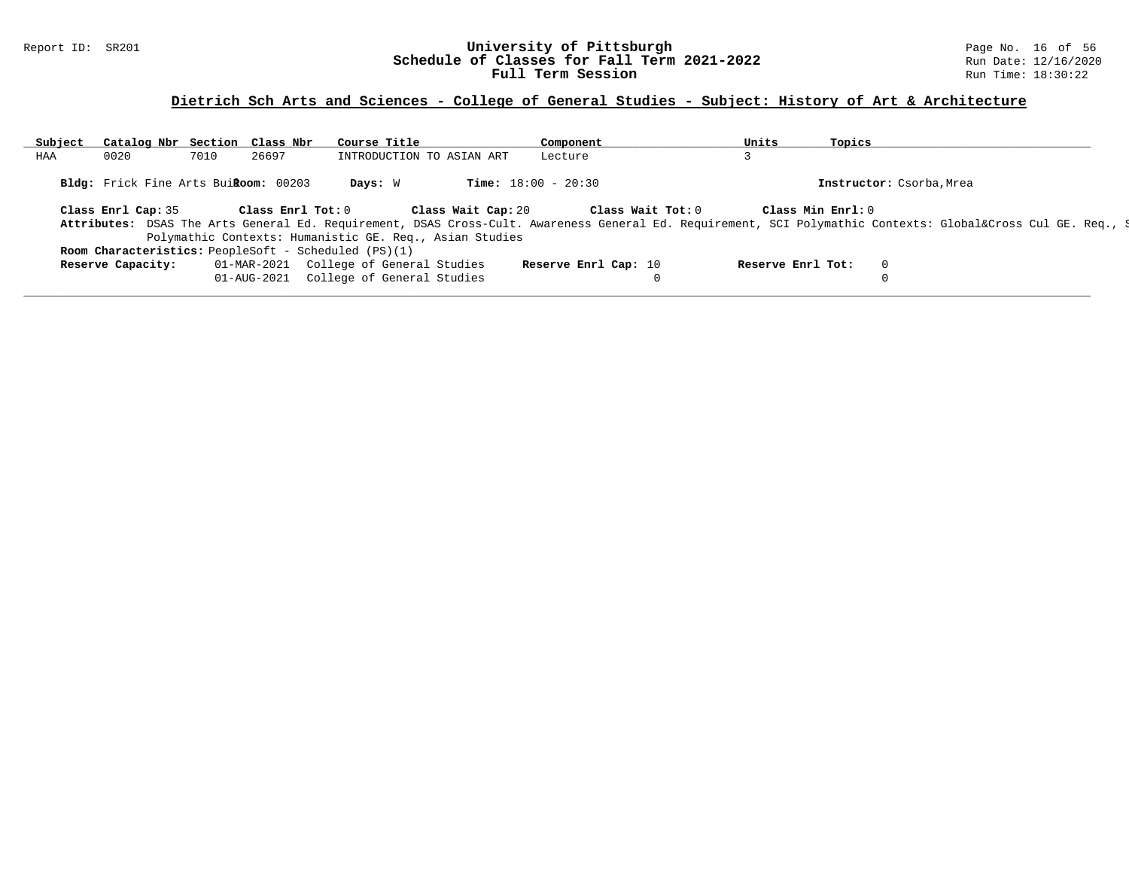### Report ID: SR201 **University of Pittsburgh** Page No. 16 of 56 **Schedule of Classes for Fall Term 2021-2022** Run Date: 12/16/2020 **Full Term Session Rundall Term Session Rundall Term Session**

### **Dietrich Sch Arts and Sciences - College of General Studies - Subject: History of Art & Architecture**

| Subject | Catalog Nbr Section Class Nbr        |      |                   | Course Title                                                |                                                         | Component                                                                                                                                               |              | Units             | Topics            |                          |  |
|---------|--------------------------------------|------|-------------------|-------------------------------------------------------------|---------------------------------------------------------|---------------------------------------------------------------------------------------------------------------------------------------------------------|--------------|-------------------|-------------------|--------------------------|--|
| HAA     | 0020                                 | 7010 | 26697             |                                                             | INTRODUCTION TO ASIAN ART                               | Lecture                                                                                                                                                 |              |                   |                   |                          |  |
|         | Bldg: Frick Fine Arts BuiRoom: 00203 |      |                   | Days: W                                                     |                                                         | <b>Time:</b> $18:00 - 20:30$                                                                                                                            |              |                   |                   | Instructor: Csorba, Mrea |  |
|         | Class Enrl Cap: 35                   |      | Class Enrl Tot: 0 |                                                             | Class Wait Cap: 20                                      | Class Wait Tot: 0                                                                                                                                       |              |                   | Class Min Enrl: 0 |                          |  |
|         |                                      |      |                   |                                                             |                                                         | Attributes: DSAS The Arts General Ed. Requirement, DSAS Cross-Cult. Awareness General Ed. Requirement, SCI Polymathic Contexts: Global⨯ Cul GE. Req., S |              |                   |                   |                          |  |
|         |                                      |      |                   |                                                             | Polymathic Contexts: Humanistic GE. Req., Asian Studies |                                                                                                                                                         |              |                   |                   |                          |  |
|         |                                      |      |                   | <b>Room Characteristics:</b> PeopleSoft - Scheduled (PS)(1) |                                                         |                                                                                                                                                         |              |                   |                   |                          |  |
|         | Reserve Capacity:                    |      |                   | 01-MAR-2021 College of General Studies                      |                                                         | Reserve Enrl Cap: 10                                                                                                                                    |              | Reserve Enrl Tot: |                   |                          |  |
|         |                                      |      | 01-AUG-2021       | College of General Studies                                  |                                                         |                                                                                                                                                         | $\mathbf{0}$ |                   |                   |                          |  |
|         |                                      |      |                   |                                                             |                                                         |                                                                                                                                                         |              |                   |                   |                          |  |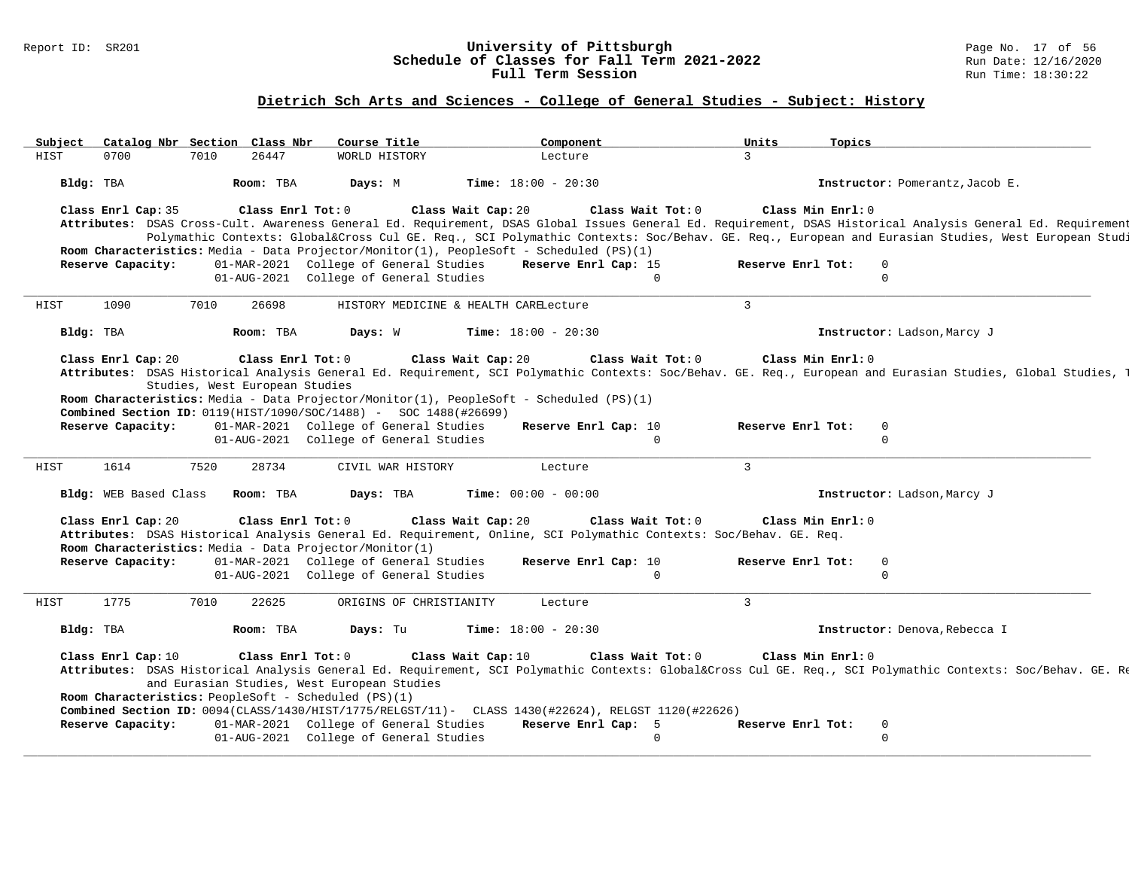#### Report ID: SR201 **University of Pittsburgh** Page No. 17 of 56 **Schedule of Classes for Fall Term 2021-2022** Run Date: 12/16/2020 **Full Term Session Rundall Term Session Rundall Term Session**

### **Dietrich Sch Arts and Sciences - College of General Studies - Subject: History**

| Subject | Catalog Nbr Section Class Nbr           |      |                                                     | Course Title                                                                                                                                                                  |                    | Component                    |                   | Units             | Topics            |                                                                                                                                                                                                                                                                                                                                        |
|---------|-----------------------------------------|------|-----------------------------------------------------|-------------------------------------------------------------------------------------------------------------------------------------------------------------------------------|--------------------|------------------------------|-------------------|-------------------|-------------------|----------------------------------------------------------------------------------------------------------------------------------------------------------------------------------------------------------------------------------------------------------------------------------------------------------------------------------------|
| HIST    | 0700                                    | 7010 | 26447                                               | WORLD HISTORY                                                                                                                                                                 |                    | Lecture                      |                   | 3                 |                   |                                                                                                                                                                                                                                                                                                                                        |
|         | Bldg: TBA                               |      | Room: TBA                                           | Days: M                                                                                                                                                                       |                    | <b>Time:</b> $18:00 - 20:30$ |                   |                   |                   | Instructor: Pomerantz, Jacob E.                                                                                                                                                                                                                                                                                                        |
|         | Class Enrl Cap: 35<br>Reserve Capacity: |      | Class Enrl Tot: 0                                   | Room Characteristics: Media - Data Projector/Monitor(1), PeopleSoft - Scheduled (PS)(1)<br>01-MAR-2021 College of General Studies                                             | Class Wait Cap: 20 | Reserve Enrl Cap: 15         | Class Wait Tot: 0 | Reserve Enrl Tot: | Class Min Enrl: 0 | Attributes: DSAS Cross-Cult. Awareness General Ed. Requirement, DSAS Global Issues General Ed. Requirement, DSAS Historical Analysis General Ed. Requirement<br>Polymathic Contexts: Global⨯ Cul GE. Req., SCI Polymathic Contexts: Soc/Behav. GE. Req., European and Eurasian Studies, West European Studi<br>$\mathbf 0$<br>$\Omega$ |
|         |                                         |      |                                                     | 01-AUG-2021 College of General Studies                                                                                                                                        |                    |                              | $\Omega$          |                   |                   |                                                                                                                                                                                                                                                                                                                                        |
| HIST    | 1090                                    | 7010 | 26698                                               | HISTORY MEDICINE & HEALTH CARELecture                                                                                                                                         |                    |                              |                   | $\overline{3}$    |                   |                                                                                                                                                                                                                                                                                                                                        |
|         | Bldg: TBA                               |      | Room: TBA                                           | Days: W                                                                                                                                                                       |                    | <b>Time:</b> $18:00 - 20:30$ |                   |                   |                   | Instructor: Ladson, Marcy J                                                                                                                                                                                                                                                                                                            |
|         | Class Enrl Cap: 20                      |      | Class Enrl Tot: 0<br>Studies, West European Studies | Room Characteristics: Media - Data Projector/Monitor(1), PeopleSoft - Scheduled (PS)(1)<br><b>Combined Section ID:</b> 0119(HIST/1090/SOC/1488) - SOC 1488(#26699)            | Class Wait Cap: 20 |                              | Class Wait Tot: 0 |                   | Class Min Enrl: 0 | Attributes: DSAS Historical Analysis General Ed. Requirement, SCI Polymathic Contexts: Soc/Behav. GE. Req., European and Eurasian Studies, Global Studies, [                                                                                                                                                                           |
|         | Reserve Capacity:                       |      |                                                     | 01-MAR-2021 College of General Studies                                                                                                                                        |                    | Reserve Enrl Cap: 10         |                   | Reserve Enrl Tot: |                   | 0                                                                                                                                                                                                                                                                                                                                      |
|         |                                         |      |                                                     | 01-AUG-2021 College of General Studies                                                                                                                                        |                    |                              | $\Omega$          |                   |                   | $\mathbf 0$                                                                                                                                                                                                                                                                                                                            |
| HIST    | 1614                                    | 7520 | 28734                                               | CIVIL WAR HISTORY                                                                                                                                                             |                    | Lecture                      |                   | $\overline{3}$    |                   |                                                                                                                                                                                                                                                                                                                                        |
|         | Bldg: WEB Based Class                   |      | Room: TBA                                           | Days: TBA                                                                                                                                                                     |                    | Time: $00:00 - 00:00$        |                   |                   |                   | Instructor: Ladson, Marcy J                                                                                                                                                                                                                                                                                                            |
|         | Class Enrl Cap: 20                      |      | Class Enrl Tot: 0                                   | Attributes: DSAS Historical Analysis General Ed. Requirement, Online, SCI Polymathic Contexts: Soc/Behav. GE. Req.<br>Room Characteristics: Media - Data Projector/Monitor(1) | Class Wait Cap: 20 |                              | Class Wait Tot: 0 |                   | Class Min Enrl: 0 |                                                                                                                                                                                                                                                                                                                                        |
|         | Reserve Capacity:                       |      |                                                     | 01-MAR-2021 College of General Studies<br>01-AUG-2021 College of General Studies                                                                                              |                    | Reserve Enrl Cap: 10         | $\Omega$          | Reserve Enrl Tot: |                   | $\mathbf 0$<br>$\Omega$                                                                                                                                                                                                                                                                                                                |
| HIST    | 1775                                    | 7010 | 22625                                               | ORIGINS OF CHRISTIANITY                                                                                                                                                       |                    | Lecture                      |                   | $\overline{3}$    |                   |                                                                                                                                                                                                                                                                                                                                        |
|         | Bldg: TBA                               |      | Room: TBA                                           | Days: Tu                                                                                                                                                                      |                    | <b>Time:</b> $18:00 - 20:30$ |                   |                   |                   | Instructor: Denova, Rebecca I                                                                                                                                                                                                                                                                                                          |
|         | Class Enrl Cap: 10                      |      | Class Enrl Tot: 0                                   | and Eurasian Studies, West European Studies<br>Room Characteristics: PeopleSoft - Scheduled (PS)(1)                                                                           | Class Wait Cap: 10 |                              | Class Wait Tot: 0 |                   | Class Min Enrl: 0 | Attributes: DSAS Historical Analysis General Ed. Requirement, SCI Polymathic Contexts: Global⨯ Cul GE. Req., SCI Polymathic Contexts: Soc/Behav. GE. Re                                                                                                                                                                                |
|         | Reserve Capacity:                       |      |                                                     | Combined Section ID: 0094(CLASS/1430/HIST/1775/RELGST/11)- CLASS 1430(#22624), RELGST 1120(#22626)<br>01-MAR-2021 College of General Studies                                  |                    | Reserve Enrl Cap: 5          |                   | Reserve Enrl Tot: |                   | $\mathbf 0$                                                                                                                                                                                                                                                                                                                            |
|         |                                         |      |                                                     | 01-AUG-2021 College of General Studies                                                                                                                                        |                    |                              | $\Omega$          |                   |                   | $\Omega$                                                                                                                                                                                                                                                                                                                               |
|         |                                         |      |                                                     |                                                                                                                                                                               |                    |                              |                   |                   |                   |                                                                                                                                                                                                                                                                                                                                        |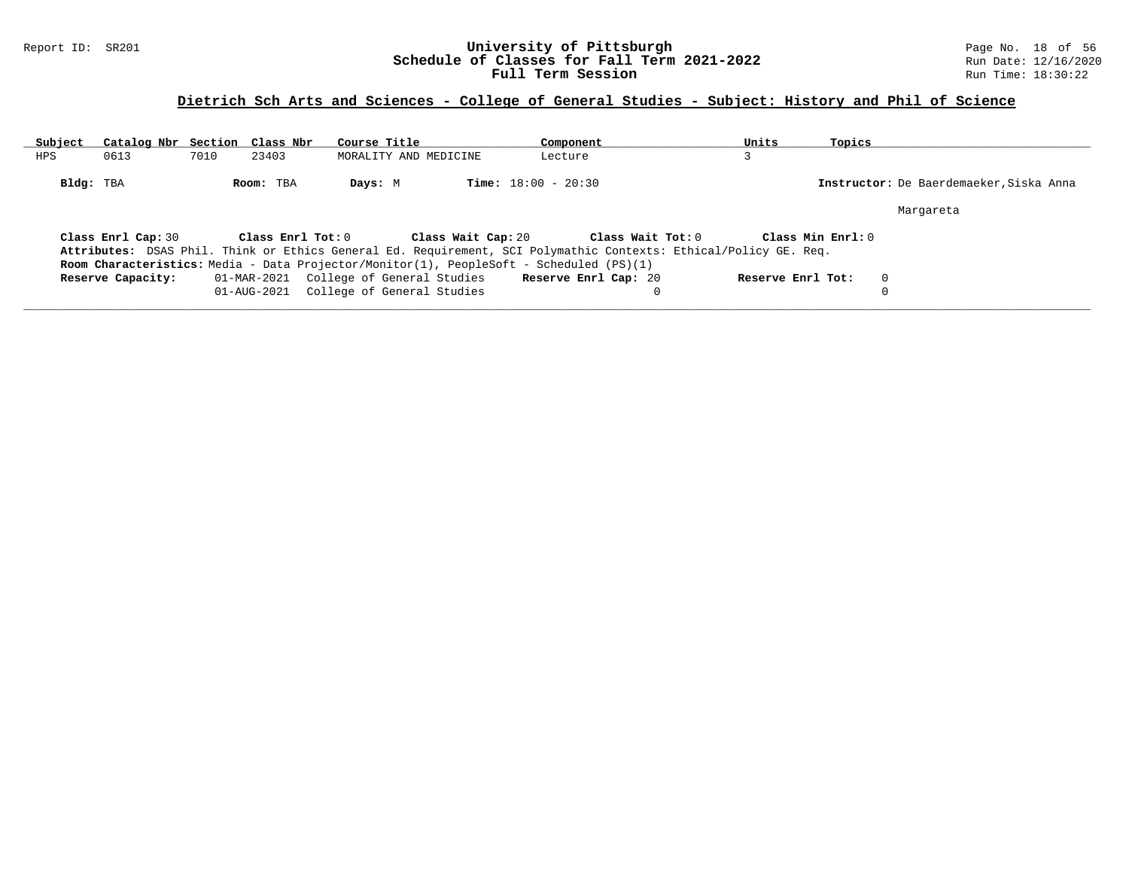### Report ID: SR201 **University of Pittsburgh University of Pittsburgh** Page No. 18 of 56<br>**Schedule of Classes for Fall Term 2021-2022** Run Date: 12/16/2020 **Schedule of Classes for Fall Term 2021-2022** Run Date: 12/16/2020 **Full Term Session Rundall Term Session Rundall Term Session**

# **Dietrich Sch Arts and Sciences - College of General Studies - Subject: History and Phil of Science**

| Subject    | Catalog Nbr Section Class Nbr |      |                   | Course Title                           |                       | Component                                                                                                        |                   | Units             | Topics             |                                         |
|------------|-------------------------------|------|-------------------|----------------------------------------|-----------------------|------------------------------------------------------------------------------------------------------------------|-------------------|-------------------|--------------------|-----------------------------------------|
| <b>HPS</b> | 0613                          | 7010 | 23403             |                                        | MORALITY AND MEDICINE | Lecture                                                                                                          |                   |                   |                    |                                         |
| Bldg: TBA  |                               |      | Room: TBA         | Days: M                                |                       | <b>Time:</b> $18:00 - 20:30$                                                                                     |                   |                   |                    | Instructor: De Baerdemaeker, Siska Anna |
|            |                               |      |                   |                                        |                       |                                                                                                                  |                   |                   |                    | Margareta                               |
|            | Class Enrl Cap: 30            |      | Class Enrl Tot: 0 |                                        | Class Wait Cap: 20    |                                                                                                                  | Class Wait Tot: 0 |                   | Class Min $Enr1:0$ |                                         |
|            |                               |      |                   |                                        |                       | Attributes: DSAS Phil. Think or Ethics General Ed. Requirement, SCI Polymathic Contexts: Ethical/Policy GE. Req. |                   |                   |                    |                                         |
|            |                               |      |                   |                                        |                       | <b>Room Characteristics:</b> Media - Data Projector/Monitor(1), PeopleSoft - Scheduled (PS)(1)                   |                   |                   |                    |                                         |
|            | Reserve Capacity:             |      |                   | 01-MAR-2021 College of General Studies |                       | Reserve Enrl Cap: 20                                                                                             |                   | Reserve Enrl Tot: |                    | $\Omega$                                |
|            |                               |      |                   | 01-AUG-2021 College of General Studies |                       |                                                                                                                  |                   |                   |                    |                                         |
|            |                               |      |                   |                                        |                       |                                                                                                                  |                   |                   |                    |                                         |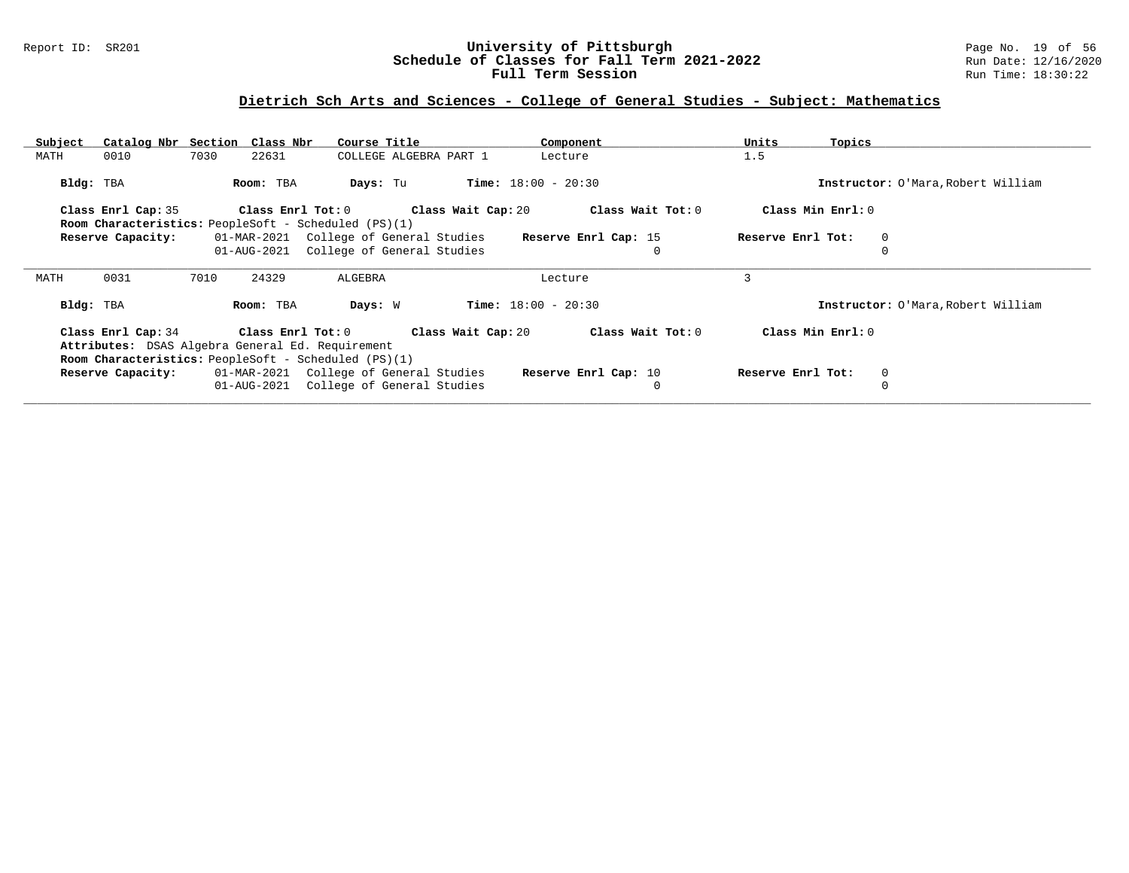### Report ID: SR201 **University of Pittsburgh** Page No. 19 of 56 **Schedule of Classes for Fall Term 2021-2022** Run Date: 12/16/2020 **Full Term Session Rundall Term Session Rundall Term Session**

# **Dietrich Sch Arts and Sciences - College of General Studies - Subject: Mathematics**

| Subject   | Catalog Nbr Section Class Nbr                                                                                                  |      |                         | Course Title                           |                        |                              | Component            | Units             | Topics |                                    |
|-----------|--------------------------------------------------------------------------------------------------------------------------------|------|-------------------------|----------------------------------------|------------------------|------------------------------|----------------------|-------------------|--------|------------------------------------|
| MATH      | 0010                                                                                                                           | 7030 | 22631                   |                                        | COLLEGE ALGEBRA PART 1 |                              | Lecture              | 1.5               |        |                                    |
| Bldg: TBA |                                                                                                                                |      | Room: TBA               | Days: Tu                               |                        | <b>Time:</b> $18:00 - 20:30$ |                      |                   |        | Instructor: O'Mara, Robert William |
|           | Class Enrl Cap: 35                                                                                                             |      | Class Enrl Tot: 0       |                                        | Class Wait Cap: 20     |                              | Class Wait Tot: 0    | Class Min Enrl: 0 |        |                                    |
|           | <b>Room Characteristics:</b> PeopleSoft - Scheduled (PS)(1)                                                                    |      |                         |                                        |                        |                              |                      |                   |        |                                    |
|           | Reserve Capacity:                                                                                                              |      |                         | 01-MAR-2021 College of General Studies |                        |                              | Reserve Enrl Cap: 15 | Reserve Enrl Tot: |        | 0                                  |
|           |                                                                                                                                |      | 01-AUG-2021             | College of General Studies             |                        |                              | $\Omega$             |                   |        |                                    |
| MATH      | 0031                                                                                                                           | 7010 | 24329                   | ALGEBRA                                |                        |                              | Lecture              | 3                 |        |                                    |
| Bldg: TBA |                                                                                                                                |      | Room: TBA               | Days: W                                |                        | <b>Time:</b> $18:00 - 20:30$ |                      |                   |        | Instructor: O'Mara, Robert William |
|           | Class Enrl Cap: 34<br>Attributes: DSAS Algebra General Ed. Requirement<br>Room Characteristics: PeopleSoft - Scheduled (PS)(1) |      | $Class$ $Enr1$ $Tot: 0$ |                                        | Class Wait Cap: 20     |                              | Class Wait Tot: 0    | Class Min Enrl: 0 |        |                                    |
|           | Reserve Capacity:                                                                                                              |      |                         | 01-MAR-2021 College of General Studies |                        |                              | Reserve Enrl Cap: 10 | Reserve Enrl Tot: |        | 0                                  |
|           |                                                                                                                                |      |                         | 01-AUG-2021 College of General Studies |                        |                              | $\Omega$             |                   |        |                                    |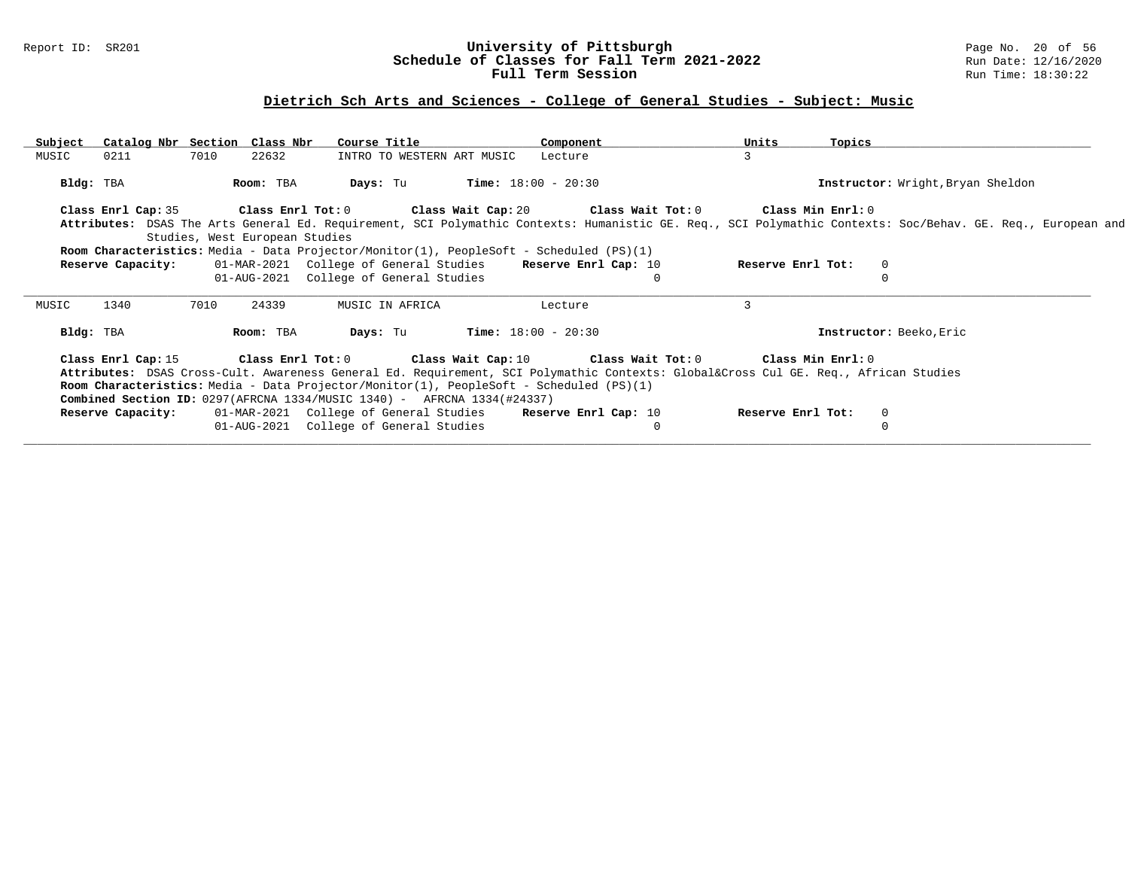### Report ID: SR201 **University of Pittsburgh** Page No. 20 of 56 **Schedule of Classes for Fall Term 2021-2022** Run Date: 12/16/2020 **Full Term Session Rundall Term Session Rundall Term Session**

# **Dietrich Sch Arts and Sciences - College of General Studies - Subject: Music**

| Subject   | Catalog Nbr Section Class Nbr |      |                                | Course Title                                                                                                                   |                            | Component                    |          | Units             | Topics |                                                                                                                                                             |
|-----------|-------------------------------|------|--------------------------------|--------------------------------------------------------------------------------------------------------------------------------|----------------------------|------------------------------|----------|-------------------|--------|-------------------------------------------------------------------------------------------------------------------------------------------------------------|
| MUSIC     | 0211                          | 7010 | 22632                          |                                                                                                                                | INTRO TO WESTERN ART MUSIC | Lecture                      |          | $\mathbf{3}$      |        |                                                                                                                                                             |
|           | Bldg: TBA                     |      | Room: TBA                      | Days: Tu                                                                                                                       |                            | <b>Time:</b> $18:00 - 20:30$ |          |                   |        | Instructor: Wright, Bryan Sheldon                                                                                                                           |
|           |                               |      |                                | Class Enrl Cap: 35 Class Enrl Tot: 0 Class Wait Cap: 20 Class Wait Tot: 0 Class Min Enrl: 0                                    |                            |                              |          |                   |        |                                                                                                                                                             |
|           |                               |      |                                |                                                                                                                                |                            |                              |          |                   |        | Attributes: DSAS The Arts General Ed. Requirement, SCI Polymathic Contexts: Humanistic GE. Req., SCI Polymathic Contexts: Soc/Behav. GE. Req., European and |
|           |                               |      | Studies, West European Studies |                                                                                                                                |                            |                              |          |                   |        |                                                                                                                                                             |
|           |                               |      |                                | Room Characteristics: Media - Data Projector/Monitor(1), PeopleSoft - Scheduled (PS)(1)                                        |                            |                              |          |                   |        |                                                                                                                                                             |
|           | Reserve Capacity:             |      |                                | 01-MAR-2021 College of General Studies Reserve Enrl Cap: 10                                                                    |                            |                              |          | Reserve Enrl Tot: |        | $\Omega$                                                                                                                                                    |
|           |                               |      |                                | 01-AUG-2021 College of General Studies                                                                                         |                            |                              | $\Omega$ |                   |        |                                                                                                                                                             |
| MUSIC     | 1340                          | 7010 | 24339                          | MUSIC IN AFRICA                                                                                                                |                            | Lecture                      |          | 3                 |        |                                                                                                                                                             |
|           |                               |      |                                |                                                                                                                                |                            |                              |          |                   |        |                                                                                                                                                             |
| Bldg: TBA |                               |      | Room: TBA                      | Days: Tu                                                                                                                       |                            | $Time: 18:00 - 20:30$        |          |                   |        | Instructor: Beeko, Eric                                                                                                                                     |
|           |                               |      |                                | Class Enrl Cap: 15 Class Enrl Tot: 0 Class Wait Cap: 10 Class Wait Tot: 0 Class Min Enrl: 0                                    |                            |                              |          |                   |        |                                                                                                                                                             |
|           |                               |      |                                | Attributes: DSAS Cross-Cult. Awareness General Ed. Requirement, SCI Polymathic Contexts: Global⨯ Cul GE. Req., African Studies |                            |                              |          |                   |        |                                                                                                                                                             |
|           |                               |      |                                | Room Characteristics: Media - Data Projector/Monitor(1), PeopleSoft - Scheduled (PS)(1)                                        |                            |                              |          |                   |        |                                                                                                                                                             |
|           |                               |      |                                | <b>Combined Section ID:</b> $0297(AFRCNA 1334/MUSIC 1340) - AFRCNA 1334(#24337)$                                               |                            |                              |          |                   |        |                                                                                                                                                             |
|           | Reserve Capacity:             |      |                                | 01-MAR-2021 College of General Studies Reserve Enrl Cap: 10                                                                    |                            |                              |          | Reserve Enrl Tot: |        | $\mathbf{0}$                                                                                                                                                |
|           |                               |      |                                | 01-AUG-2021 College of General Studies                                                                                         |                            |                              | 0        |                   |        | $\Omega$                                                                                                                                                    |
|           |                               |      |                                |                                                                                                                                |                            |                              |          |                   |        |                                                                                                                                                             |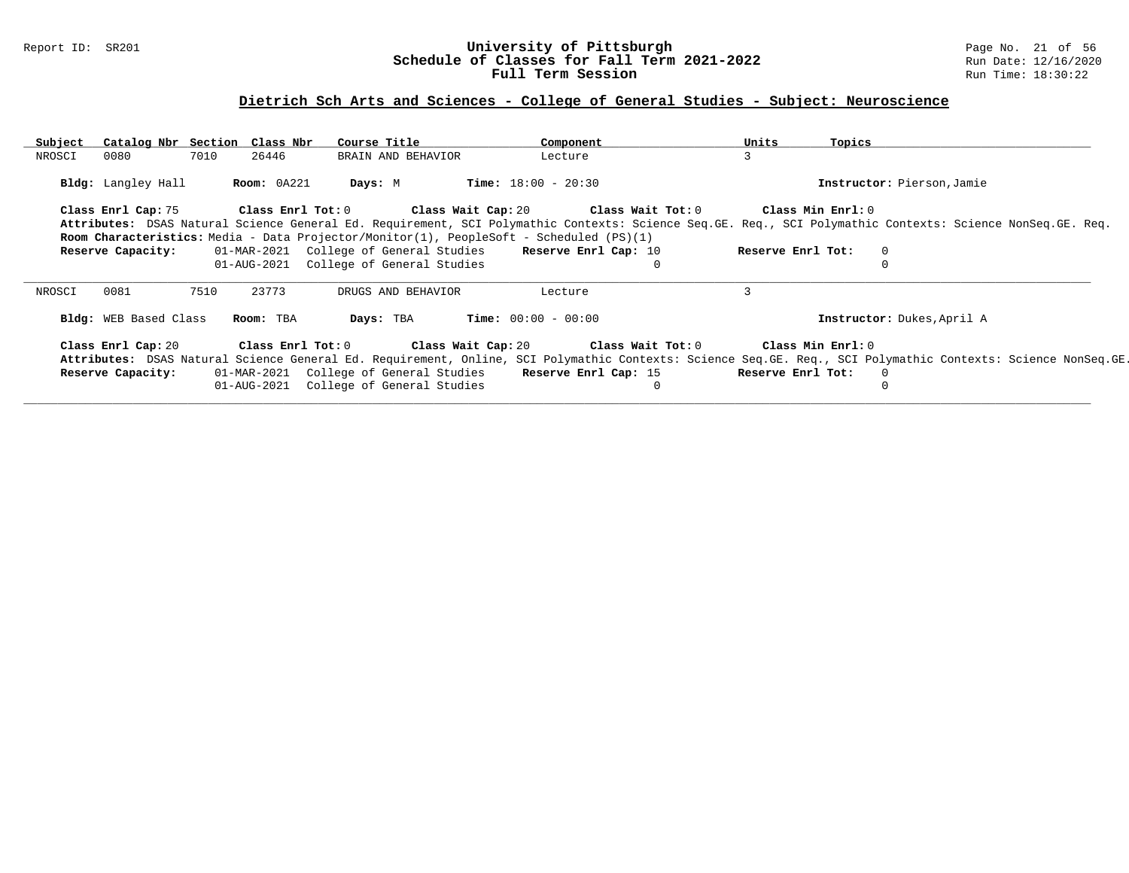### Report ID: SR201 **University of Pittsburgh** Page No. 21 of 56 **Schedule of Classes for Fall Term 2021-2022** Run Date: 12/16/2020 **Full Term Session Rundall Term Session Rundall Term Session**

# **Dietrich Sch Arts and Sciences - College of General Studies - Subject: Neuroscience**

| Subject | Catalog Nbr Section Class Nbr |      |             | Course Title                                                                                                                                              | Component                    |          | Units             | Topics |                            |                                                                                                                                                              |
|---------|-------------------------------|------|-------------|-----------------------------------------------------------------------------------------------------------------------------------------------------------|------------------------------|----------|-------------------|--------|----------------------------|--------------------------------------------------------------------------------------------------------------------------------------------------------------|
| NROSCI  | 0080                          | 7010 | 26446       | BRAIN AND BEHAVIOR                                                                                                                                        | Lecture                      |          | 3                 |        |                            |                                                                                                                                                              |
|         | Bldg: Langley Hall            |      | Room: 0A221 | Days: M                                                                                                                                                   | <b>Time:</b> $18:00 - 20:30$ |          |                   |        | Instructor: Pierson, Jamie |                                                                                                                                                              |
|         | Class Enrl Cap: 75            |      |             | Class Enrl Tot: $0$ Class Wait Cap: $20$ Class Wait Tot: $0$                                                                                              |                              |          | Class Min Enrl: 0 |        |                            |                                                                                                                                                              |
|         |                               |      |             | Attributes: DSAS Natural Science General Ed. Requirement, SCI Polymathic Contexts: Science Seq.GE. Req., SCI Polymathic Contexts: Science NonSeq.GE. Req. |                              |          |                   |        |                            |                                                                                                                                                              |
|         |                               |      |             | <b>Room Characteristics:</b> Media - Data Projector/Monitor(1), PeopleSoft - Scheduled (PS)(1)                                                            |                              |          |                   |        |                            |                                                                                                                                                              |
|         | Reserve Capacity:             |      |             | 01-MAR-2021 College of General Studies Reserve Enrl Cap: 10                                                                                               |                              |          | Reserve Enrl Tot: |        | $\circ$                    |                                                                                                                                                              |
|         |                               |      |             | 01-AUG-2021 College of General Studies                                                                                                                    |                              |          |                   |        | 0                          |                                                                                                                                                              |
| NROSCI  | 0081                          | 7510 | 23773       | DRUGS AND BEHAVIOR                                                                                                                                        | Lecture                      |          |                   |        |                            |                                                                                                                                                              |
|         | Bldg: WEB Based Class         |      | Room: TBA   | Days: TBA                                                                                                                                                 | $Time: 00:00 - 00:00$        |          |                   |        | Instructor: Dukes, April A |                                                                                                                                                              |
|         | Class Enrl Cap: 20            |      |             | Class Enrl Tot: $0$ Class Wait Cap: $20$ Class Wait Tot: $0$                                                                                              |                              |          | Class Min Enrl: 0 |        |                            |                                                                                                                                                              |
|         |                               |      |             |                                                                                                                                                           |                              |          |                   |        |                            | Attributes: DSAS Natural Science General Ed. Requirement, Online, SCI Polymathic Contexts: Science Seq.GE. Req., SCI Polymathic Contexts: Science NonSeq.GE. |
|         | Reserve Capacity:             |      |             | 01-MAR-2021 College of General Studies Reserve Enrl Cap: 15 Reserve Enrl Tot:                                                                             |                              |          |                   |        | $\Omega$                   |                                                                                                                                                              |
|         |                               |      |             | 01-AUG-2021 College of General Studies                                                                                                                    |                              | $\Omega$ |                   |        | 0                          |                                                                                                                                                              |
|         |                               |      |             |                                                                                                                                                           |                              |          |                   |        |                            |                                                                                                                                                              |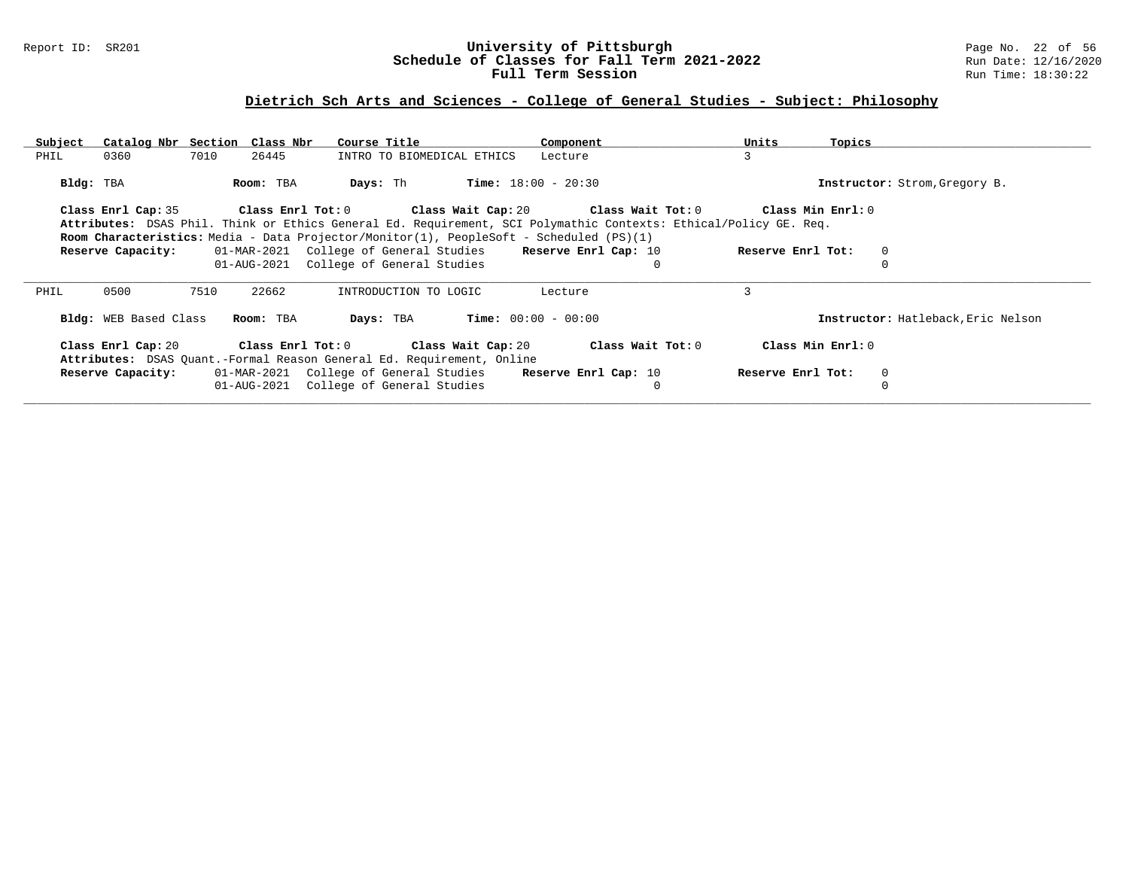### Report ID: SR201 **University of Pittsburgh** Page No. 22 of 56 **Schedule of Classes for Fall Term 2021-2022** Run Date: 12/16/2020 **Full Term Session Rundall Term Session Rundall Term Session**

# **Dietrich Sch Arts and Sciences - College of General Studies - Subject: Philosophy**

| Subject   | Catalog Nbr Section Class Nbr |      |           | Course Title                                                                                                     |                              | Component | Units | Topics            |                                    |
|-----------|-------------------------------|------|-----------|------------------------------------------------------------------------------------------------------------------|------------------------------|-----------|-------|-------------------|------------------------------------|
| PHIL      | 0360                          | 7010 | 26445     | INTRO TO BIOMEDICAL ETHICS                                                                                       |                              | Lecture   | 3     |                   |                                    |
|           |                               |      |           |                                                                                                                  |                              |           |       |                   |                                    |
| Bldg: TBA |                               |      | Room: TBA | Days: Th                                                                                                         | <b>Time:</b> $18:00 - 20:30$ |           |       |                   | Instructor: Strom, Gregory B.      |
|           |                               |      |           |                                                                                                                  |                              |           |       |                   |                                    |
|           | Class Enrl Cap: 35            |      |           | Class Enrl Tot: $0$ Class Wait Cap: $20$ Class Wait Tot: $0$ Class Min Enrl: $0$                                 |                              |           |       |                   |                                    |
|           |                               |      |           | Attributes: DSAS Phil. Think or Ethics General Ed. Requirement, SCI Polymathic Contexts: Ethical/Policy GE. Req. |                              |           |       |                   |                                    |
|           |                               |      |           | Room Characteristics: Media - Data Projector/Monitor(1), PeopleSoft - Scheduled (PS)(1)                          |                              |           |       |                   |                                    |
|           | Reserve Capacity:             |      |           | 01-MAR-2021 College of General Studies Reserve Enrl Cap: 10                                                      |                              |           |       | Reserve Enrl Tot: | $\mathbf 0$                        |
|           |                               |      |           | 01-AUG-2021 College of General Studies                                                                           |                              |           |       |                   |                                    |
|           |                               |      |           |                                                                                                                  |                              |           |       |                   |                                    |
| PHIL      | 0500                          | 7510 | 22662     | INTRODUCTION TO LOGIC                                                                                            |                              | Lecture   | ζ     |                   |                                    |
|           |                               |      |           |                                                                                                                  |                              |           |       |                   |                                    |
|           | Bldg: WEB Based Class         |      | Room: TBA | Days: TBA                                                                                                        | $Time: 00:00 - 00:00$        |           |       |                   | Instructor: Hatleback, Eric Nelson |
|           |                               |      |           |                                                                                                                  |                              |           |       |                   |                                    |
|           |                               |      |           | Class Enrl Cap: 20 $\qquad$ Class Enrl Tot: 0 $\qquad$ Class Wait Cap: 20 $\qquad$ Class Wait Tot: 0             |                              |           |       | Class Min Enrl: 0 |                                    |
|           |                               |      |           | Attributes: DSAS Quant.-Formal Reason General Ed. Requirement, Online                                            |                              |           |       |                   |                                    |
|           | Reserve Capacity:             |      |           | 01-MAR-2021 College of General Studies Reserve Enrl Cap: 10                                                      |                              |           |       | Reserve Enrl Tot: | 0                                  |
|           |                               |      |           |                                                                                                                  |                              |           |       |                   |                                    |
|           |                               |      |           | 01-AUG-2021 College of General Studies                                                                           |                              |           |       |                   |                                    |
|           |                               |      |           |                                                                                                                  |                              |           |       |                   |                                    |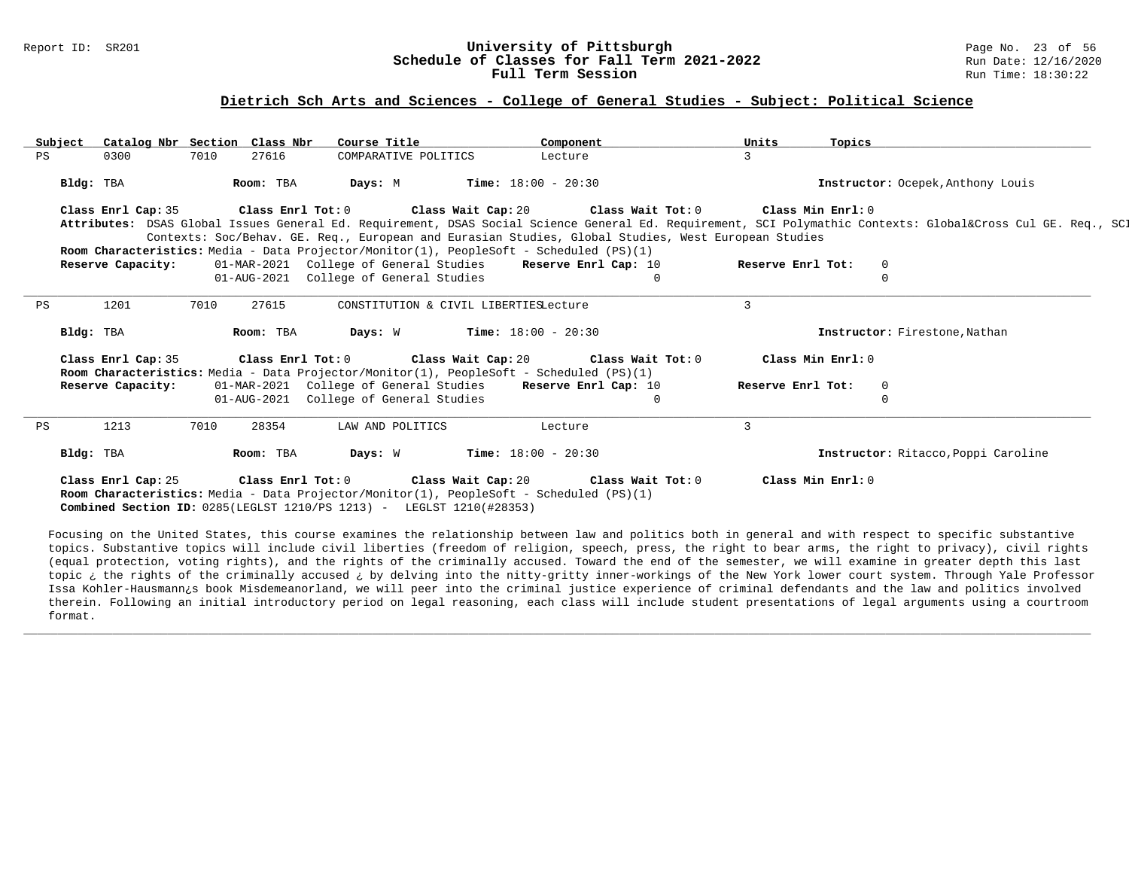#### Report ID: SR201 **1988 Mage 10: SR201 University of Pittsburgh University of Pittsburgh** Page No. 23 of 56<br>**Schedule of Classes for Fall Term 2021-2022** 1996 Man Date: 12/16/2020 **Schedule of Classes for Fall Term 2021-2022** Run Date: 12/16/2021<br>**Full Term Session** Run Time: 18:30:22 Full Term Session

#### **Dietrich Sch Arts and Sciences - College of General Studies - Subject: Political Science**

| Subject |                    | Catalog Nbr Section Class Nbr | Course Title                                                                            | Component                                                                                           | Units             | Topics                                                                                                                                                  |
|---------|--------------------|-------------------------------|-----------------------------------------------------------------------------------------|-----------------------------------------------------------------------------------------------------|-------------------|---------------------------------------------------------------------------------------------------------------------------------------------------------|
| PS      | 0300               | 7010<br>27616                 | COMPARATIVE POLITICS                                                                    | Lecture                                                                                             |                   |                                                                                                                                                         |
|         |                    |                               |                                                                                         |                                                                                                     |                   |                                                                                                                                                         |
|         | Bldg: TBA          | Room: TBA                     | <b>Days:</b> M <b>Time:</b> $18:00 - 20:30$                                             |                                                                                                     |                   | Instructor: Ocepek, Anthony Louis                                                                                                                       |
|         |                    |                               |                                                                                         | Class Enrl Cap: 35 Class Enrl Tot: 0 Class Wait Cap: 20 Class Wait Tot: 0                           | Class Min Enrl: 0 |                                                                                                                                                         |
|         |                    |                               |                                                                                         |                                                                                                     |                   | Attributes: DSAS Global Issues General Ed. Requirement, DSAS Social Science General Ed. Requirement, SCI Polymathic Contexts: Global⨯ Cul GE. Req., SCI |
|         |                    |                               |                                                                                         | Contexts: Soc/Behav. GE. Req., European and Eurasian Studies, Global Studies, West European Studies |                   |                                                                                                                                                         |
|         |                    |                               | Room Characteristics: Media - Data Projector/Monitor(1), PeopleSoft - Scheduled (PS)(1) |                                                                                                     |                   |                                                                                                                                                         |
|         | Reserve Capacity:  |                               |                                                                                         | 01-MAR-2021 College of General Studies Reserve Enrl Cap: 10                                         | Reserve Enrl Tot: | $\mathbf{0}$                                                                                                                                            |
|         |                    |                               | 01-AUG-2021 College of General Studies                                                  | $\Omega$                                                                                            |                   | $\Omega$                                                                                                                                                |
|         |                    |                               |                                                                                         |                                                                                                     |                   |                                                                                                                                                         |
| PS      | 1201               | 27615<br>7010                 | CONSTITUTION & CIVIL LIBERTIESLecture                                                   |                                                                                                     | $\mathcal{L}$     |                                                                                                                                                         |
|         | Bldg: TBA          | Room: TBA                     | <b>Days:</b> W <b>Time:</b> $18:00 - 20:30$                                             |                                                                                                     |                   | Instructor: Firestone, Nathan                                                                                                                           |
|         |                    |                               |                                                                                         |                                                                                                     |                   |                                                                                                                                                         |
|         | Class Enrl Cap: 35 |                               |                                                                                         | Class Enrl Tot: $0$ Class Wait Cap: $20$ Class Wait Tot: $0$                                        |                   | Class Min $Enr1:0$                                                                                                                                      |
|         |                    |                               | Room Characteristics: Media - Data Projector/Monitor(1), PeopleSoft - Scheduled (PS)(1) |                                                                                                     |                   |                                                                                                                                                         |
|         | Reserve Capacity:  |                               |                                                                                         | 01-MAR-2021 College of General Studies Reserve Enrl Cap: 10                                         | Reserve Enrl Tot: | $\Omega$                                                                                                                                                |
|         |                    |                               | 01-AUG-2021 College of General Studies                                                  | $\Omega$                                                                                            |                   | $\Omega$                                                                                                                                                |
| PS      | 1213               | 7010<br>28354                 | LAW AND POLITICS                                                                        | Lecture                                                                                             | 3                 |                                                                                                                                                         |
|         |                    |                               |                                                                                         |                                                                                                     |                   |                                                                                                                                                         |
|         | Bldg: TBA          | Room: TBA                     | Days: W                                                                                 | <b>Time:</b> $18:00 - 20:30$                                                                        |                   | Instructor: Ritacco, Poppi Caroline                                                                                                                     |
|         |                    |                               |                                                                                         |                                                                                                     |                   |                                                                                                                                                         |
|         |                    |                               |                                                                                         | Class Enrl Cap: 25 Class Enrl Tot: 0 Class Wait Cap: 20 Class Wait Tot: 0                           |                   | Class Min Enrl: 0                                                                                                                                       |
|         |                    |                               | Room Characteristics: Media - Data Projector/Monitor(1), PeopleSoft - Scheduled (PS)(1) |                                                                                                     |                   |                                                                                                                                                         |
|         |                    |                               | Combined Section ID: 0285(LEGLST 1210/PS 1213) - LEGLST 1210(#28353)                    |                                                                                                     |                   |                                                                                                                                                         |

Focusing on the United States, this course examines the relationship between law and politics both in general and with respect to specific substantive topics. Substantive topics will include civil liberties (freedom of religion, speech, press, the right to bear arms, the right to privacy), civil rights (equal protection, voting rights), and the rights of the criminally accused. Toward the end of the semester, we will examine in greater depth this last topic ¿ the rights of the criminally accused ¿ by delving into the nitty-gritty inner-workings of the New York lower court system. Through Yale Professor Issa Kohler-Hausmann¿s book Misdemeanorland, we will peer into the criminal justice experience of criminal defendants and the law and politics involved therein. Following an initial introductory period on legal reasoning, each class will include student presentations of legal arguments using a courtroom format.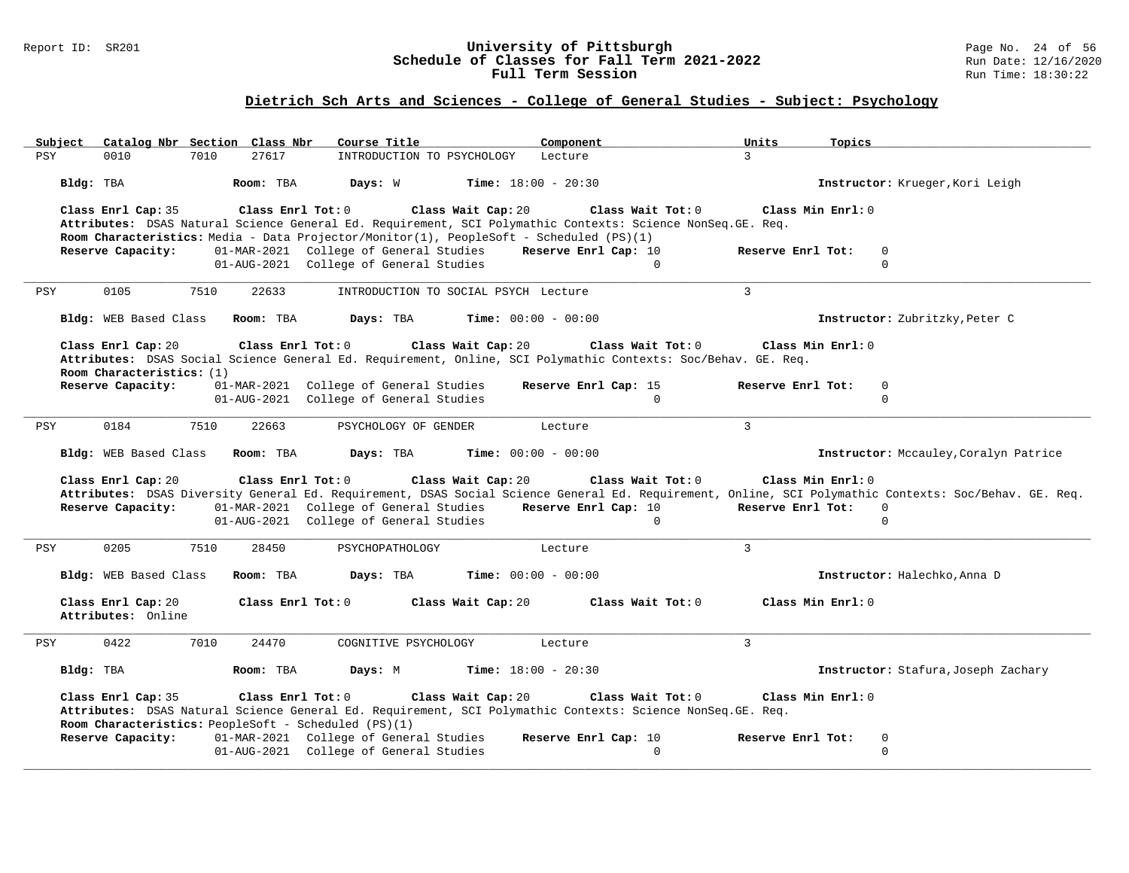#### Report ID: SR201 **University of Pittsburgh** Page No. 24 of 56 **Schedule of Classes for Fall Term 2021-2022** Run Date: 12/16/2020 **Full Term Session Rundall Term Session Rundall Term Session**

# **Dietrich Sch Arts and Sciences - College of General Studies - Subject: Psychology**

| Subject                                        | Catalog Nbr Section Class Nbr<br>Course Title                                                                                                                                                                                                     | Component                                             | Units<br>Topics                                                                                                                                                                                                               |
|------------------------------------------------|---------------------------------------------------------------------------------------------------------------------------------------------------------------------------------------------------------------------------------------------------|-------------------------------------------------------|-------------------------------------------------------------------------------------------------------------------------------------------------------------------------------------------------------------------------------|
| <b>PSY</b><br>0010<br>7010                     | 27617<br>INTRODUCTION TO PSYCHOLOGY                                                                                                                                                                                                               | Lecture                                               | $\mathcal{L}$                                                                                                                                                                                                                 |
| Bldg: TBA                                      | Room: TBA<br>Days: W                                                                                                                                                                                                                              | <b>Time:</b> $18:00 - 20:30$                          | Instructor: Krueger, Kori Leigh                                                                                                                                                                                               |
| Class Enrl Cap: 35                             | Class Enrl Tot: 0<br>Class Wait Cap: 20<br>Attributes: DSAS Natural Science General Ed. Requirement, SCI Polymathic Contexts: Science NonSeq. GE. Req.<br>Room Characteristics: Media - Data Projector/Monitor(1), PeopleSoft - Scheduled (PS)(1) | Class Wait Tot: 0                                     | Class Min Enrl: 0                                                                                                                                                                                                             |
| Reserve Capacity:                              | 01-MAR-2021 College of General Studies<br>01-AUG-2021 College of General Studies                                                                                                                                                                  | Reserve Enrl Cap: 10<br>$\Omega$                      | Reserve Enrl Tot:<br>0<br>$\Omega$                                                                                                                                                                                            |
| <b>PSY</b><br>0105<br>7510                     | 22633<br>INTRODUCTION TO SOCIAL PSYCH Lecture                                                                                                                                                                                                     |                                                       | $\overline{3}$                                                                                                                                                                                                                |
| Bldg: WEB Based Class                          | Room: TBA<br>Days: TBA                                                                                                                                                                                                                            | <b>Time:</b> $00:00 - 00:00$                          | Instructor: Zubritzky, Peter C                                                                                                                                                                                                |
| Class Enrl Cap: 20                             | Class Enrl Tot: 0<br>Class Wait Cap: 20                                                                                                                                                                                                           | Class Wait Tot: 0                                     | Class Min Enrl: 0                                                                                                                                                                                                             |
|                                                | Attributes: DSAS Social Science General Ed. Requirement, Online, SCI Polymathic Contexts: Soc/Behav. GE. Req.                                                                                                                                     |                                                       |                                                                                                                                                                                                                               |
| Room Characteristics: (1)<br>Reserve Capacity: | 01-MAR-2021 College of General Studies<br>01-AUG-2021 College of General Studies                                                                                                                                                                  | Reserve Enrl Cap: 15<br>$\Omega$                      | Reserve Enrl Tot:<br>0<br>$\Omega$                                                                                                                                                                                            |
| <b>PSY</b><br>0184<br>7510                     | 22663<br>PSYCHOLOGY OF GENDER                                                                                                                                                                                                                     | Lecture                                               | $\mathbf{3}$                                                                                                                                                                                                                  |
| Bldg: WEB Based Class                          | Room: TBA<br>Days: TBA                                                                                                                                                                                                                            | <b>Time:</b> $00:00 - 00:00$                          | Instructor: Mccauley, Coralyn Patrice                                                                                                                                                                                         |
| Class Enrl Cap: 20<br>Reserve Capacity:        | Class Enrl Tot: $0$<br>Class Wait Cap: 20<br>01-MAR-2021 College of General Studies<br>01-AUG-2021 College of General Studies                                                                                                                     | Class Wait Tot: 0<br>Reserve Enrl Cap: 10<br>$\Omega$ | Class Min Enrl: 0<br>Attributes: DSAS Diversity General Ed. Requirement, DSAS Social Science General Ed. Requirement, Online, SCI Polymathic Contexts: Soc/Behav. GE. Req.<br>Reserve Enrl Tot:<br>$\overline{0}$<br>$\Omega$ |
| 0205<br>7510<br>PSY                            | 28450<br>PSYCHOPATHOLOGY                                                                                                                                                                                                                          | Lecture                                               | $\mathbf{3}$                                                                                                                                                                                                                  |
| Bldg: WEB Based Class                          | Room: TBA<br>Days: TBA                                                                                                                                                                                                                            | <b>Time:</b> $00:00 - 00:00$                          | Instructor: Halechko, Anna D                                                                                                                                                                                                  |
| Class Enrl Cap: 20<br>Attributes: Online       | Class Wait Cap: 20<br>Class Enrl Tot: 0                                                                                                                                                                                                           | Class Wait Tot: 0                                     | Class Min Enrl: 0                                                                                                                                                                                                             |
| 0422<br>7010<br>PSY                            | 24470<br>COGNITIVE PSYCHOLOGY                                                                                                                                                                                                                     | Lecture                                               | $\overline{3}$                                                                                                                                                                                                                |
| Bldg: TBA                                      | Room: TBA<br>Days: M                                                                                                                                                                                                                              | <b>Time:</b> $18:00 - 20:30$                          | Instructor: Stafura, Joseph Zachary                                                                                                                                                                                           |
| Class Enrl Cap: 35                             | Class Enrl Tot: 0<br>Class Wait Cap: 20<br>Attributes: DSAS Natural Science General Ed. Requirement, SCI Polymathic Contexts: Science NonSeq. GE. Req.<br>Room Characteristics: PeopleSoft - Scheduled (PS)(1)                                    | Class Wait Tot: 0                                     | Class Min Enrl: 0                                                                                                                                                                                                             |
| Reserve Capacity:                              | 01-MAR-2021 College of General Studies<br>01-AUG-2021 College of General Studies                                                                                                                                                                  | Reserve Enrl Cap: 10<br>$\Omega$                      | Reserve Enrl Tot:<br>0<br>0                                                                                                                                                                                                   |
|                                                |                                                                                                                                                                                                                                                   |                                                       |                                                                                                                                                                                                                               |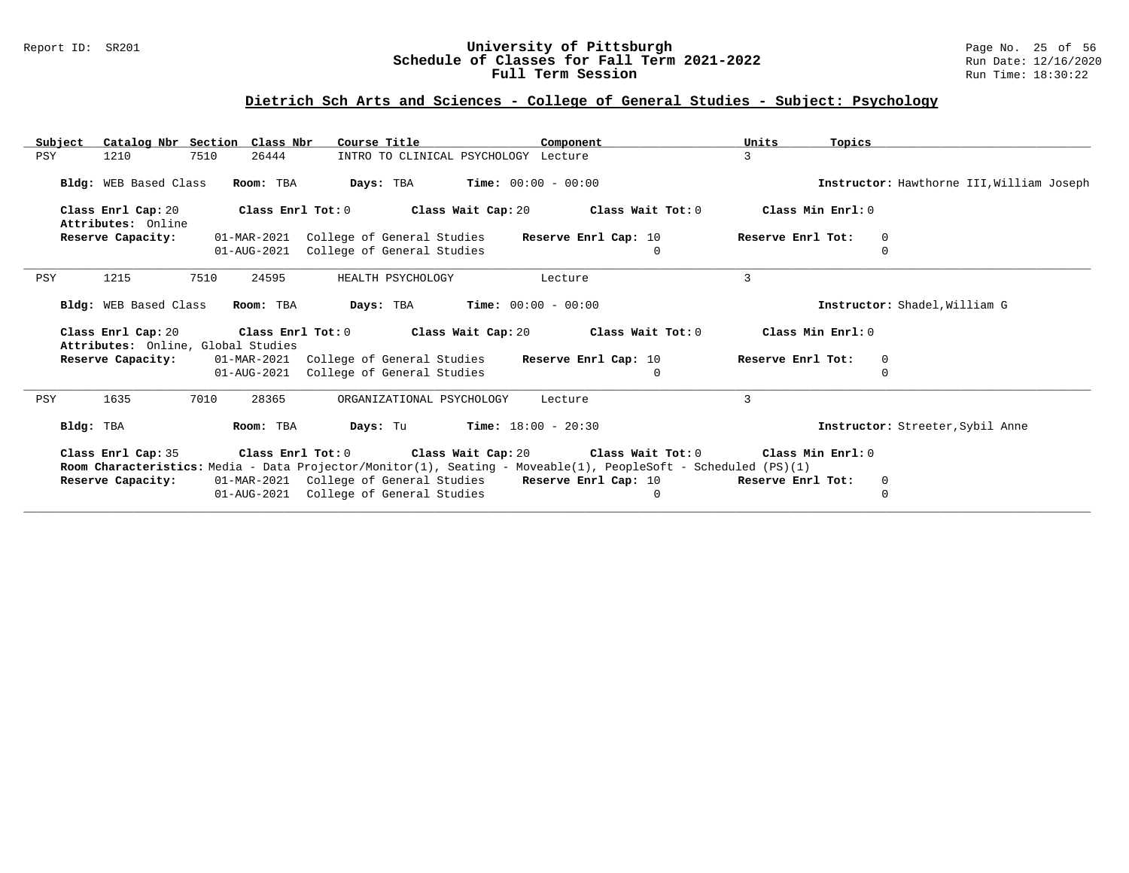### Report ID: SR201 **University of Pittsburgh** Page No. 25 of 56 **Schedule of Classes for Fall Term 2021-2022** Run Date: 12/16/2020 **Full Term Session Rundall Term Session Rundall Term Session**

# **Dietrich Sch Arts and Sciences - College of General Studies - Subject: Psychology**

| Catalog Nbr Section Class Nbr<br>Subject                 | Course Title                                                                                                   | Component                        | Units<br>Topics                              |                                           |  |
|----------------------------------------------------------|----------------------------------------------------------------------------------------------------------------|----------------------------------|----------------------------------------------|-------------------------------------------|--|
| 7510<br>PSY<br>1210                                      | 26444<br>INTRO TO CLINICAL PSYCHOLOGY Lecture                                                                  |                                  | 3                                            |                                           |  |
| Bldg: WEB Based Class                                    | <b>Days:</b> TBA <b>Time:</b> $00:00 - 00:00$<br>Room: TBA                                                     |                                  |                                              | Instructor: Hawthorne III, William Joseph |  |
| Class Enrl Cap: 20<br>Attributes: Online                 | Class Enrl Tot: $0$ Class Wait Cap: $20$ Class Wait Tot: $0$                                                   |                                  | Class Min Enrl: 0                            |                                           |  |
| Reserve Capacity:                                        | 01-MAR-2021 College of General Studies<br>01-AUG-2021 College of General Studies                               | Reserve Enrl Cap: 10<br>$\Omega$ | Reserve Enrl Tot:<br>$\mathbf 0$<br>$\Omega$ |                                           |  |
| 1215<br>7510<br>PSY                                      | 24595<br>HEALTH PSYCHOLOGY                                                                                     | Lecture                          | 3                                            |                                           |  |
| Bldg: WEB Based Class                                    | <b>Days:</b> TBA <b>Time:</b> $00:00 - 00:00$<br>Room: TBA                                                     |                                  | Instructor: Shadel, William G                |                                           |  |
| Class Enrl Cap: 20<br>Attributes: Online, Global Studies | Class Enrl Tot: $0$ Class Wait Cap: $20$ Class Wait Tot: $0$                                                   |                                  | Class Min Enrl: 0                            |                                           |  |
|                                                          | <b>Reserve Capacity:</b> 01-MAR-2021 College of General Studies<br>01-AUG-2021 College of General Studies      | Reserve Enrl Cap: 10             | Reserve Enrl Tot:<br>$\mathbf 0$<br>$\Omega$ |                                           |  |
| 1635<br>7010<br>PSY                                      | 28365<br>ORGANIZATIONAL PSYCHOLOGY                                                                             | Lecture                          | 3                                            |                                           |  |
| Bldg: TBA                                                | <b>Days:</b> Tu <b>Time:</b> $18:00 - 20:30$<br>Room: TBA                                                      |                                  | Instructor: Streeter, Sybil Anne             |                                           |  |
| Class Enrl Cap: 35                                       | Class Enrl Tot: $0$ Class Wait Cap: $20$ Class Wait Tot: $0$                                                   |                                  | Class Min Enrl: 0                            |                                           |  |
|                                                          | Room Characteristics: Media - Data Projector/Monitor(1), Seating - Moveable(1), PeopleSoft - Scheduled (PS)(1) |                                  |                                              |                                           |  |
| Reserve Capacity:                                        | 01-MAR-2021 College of General Studies Reserve Enrl Cap: 10<br>01-AUG-2021 College of General Studies          | $\Omega$                         | 0<br>Reserve Enrl Tot:<br>0                  |                                           |  |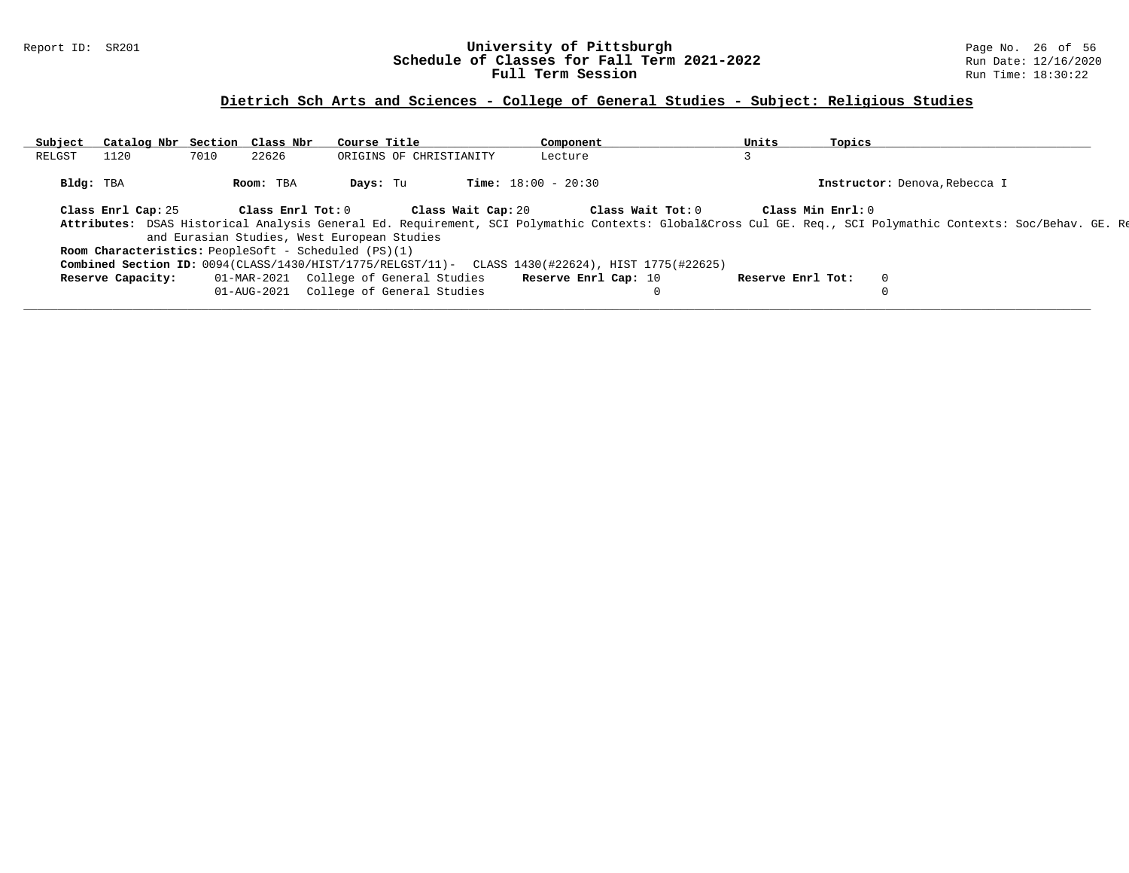### Report ID: SR201 **University of Pittsburgh** Page No. 26 of 56 **Schedule of Classes for Fall Term 2021-2022** Run Date: 12/16/2020 **Full Term Session Rundall Term Session Rundall Term Session**

# **Dietrich Sch Arts and Sciences - College of General Studies - Subject: Religious Studies**

| Subject   | Catalog Nbr Section Class Nbr |      |                   | Course Title                                                                                     |                    | Component                    |                   | Units             | Topics              |                                                                                                                                                         |  |
|-----------|-------------------------------|------|-------------------|--------------------------------------------------------------------------------------------------|--------------------|------------------------------|-------------------|-------------------|---------------------|---------------------------------------------------------------------------------------------------------------------------------------------------------|--|
| RELGST    | 1120                          | 7010 | 22626             | ORIGINS OF CHRISTIANITY                                                                          |                    | Lecture                      |                   |                   |                     |                                                                                                                                                         |  |
| Bldg: TBA |                               |      | Room: TBA         | Days: Tu                                                                                         |                    | <b>Time:</b> $18:00 - 20:30$ |                   |                   |                     | Instructor: Denova, Rebecca I                                                                                                                           |  |
|           | Class Enrl Cap: 25            |      | Class Enrl Tot: 0 |                                                                                                  | Class Wait Cap: 20 |                              | Class Wait Tot: 0 |                   | Class Min $Enr1: 0$ |                                                                                                                                                         |  |
|           |                               |      |                   |                                                                                                  |                    |                              |                   |                   |                     | Attributes: DSAS Historical Analysis General Ed. Requirement, SCI Polymathic Contexts: Global⨯ Cul GE. Req., SCI Polymathic Contexts: Soc/Behav. GE. Re |  |
|           |                               |      |                   | and Eurasian Studies, West European Studies                                                      |                    |                              |                   |                   |                     |                                                                                                                                                         |  |
|           |                               |      |                   | <b>Room Characteristics:</b> PeopleSoft - Scheduled (PS)(1)                                      |                    |                              |                   |                   |                     |                                                                                                                                                         |  |
|           |                               |      |                   | Combined Section ID: 0094(CLASS/1430/HIST/1775/RELGST/11)- CLASS 1430(#22624), HIST 1775(#22625) |                    |                              |                   |                   |                     |                                                                                                                                                         |  |
|           | Reserve Capacity:             |      |                   | 01-MAR-2021 College of General Studies                                                           |                    | Reserve Enrl Cap: 10         |                   | Reserve Enrl Tot: |                     | $\Omega$                                                                                                                                                |  |
|           |                               |      | 01-AUG-2021       | College of General Studies                                                                       |                    |                              |                   |                   |                     |                                                                                                                                                         |  |
|           |                               |      |                   |                                                                                                  |                    |                              |                   |                   |                     |                                                                                                                                                         |  |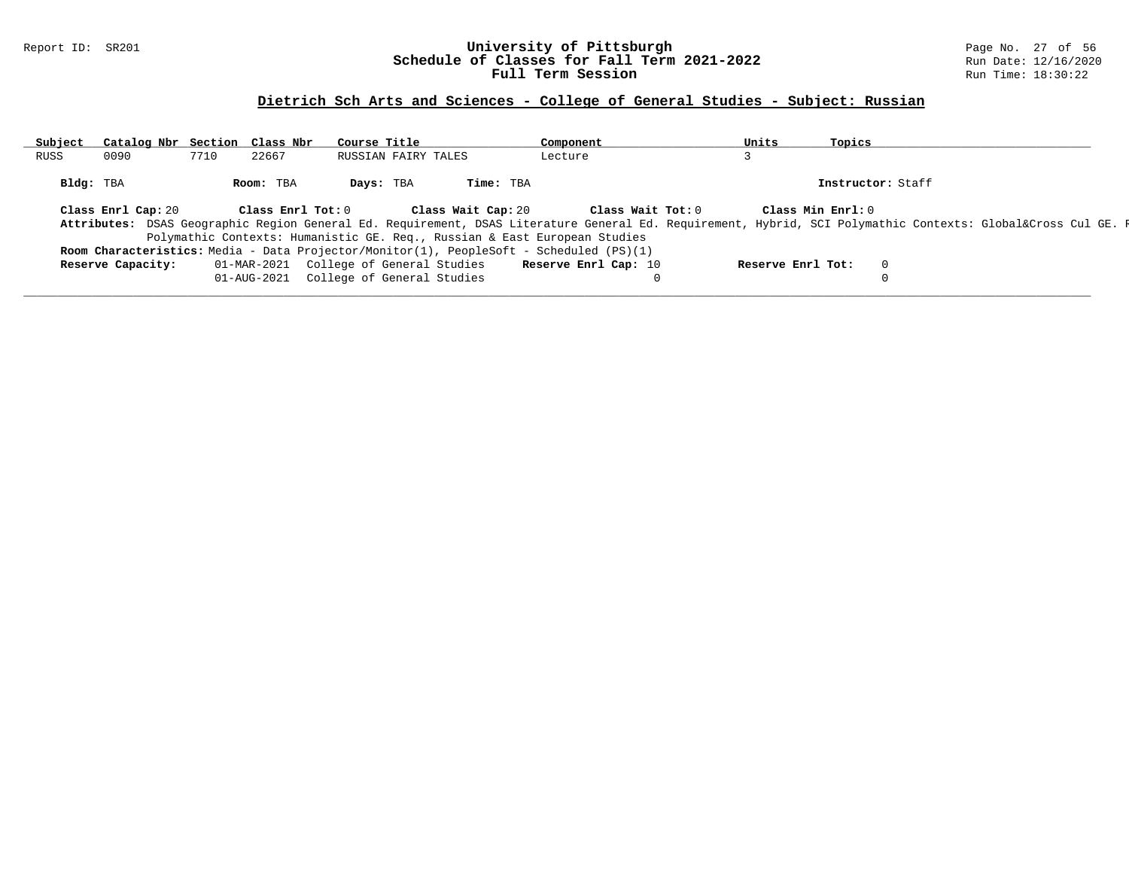### Report ID: SR201 **University of Pittsburgh** Page No. 27 of 56 **Schedule of Classes for Fall Term 2021-2022** Run Date: 12/16/2020 **Full Term Session Rundall Term Session Rundall Term Session**

### **Dietrich Sch Arts and Sciences - College of General Studies - Subject: Russian**

| Subject | Catalog Nbr Section Class Nbr |             |                   | Course Title |                                        |                    | Component                                                                                      | Units             | Topics |                                                                                                                                                       |
|---------|-------------------------------|-------------|-------------------|--------------|----------------------------------------|--------------------|------------------------------------------------------------------------------------------------|-------------------|--------|-------------------------------------------------------------------------------------------------------------------------------------------------------|
| RUSS    | 0090                          | 7710        | 22667             |              | RUSSIAN FAIRY TALES                    |                    | Lecture                                                                                        |                   |        |                                                                                                                                                       |
|         | Bldg: TBA                     |             | Room: TBA         | Days: TBA    |                                        | Time: TBA          |                                                                                                |                   |        | Instructor: Staff                                                                                                                                     |
|         | Class Enrl Cap: 20            |             | Class Enrl Tot: 0 |              |                                        | Class Wait Cap: 20 | Class Wait Tot: 0                                                                              | Class Min Enrl: 0 |        |                                                                                                                                                       |
|         |                               |             |                   |              |                                        |                    |                                                                                                |                   |        | Attributes: DSAS Geographic Region General Ed. Requirement, DSAS Literature General Ed. Requirement, Hybrid, SCI Polymathic Contexts: Global⨯ Cul GE. |
|         |                               |             |                   |              |                                        |                    | Polymathic Contexts: Humanistic GE. Req., Russian & East European Studies                      |                   |        |                                                                                                                                                       |
|         |                               |             |                   |              |                                        |                    | <b>Room Characteristics:</b> Media - Data Projector/Monitor(1), PeopleSoft - Scheduled (PS)(1) |                   |        |                                                                                                                                                       |
|         | Reserve Capacity:             |             |                   |              | 01-MAR-2021 College of General Studies |                    | Reserve Enrl Cap: 10                                                                           | Reserve Enrl Tot: |        |                                                                                                                                                       |
|         |                               | 01-AUG-2021 |                   |              | College of General Studies             |                    |                                                                                                |                   |        |                                                                                                                                                       |
|         |                               |             |                   |              |                                        |                    |                                                                                                |                   |        |                                                                                                                                                       |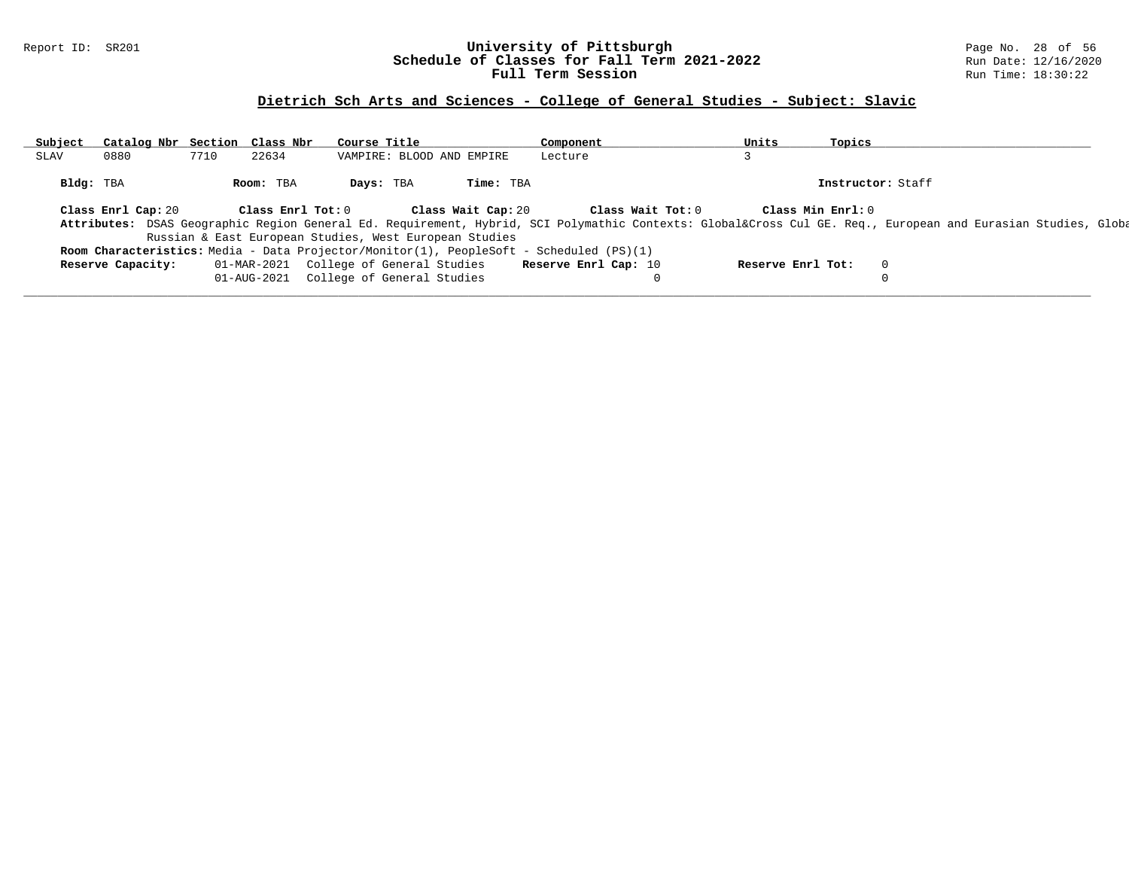### Report ID: SR201 **University of Pittsburgh** Page No. 28 of 56 **Schedule of Classes for Fall Term 2021-2022** Run Date: 12/16/2020 **Full Term Session Rundall Term Session Rundall Term Session**

# **Dietrich Sch Arts and Sciences - College of General Studies - Subject: Slavic**

| Subject     | Catalog Nbr Section Class Nbr |      |                   | Course Title                                           |                           | Component                                                                               | Units             | Topics            |                                                                                                                                                         |
|-------------|-------------------------------|------|-------------------|--------------------------------------------------------|---------------------------|-----------------------------------------------------------------------------------------|-------------------|-------------------|---------------------------------------------------------------------------------------------------------------------------------------------------------|
| <b>SLAV</b> | 0880                          | 7710 | 22634             |                                                        | VAMPIRE: BLOOD AND EMPIRE | Lecture                                                                                 |                   |                   |                                                                                                                                                         |
|             | Bldg: TBA                     |      | Room: TBA         | Days: TBA                                              | Time: TBA                 |                                                                                         |                   | Instructor: Staff |                                                                                                                                                         |
|             | Class Enrl Cap: 20            |      | Class Enrl Tot: 0 |                                                        | Class Wait Cap: 20        | Class Wait Tot: 0                                                                       |                   | Class Min Enrl: 0 |                                                                                                                                                         |
|             |                               |      |                   |                                                        |                           |                                                                                         |                   |                   | Attributes: DSAS Geographic Region General Ed. Requirement, Hybrid, SCI Polymathic Contexts: Global⨯ Cul GE. Req., European and Eurasian Studies, Globa |
|             |                               |      |                   | Russian & East European Studies, West European Studies |                           |                                                                                         |                   |                   |                                                                                                                                                         |
|             |                               |      |                   |                                                        |                           | Room Characteristics: Media - Data Projector/Monitor(1), PeopleSoft - Scheduled (PS)(1) |                   |                   |                                                                                                                                                         |
|             | Reserve Capacity:             |      | 01-MAR-2021       | College of General Studies                             |                           | Reserve Enrl Cap: 10                                                                    | Reserve Enrl Tot: | $\overline{0}$    |                                                                                                                                                         |
|             |                               |      | 01-AUG-2021       | College of General Studies                             |                           | 0                                                                                       |                   |                   |                                                                                                                                                         |
|             |                               |      |                   |                                                        |                           |                                                                                         |                   |                   |                                                                                                                                                         |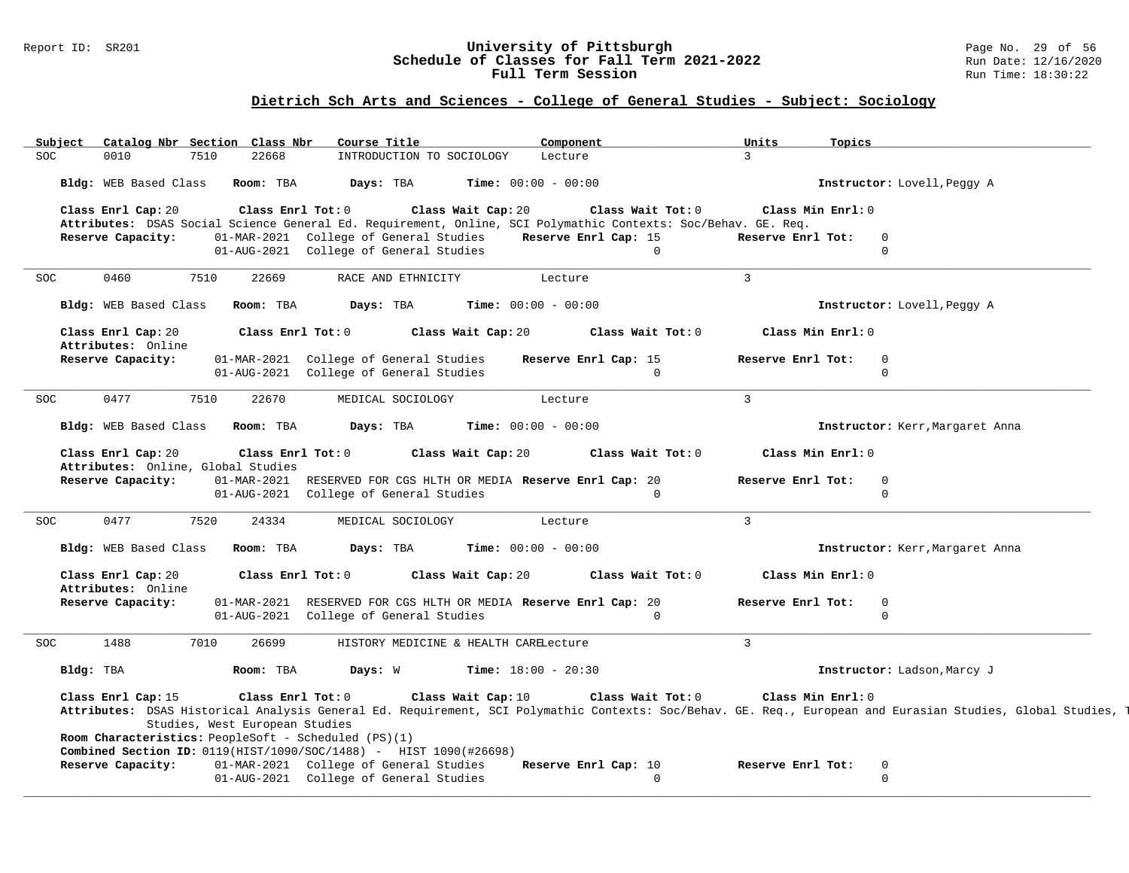#### Report ID: SR201 **University of Pittsburgh** Page No. 29 of 56 **Schedule of Classes for Fall Term 2021-2022** Run Date: 12/16/2020 **Full Term Session Rundall Term Session Rundall Term Session**

# **Dietrich Sch Arts and Sciences - College of General Studies - Subject: Sociology**

| Subject<br>SOC<br>0010                                   | Catalog Nbr Section Class Nbr<br>7510<br>22668       | Course Title<br>INTRODUCTION TO SOCIOLOGY                                                                   | Component<br>Lecture                                                                                          | Units<br>Topics<br>$\overline{3}$ |                                                                                                                                                              |
|----------------------------------------------------------|------------------------------------------------------|-------------------------------------------------------------------------------------------------------------|---------------------------------------------------------------------------------------------------------------|-----------------------------------|--------------------------------------------------------------------------------------------------------------------------------------------------------------|
|                                                          |                                                      |                                                                                                             |                                                                                                               |                                   |                                                                                                                                                              |
| Bldg: WEB Based Class                                    | Room: TBA                                            | Days: TBA                                                                                                   | <b>Time:</b> $00:00 - 00:00$                                                                                  |                                   | Instructor: Lovell, Peggy A                                                                                                                                  |
| Class Enrl Cap: 20                                       | Class Enrl Tot: 0                                    | Class Wait Cap: 20                                                                                          | Class Wait Tot: 0                                                                                             | Class Min Enrl: 0                 |                                                                                                                                                              |
|                                                          |                                                      |                                                                                                             | Attributes: DSAS Social Science General Ed. Requirement, Online, SCI Polymathic Contexts: Soc/Behav. GE. Req. |                                   |                                                                                                                                                              |
| Reserve Capacity:                                        |                                                      | 01-MAR-2021 College of General Studies                                                                      | Reserve Enrl Cap: 15                                                                                          | Reserve Enrl Tot:<br>$\mathbf 0$  |                                                                                                                                                              |
|                                                          |                                                      | 01-AUG-2021 College of General Studies                                                                      | $\Omega$                                                                                                      | $\Omega$                          |                                                                                                                                                              |
| 0460<br><b>SOC</b>                                       | 7510<br>22669                                        | RACE AND ETHNICITY                                                                                          | Lecture                                                                                                       | $\overline{3}$                    |                                                                                                                                                              |
| Bldg: WEB Based Class                                    | Room: TBA                                            | Days: TBA                                                                                                   | Time: $00:00 - 00:00$                                                                                         |                                   | Instructor: Lovell, Peggy A                                                                                                                                  |
| Class Enrl Cap: 20<br>Attributes: Online                 | Class Enrl Tot: 0                                    | Class Wait Cap: 20                                                                                          | Class Wait Tot: 0                                                                                             | Class Min Enrl: 0                 |                                                                                                                                                              |
| Reserve Capacity:                                        |                                                      | 01-MAR-2021 College of General Studies                                                                      | Reserve Enrl Cap: 15                                                                                          | Reserve Enrl Tot:<br>$\Omega$     |                                                                                                                                                              |
|                                                          |                                                      | 01-AUG-2021 College of General Studies                                                                      | $\Omega$                                                                                                      | $\Omega$                          |                                                                                                                                                              |
| 0477<br><b>SOC</b>                                       | 7510<br>22670                                        | MEDICAL SOCIOLOGY                                                                                           | Lecture                                                                                                       | $\overline{3}$                    |                                                                                                                                                              |
| Bldg: WEB Based Class                                    | Room: TBA                                            | Days: TBA                                                                                                   | <b>Time:</b> $00:00 - 00:00$                                                                                  |                                   | Instructor: Kerr, Margaret Anna                                                                                                                              |
|                                                          |                                                      |                                                                                                             |                                                                                                               |                                   |                                                                                                                                                              |
| Class Enrl Cap: 20<br>Attributes: Online, Global Studies | Class Enrl Tot: 0                                    | Class Wait Cap: 20                                                                                          | Class Wait Tot: 0                                                                                             | Class Min Enrl: 0                 |                                                                                                                                                              |
| Reserve Capacity:                                        | 01-MAR-2021                                          | RESERVED FOR CGS HLTH OR MEDIA Reserve Enrl Cap: 20                                                         |                                                                                                               | Reserve Enrl Tot:<br>$\Omega$     |                                                                                                                                                              |
|                                                          |                                                      | 01-AUG-2021 College of General Studies                                                                      | $\Omega$                                                                                                      | $\Omega$                          |                                                                                                                                                              |
| 0477<br><b>SOC</b>                                       | 7520<br>24334                                        | MEDICAL SOCIOLOGY                                                                                           | Lecture                                                                                                       | $\overline{3}$                    |                                                                                                                                                              |
|                                                          |                                                      |                                                                                                             |                                                                                                               |                                   |                                                                                                                                                              |
| Bldg: WEB Based Class                                    | Room: TBA                                            | Days: TBA                                                                                                   | <b>Time:</b> $00:00 - 00:00$                                                                                  |                                   | Instructor: Kerr, Margaret Anna                                                                                                                              |
| Class Enrl Cap: 20<br>Attributes: Online                 | Class Enrl Tot: 0                                    | Class Wait Cap: 20                                                                                          | Class Wait Tot: 0                                                                                             | Class Min Enrl: 0                 |                                                                                                                                                              |
| Reserve Capacity:                                        | 01-MAR-2021                                          | RESERVED FOR CGS HLTH OR MEDIA Reserve Enrl Cap: 20                                                         |                                                                                                               | Reserve Enrl Tot:<br>$\mathbf 0$  |                                                                                                                                                              |
|                                                          |                                                      | 01-AUG-2021 College of General Studies                                                                      | $\Omega$                                                                                                      | $\mathbf 0$                       |                                                                                                                                                              |
| 1488<br>SOC.                                             | 7010<br>26699                                        | HISTORY MEDICINE & HEALTH CARELecture                                                                       |                                                                                                               | $\mathbf{3}$                      |                                                                                                                                                              |
| Bldg: TBA                                                | Room: TBA                                            | Days: W                                                                                                     | <b>Time:</b> $18:00 - 20:30$                                                                                  |                                   | Instructor: Ladson, Marcy J                                                                                                                                  |
| Class Enrl Cap: 15                                       | Class Enrl Tot: 0                                    | Class Wait Cap: 10                                                                                          | Class Wait Tot: 0                                                                                             | Class Min Enrl: 0                 |                                                                                                                                                              |
|                                                          |                                                      |                                                                                                             |                                                                                                               |                                   | Attributes: DSAS Historical Analysis General Ed. Requirement, SCI Polymathic Contexts: Soc/Behav. GE. Req., European and Eurasian Studies, Global Studies, 1 |
|                                                          | Studies, West European Studies                       |                                                                                                             |                                                                                                               |                                   |                                                                                                                                                              |
|                                                          | Room Characteristics: PeopleSoft - Scheduled (PS)(1) |                                                                                                             |                                                                                                               |                                   |                                                                                                                                                              |
| Reserve Capacity:                                        |                                                      | Combined Section ID: 0119(HIST/1090/SOC/1488) - HIST 1090(#26698)<br>01-MAR-2021 College of General Studies | Reserve Enrl Cap: 10                                                                                          | Reserve Enrl Tot:<br>$\mathbf 0$  |                                                                                                                                                              |
|                                                          |                                                      | 01-AUG-2021 College of General Studies                                                                      | $\Omega$                                                                                                      | $\Omega$                          |                                                                                                                                                              |
|                                                          |                                                      |                                                                                                             |                                                                                                               |                                   |                                                                                                                                                              |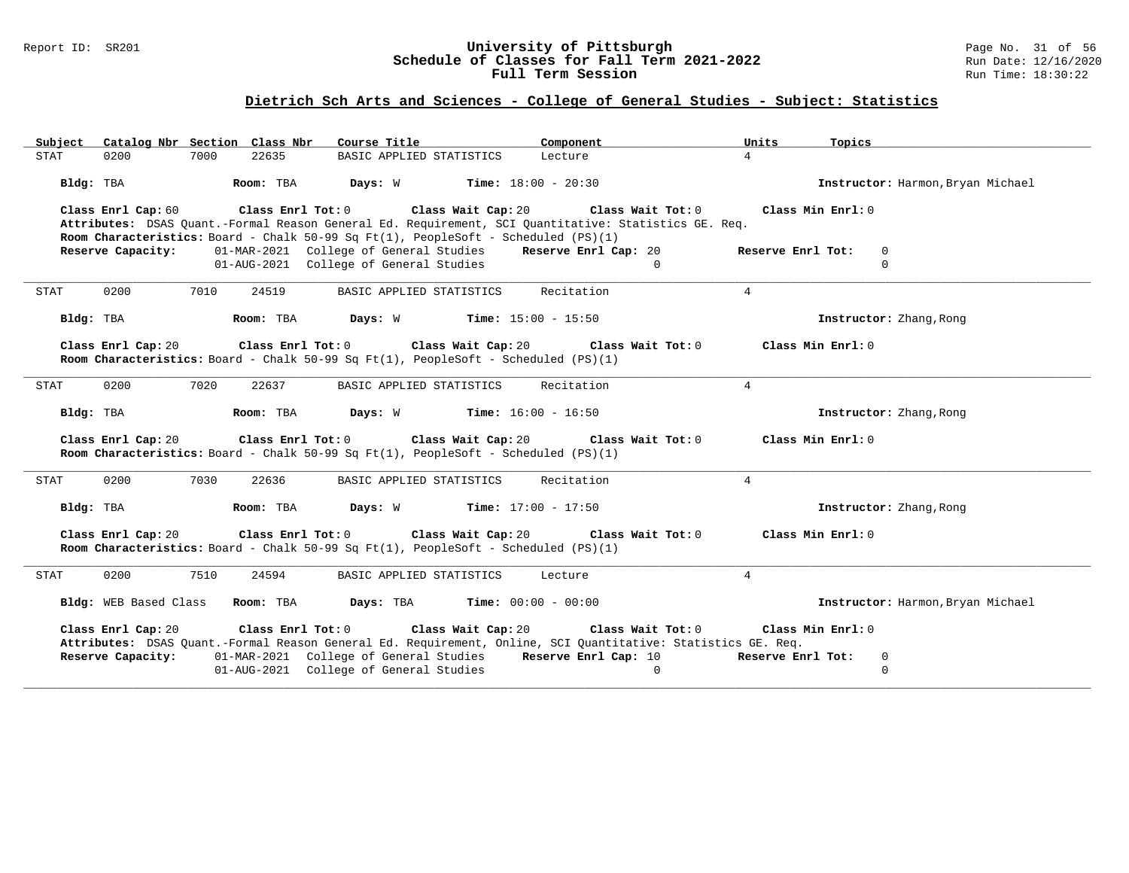#### Report ID: SR201 **University of Pittsburgh** Page No. 31 of 56 **Schedule of Classes for Fall Term 2021-2022** Run Date: 12/16/2020 **Full Term Session Rundall Term Session Rundall Term Session**

# **Dietrich Sch Arts and Sciences - College of General Studies - Subject: Statistics**

| Catalog Nbr Section Class Nbr<br>Subject      | Course Title<br>Component                                                                                                                                                                                        | Units                                  | Topics                            |
|-----------------------------------------------|------------------------------------------------------------------------------------------------------------------------------------------------------------------------------------------------------------------|----------------------------------------|-----------------------------------|
| 22635<br>0200<br>7000<br>STAT                 | BASIC APPLIED STATISTICS<br>Lecture                                                                                                                                                                              | $\overline{4}$                         |                                   |
| Bldg: TBA<br>Room: TBA                        | <b>Days:</b> W <b>Time:</b> $18:00 - 20:30$                                                                                                                                                                      |                                        | Instructor: Harmon, Bryan Michael |
| Class Enrl Cap: 60<br>Class Enrl Tot: 0       | Class Wait Cap: 20<br>Attributes: DSAS Quant.-Formal Reason General Ed. Requirement, SCI Quantitative: Statistics GE. Req.<br>Room Characteristics: Board - Chalk 50-99 Sq Ft(1), PeopleSoft - Scheduled (PS)(1) | Class Wait Tot: 0<br>Class Min Enrl: 0 |                                   |
| Reserve Capacity:                             | 01-MAR-2021 College of General Studies Reserve Enrl Cap: 20                                                                                                                                                      | Reserve Enrl Tot:                      | $\mathbf 0$                       |
|                                               | 01-AUG-2021 College of General Studies                                                                                                                                                                           | $\Omega$                               | $\mathbf 0$                       |
| 0200<br>7010<br>24519<br>STAT                 | Recitation<br>BASIC APPLIED STATISTICS                                                                                                                                                                           | $4\overline{ }$                        |                                   |
| Room: TBA<br>Bldg: TBA                        | <b>Days:</b> W <b>Time:</b> $15:00 - 15:50$                                                                                                                                                                      |                                        | Instructor: Zhang, Rong           |
| Class Enrl Cap: 20                            | Class Enrl Tot: 0 Class Wait Cap: 20<br>Room Characteristics: Board - Chalk 50-99 Sq Ft(1), PeopleSoft - Scheduled (PS)(1)                                                                                       | Class Min Enrl: 0<br>Class Wait Tot: 0 |                                   |
| 0200<br>7020<br>22637<br>STAT                 | Recitation<br>BASIC APPLIED STATISTICS                                                                                                                                                                           | $\overline{4}$                         |                                   |
| Room: TBA<br>Bldg: TBA                        | Days: W<br><b>Time:</b> $16:00 - 16:50$                                                                                                                                                                          |                                        | Instructor: Zhang, Rong           |
| Class Enrl Tot: 0<br>Class Enrl Cap: 20       | Class Wait Cap: 20<br>Room Characteristics: Board - Chalk 50-99 Sq Ft(1), PeopleSoft - Scheduled (PS)(1)                                                                                                         | Class Min Enrl: 0<br>Class Wait Tot: 0 |                                   |
| 7030<br>22636<br>0200<br>STAT                 | BASIC APPLIED STATISTICS<br>Recitation                                                                                                                                                                           | $\overline{4}$                         |                                   |
| Bldg: TBA<br>Room: TBA                        | <b>Days:</b> W <b>Time:</b> $17:00 - 17:50$                                                                                                                                                                      |                                        | Instructor: Zhang, Rong           |
| Class Enrl Cap: 20<br>$Class$ $Enr1$ $Tot: 0$ | Class Wait Cap: 20<br>Room Characteristics: Board - Chalk 50-99 Sq Ft(1), PeopleSoft - Scheduled (PS)(1)                                                                                                         | Class Wait Tot: 0<br>Class Min Enrl: 0 |                                   |
| 0200<br>7510<br>24594<br>STAT                 | BASIC APPLIED STATISTICS<br>Lecture                                                                                                                                                                              | $\overline{4}$                         |                                   |
| Bldg: WEB Based Class<br>Room: TBA            | Days: TBA<br><b>Time:</b> $00:00 - 00:00$                                                                                                                                                                        |                                        | Instructor: Harmon, Bryan Michael |
| Class Enrl Cap: 20<br>Class Enrl Tot: 0       | Class Wait Cap: 20<br>Attributes: DSAS Ouant.-Formal Reason General Ed. Requirement, Online, SCI Ouantitative: Statistics GE. Req.                                                                               | Class Wait Tot: 0<br>Class Min Enrl: 0 |                                   |
| Reserve Capacity:                             | 01-MAR-2021 College of General Studies Reserve Enrl Cap: 10                                                                                                                                                      | Reserve Enrl Tot:                      | 0                                 |
|                                               | 01-AUG-2021 College of General Studies                                                                                                                                                                           | $\mathbf{0}$                           | $\mathbf 0$                       |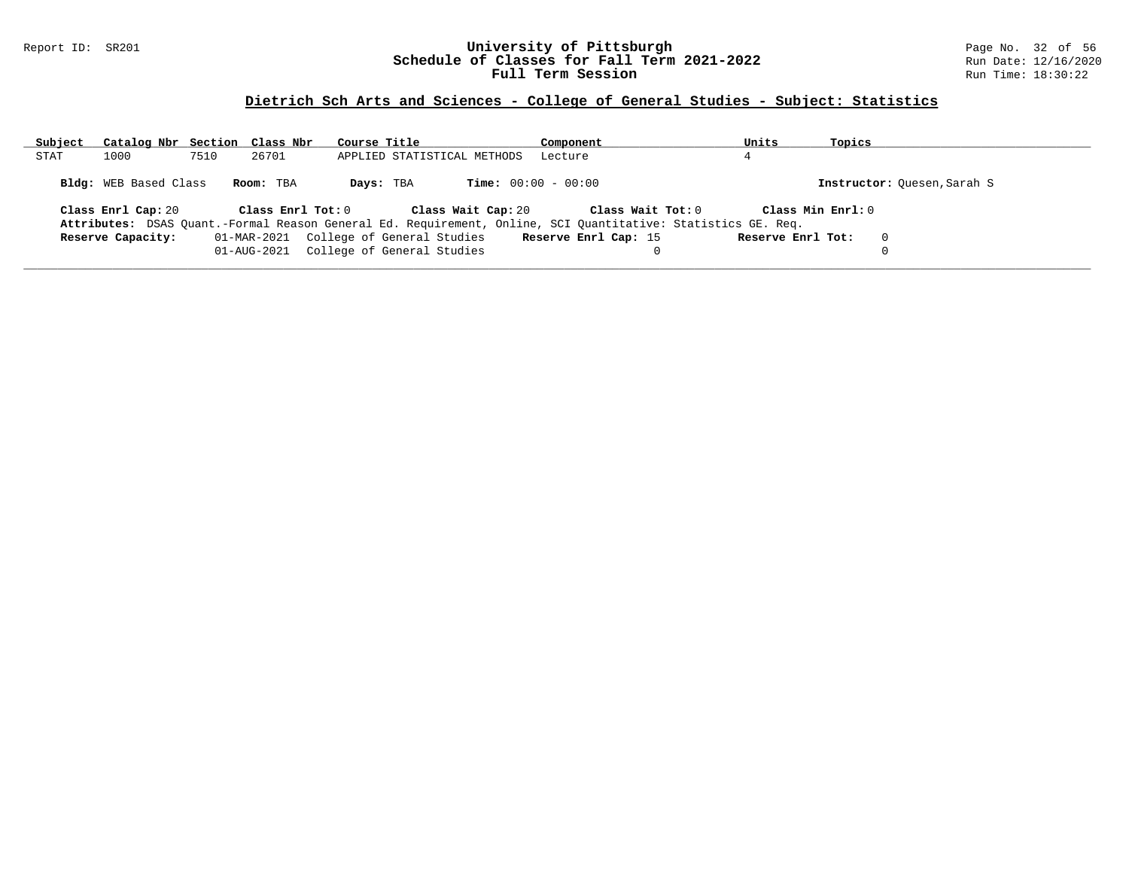### Report ID: SR201 **University of Pittsburgh** Page No. 32 of 56 **Schedule of Classes for Fall Term 2021-2022** Run Date: 12/16/2020 **Full Term Session Rundall Term Session Rundall Term Session**

# **Dietrich Sch Arts and Sciences - College of General Studies - Subject: Statistics**

| Subject | Catalog Nbr Section Class Nbr |      |                   | Course Title                                                                                                 | Component                    | Units             | Topics                      |  |
|---------|-------------------------------|------|-------------------|--------------------------------------------------------------------------------------------------------------|------------------------------|-------------------|-----------------------------|--|
| STAT    | 1000                          | 7510 | 26701             | APPLIED STATISTICAL METHODS                                                                                  | Lecture                      |                   |                             |  |
|         | <b>Bldg:</b> WEB Based Class  |      | Room: TBA         | Days: TBA                                                                                                    | <b>Time:</b> $00:00 - 00:00$ |                   | Instructor: Ouesen, Sarah S |  |
|         | Class Enrl Cap: 20            |      | Class Enrl Tot: 0 | Class Wait Cap: 20                                                                                           | Class Wait Tot: 0            |                   | Class Min Enrl: 0           |  |
|         |                               |      |                   | Attributes: DSAS Quant.-Formal Reason General Ed. Requirement, Online, SCI Quantitative: Statistics GE. Req. |                              |                   |                             |  |
|         | Reserve Capacity:             |      |                   | 01-MAR-2021 College of General Studies                                                                       | Reserve Enrl Cap: 15         | Reserve Enrl Tot: | $\Omega$                    |  |
|         |                               |      | 01-AUG-2021       | College of General Studies                                                                                   |                              |                   |                             |  |
|         |                               |      |                   |                                                                                                              |                              |                   |                             |  |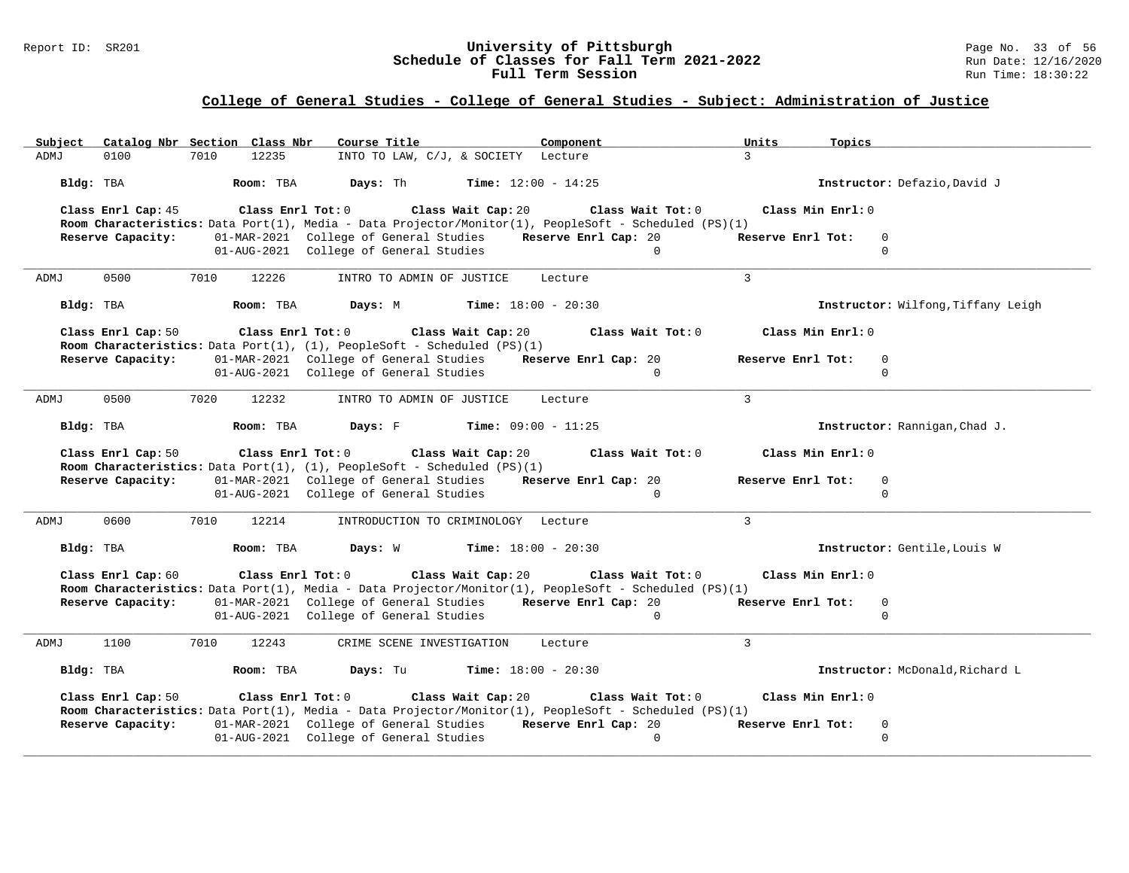### Report ID: SR201 **1988 Constrained Building Constrained Building Constrained Building Page No. 33 of 56 and Date: 12/16/2020 Run Date: 12/16/2020 Run Date: 12/16/2020 Schedule of Classes for Fall Term 2021-2022** Run Date: 12/16/2020 **Full Term Session Rundall Term Session Rundall Term Session**

| Subject<br>Catalog Nbr Section Class Nbr | Course Title<br>Component                                                                                                                                             | Units<br>Topics                    |
|------------------------------------------|-----------------------------------------------------------------------------------------------------------------------------------------------------------------------|------------------------------------|
| 0100<br>7010<br>12235<br>ADMJ            | INTO TO LAW, C/J, & SOCIETY Lecture                                                                                                                                   | $\mathcal{L}$                      |
|                                          | <b>Bldg:</b> TBA <b>Room:</b> TBA <b>Days:</b> Th <b>Time:</b> 12:00 - 14:25                                                                                          | Instructor: Defazio, David J       |
| Class Enrl Cap: 45                       | Class Enrl Tot: $0$ Class Wait Cap: $20$ Class Wait Tot: $0$<br>Room Characteristics: Data Port(1), Media - Data Projector/Monitor(1), PeopleSoft - Scheduled (PS)(1) | Class Min Enrl: 0                  |
| Reserve Capacity:                        | 01-MAR-2021 College of General Studies Reserve Enrl Cap: 20                                                                                                           | Reserve Enrl Tot:<br>$\mathbf 0$   |
|                                          | 01-AUG-2021 College of General Studies<br>$\Omega$                                                                                                                    | $\Omega$                           |
| 0500<br>7010<br>12226<br>ADMJ            | INTRO TO ADMIN OF JUSTICE Lecture                                                                                                                                     | $\mathcal{R}$                      |
| Room: TBA<br>Bldg: TBA                   | <b>Days:</b> M <b>Time:</b> $18:00 - 20:30$                                                                                                                           | Instructor: Wilfong, Tiffany Leigh |
| Class Enrl Cap: 50                       | Class Enrl Tot: $0$ Class Wait Cap: $20$ Class Wait Tot: $0$<br><b>Room Characteristics:</b> Data Port(1), $(1)$ , PeopleSoft - Scheduled $(PS)(1)$                   | Class Min Enrl: 0                  |
| Reserve Capacity:                        | 01-MAR-2021 College of General Studies Reserve Enrl Cap: 20                                                                                                           | Reserve Enrl Tot:<br>0             |
|                                          | 01-AUG-2021 College of General Studies<br>$\Omega$                                                                                                                    | $\Omega$                           |
| 0500<br>7020<br>12232<br>ADMJ            | INTRO TO ADMIN OF JUSTICE<br>Lecture                                                                                                                                  | $\mathcal{L}$                      |
| Bldg: TBA                                | Room: TBA $Days: F$ Time: $09:00 - 11:25$                                                                                                                             | Instructor: Rannigan, Chad J.      |
| Class Enrl Cap: 50                       | Class Enrl Tot: 0 $\qquad$ Class Wait Cap: 20 $\qquad$ Class Wait Tot: 0<br>Room Characteristics: Data Port(1), (1), PeopleSoft - Scheduled (PS)(1)                   | Class Min Enrl: 0                  |
| Reserve Capacity:                        | 01-MAR-2021 College of General Studies Reserve Enrl Cap: 20                                                                                                           | Reserve Enrl Tot:<br>0             |
|                                          | 01-AUG-2021 College of General Studies<br>$\Omega$                                                                                                                    | $\Omega$                           |
| 0600<br>7010<br>12214<br>ADMJ            | INTRODUCTION TO CRIMINOLOGY Lecture                                                                                                                                   | $\mathbf{3}$                       |
| Bldg: TBA                                | <b>Room:</b> TBA <b>Days:</b> W <b>Time:</b> 18:00 - 20:30                                                                                                            | Instructor: Gentile, Louis W       |
| Class Enrl Cap: 60                       | Class Enrl Tot: 0 Class Wait Cap: 20<br>Class Wait Tot: 0<br>Room Characteristics: Data Port(1), Media - Data Projector/Monitor(1), PeopleSoft - Scheduled (PS)(1)    | Class Min Enrl: 0                  |
| Reserve Capacity:                        | 01-MAR-2021 College of General Studies Reserve Enrl Cap: 20                                                                                                           | Reserve Enrl Tot:<br>$\mathbf 0$   |
|                                          | 01-AUG-2021 College of General Studies<br>$\Omega$                                                                                                                    | $\Omega$                           |
| 1100<br>7010<br>12243<br>ADMJ            | CRIME SCENE INVESTIGATION Lecture                                                                                                                                     | $\mathcal{L}$                      |
| Bldg: TBA                                | <b>Room:</b> TBA <b>Days:</b> Tu <b>Time:</b> 18:00 - 20:30                                                                                                           | Instructor: McDonald, Richard L    |
| Class Enrl Cap: 50                       | Class Enrl Tot: $0$ Class Wait Cap: $20$ Class Wait Tot: $0$                                                                                                          | Class Min Enrl: 0                  |
| Reserve Capacity:                        | Room Characteristics: Data Port(1), Media - Data Projector/Monitor(1), PeopleSoft - Scheduled (PS)(1)<br>01-MAR-2021 College of General Studies Reserve Enrl Cap: 20  | Reserve Enrl Tot:<br>$\mathbf 0$   |
|                                          |                                                                                                                                                                       |                                    |
|                                          | 01-AUG-2021 College of General Studies<br>$\Omega$                                                                                                                    | $\Omega$                           |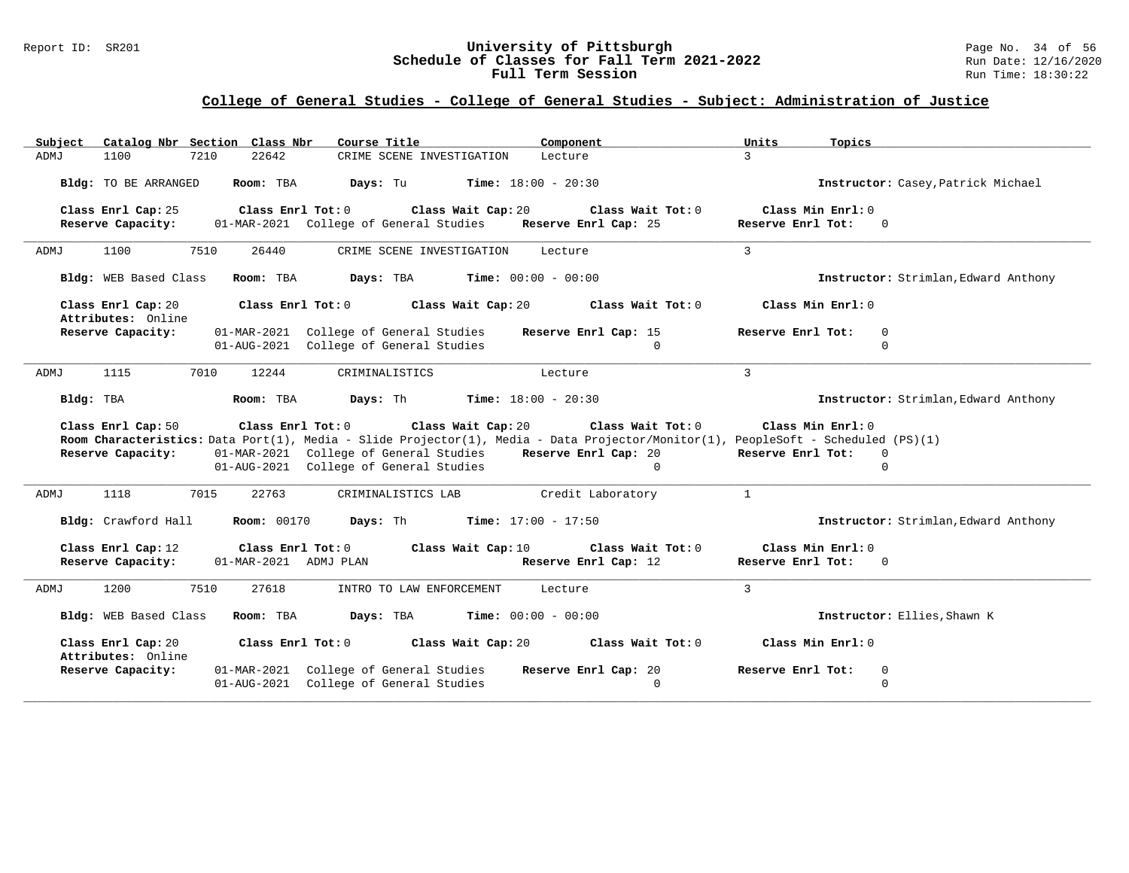### Report ID: SR201 **University of Pittsburgh University of Pittsburgh** Page No. 34 of 56<br>**Schedule of Classes for Fall Term 2021-2022** Run Date: 12/16/2020 **Schedule of Classes for Fall Term 2021-2022** Run Date: 12/16/2020 **Full Term Session Rundall Term Session Rundall Term Session**

| Catalog Nbr Section Class Nbr<br>Subject | Course Title                                                                                                                                                                                                                                                     | Component                                             | Units<br>Topics                                                    |
|------------------------------------------|------------------------------------------------------------------------------------------------------------------------------------------------------------------------------------------------------------------------------------------------------------------|-------------------------------------------------------|--------------------------------------------------------------------|
| 1100<br>ADMJ<br>7210                     | 22642<br>CRIME SCENE INVESTIGATION                                                                                                                                                                                                                               | Lecture                                               | $\mathcal{L}$                                                      |
| Bldg: TO BE ARRANGED                     | Room: TBA<br>Days: Tu                                                                                                                                                                                                                                            | <b>Time:</b> $18:00 - 20:30$                          | Instructor: Casey, Patrick Michael                                 |
| Class Enrl Cap: 25<br>Reserve Capacity:  | Class Enrl Tot: $0$<br>Class Wait Cap: 20<br>01-MAR-2021 College of General Studies                                                                                                                                                                              | Class Wait Tot: $0$<br>Reserve Enrl Cap: 25           | Class Min $Enr1: 0$<br>Reserve Enrl Tot:<br>$\overline{0}$         |
| 7510<br>1100<br>ADMJ                     | 26440<br>CRIME SCENE INVESTIGATION                                                                                                                                                                                                                               | Lecture                                               | $\overline{3}$                                                     |
| Bldg: WEB Based Class                    | Room: TBA<br>Days: TBA                                                                                                                                                                                                                                           | <b>Time:</b> $00:00 - 00:00$                          | Instructor: Strimlan, Edward Anthony                               |
| Class Enrl Cap: 20<br>Attributes: Online | Class Enrl Tot: 0<br>Class Wait Cap: 20                                                                                                                                                                                                                          | Class Wait Tot: 0                                     | Class Min Enrl: 0                                                  |
| Reserve Capacity:                        | 01-MAR-2021 College of General Studies<br>01-AUG-2021 College of General Studies                                                                                                                                                                                 | Reserve Enrl Cap: 15<br>$\Omega$                      | Reserve Enrl Tot:<br>$\mathbf 0$<br>$\Omega$                       |
| 1115<br>7010<br>ADMJ                     | 12244<br>CRIMINALISTICS                                                                                                                                                                                                                                          | Lecture                                               | $\overline{3}$                                                     |
| Bldg: TBA                                | Room: TBA<br>Days: Th                                                                                                                                                                                                                                            | <b>Time:</b> $18:00 - 20:30$                          | Instructor: Strimlan, Edward Anthony                               |
| Class Enrl Cap: 50<br>Reserve Capacity:  | Class Enrl Tot: 0<br>Class Wait Cap: 20<br>Room Characteristics: Data Port(1), Media - Slide Projector(1), Media - Data Projector/Monitor(1), PeopleSoft - Scheduled (PS)(1)<br>01-MAR-2021 College of General Studies<br>01-AUG-2021 College of General Studies | Class Wait Tot: 0<br>Reserve Enrl Cap: 20<br>$\Omega$ | Class Min Enrl: 0<br>Reserve Enrl Tot:<br>$\mathbf{0}$<br>$\Omega$ |
| 1118<br>7015<br>ADMJ                     | 22763<br>CRIMINALISTICS LAB                                                                                                                                                                                                                                      | Credit Laboratory                                     | $\mathbf{1}$                                                       |
| Bldg: Crawford Hall                      | <b>Room: 00170</b><br>Days: Th                                                                                                                                                                                                                                   | <b>Time:</b> $17:00 - 17:50$                          | Instructor: Strimlan, Edward Anthony                               |
| Class Enrl Cap: 12<br>Reserve Capacity:  | Class Enrl Tot: 0<br>Class Wait Cap: 10<br>01-MAR-2021 ADMJ PLAN                                                                                                                                                                                                 | Class Wait Tot: 0<br>Reserve Enrl Cap: 12             | Class Min Enrl: 0<br>Reserve Enrl Tot:<br>$\Omega$                 |
| 1200<br>7510<br>ADMJ                     | 27618<br>INTRO TO LAW ENFORCEMENT                                                                                                                                                                                                                                | Lecture                                               | $\overline{3}$                                                     |
| Bldg: WEB Based Class                    | Room: TBA<br>Days: TBA                                                                                                                                                                                                                                           | <b>Time:</b> $00:00 - 00:00$                          | Instructor: Ellies, Shawn K                                        |
| Class Enrl Cap: 20<br>Attributes: Online | Class $Enr1 Tot: 0$<br>Class Wait Cap: 20                                                                                                                                                                                                                        | Class Wait Tot: $0$                                   | Class Min Enrl: 0                                                  |
| Reserve Capacity:                        | 01-MAR-2021 College of General Studies<br>01-AUG-2021 College of General Studies                                                                                                                                                                                 | Reserve Enrl Cap: 20<br>$\Omega$                      | Reserve Enrl Tot:<br>$\mathbf 0$<br>$\Omega$                       |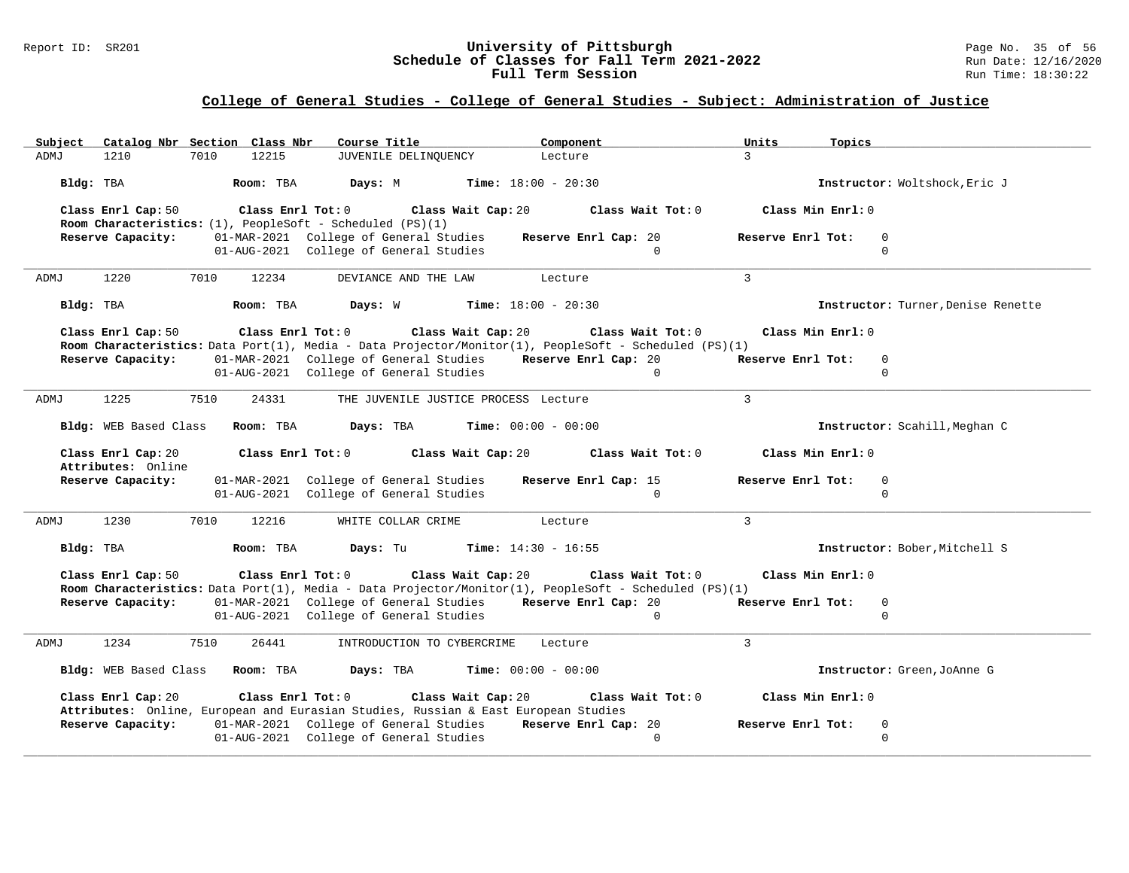### Report ID: SR201 **1988 Constrained Supervisity of Pittsburgh** Page No. 35 of 56 and Duniversity of Pittsburgh Page No. 35 of 56 and Duniversity of Pittsburgh Page No. 35 of 56 and Duniversity of Pittsburgh Page No. 35 of 5 **Schedule of Classes for Fall Term 2021-2022** Run Date: 12/16/2020 **Full Term Session Rundall Term Session Rundall Term Session**

| Subject |                                          | Catalog Nbr Section Class Nbr   | Course Title                                                                                                                                                          |                                              | Component                            | Units<br>Topics   |                                    |
|---------|------------------------------------------|---------------------------------|-----------------------------------------------------------------------------------------------------------------------------------------------------------------------|----------------------------------------------|--------------------------------------|-------------------|------------------------------------|
| ADMJ    | 1210                                     | 7010<br>12215                   | JUVENILE DELINQUENCY                                                                                                                                                  |                                              | Lecture                              | $\mathcal{R}$     |                                    |
|         | Bldg: TBA                                | Room: TBA                       | Days: M                                                                                                                                                               | <b>Time:</b> $18:00 - 20:30$                 |                                      |                   | Instructor: Woltshock, Eric J      |
|         | Class Enrl Cap: 50                       |                                 | Class Enrl Tot: $0$ Class Wait Cap: $20$ Class Wait Tot: $0$<br><b>Room Characteristics:</b> $(1)$ , PeopleSoft - Scheduled $(PS)(1)$                                 |                                              |                                      | Class Min Enrl: 0 |                                    |
|         | Reserve Capacity:                        |                                 | 01-MAR-2021 College of General Studies<br>01-AUG-2021 College of General Studies                                                                                      |                                              | Reserve Enrl Cap: 20<br>$\Omega$     | Reserve Enrl Tot: | $\Omega$<br>$\Omega$               |
| ADMJ    | 1220                                     | 7010<br>12234                   | DEVIANCE AND THE LAW                                                                                                                                                  | Lecture                                      |                                      | $\overline{3}$    |                                    |
|         | Bldg: TBA                                | Room: TBA                       |                                                                                                                                                                       | <b>Days:</b> W <b>Time:</b> $18:00 - 20:30$  |                                      |                   | Instructor: Turner, Denise Renette |
|         | Class Enrl Cap: 50                       |                                 | Class Enrl Tot: $0$ Class Wait Cap: $20$ Class Wait Tot: $0$<br>Room Characteristics: Data Port(1), Media - Data Projector/Monitor(1), PeopleSoft - Scheduled (PS)(1) |                                              |                                      | Class Min Enrl: 0 |                                    |
|         | Reserve Capacity:                        |                                 | 01-MAR-2021 College of General Studies Reserve Enrl Cap: 20                                                                                                           |                                              |                                      | Reserve Enrl Tot: | $\overline{0}$                     |
|         |                                          |                                 | 01-AUG-2021 College of General Studies                                                                                                                                |                                              | $\sim$ 0                             |                   | $\mathbf{0}$                       |
| ADMJ    | 1225                                     | 7510                            | 24331                                                                                                                                                                 | THE JUVENILE JUSTICE PROCESS Lecture         |                                      | $\mathcal{L}$     |                                    |
|         |                                          |                                 | Bldg: WEB Based Class Room: TBA Days: TBA                                                                                                                             | <b>Time:</b> $00:00 - 00:00$                 |                                      |                   | Instructor: Scahill, Meghan C      |
|         | Class Enrl Cap: 20<br>Attributes: Online |                                 | $Class$ $Enr1$ $Tot: 0$                                                                                                                                               |                                              | Class Wait Cap: 20 Class Wait Tot: 0 | Class Min Enrl: 0 |                                    |
|         | Reserve Capacity:                        |                                 | 01-MAR-2021 College of General Studies<br>01-AUG-2021 College of General Studies                                                                                      |                                              | Reserve Enrl Cap: 15<br>$\Omega$     | Reserve Enrl Tot: | $\mathbf 0$<br>$\Omega$            |
| ADMJ    | 1230                                     | 7010<br>12216                   | WHITE COLLAR CRIME                                                                                                                                                    |                                              | Lecture                              | $\overline{3}$    |                                    |
|         | Bldg: TBA                                | Room: TBA                       |                                                                                                                                                                       | <b>Days:</b> Tu <b>Time:</b> $14:30 - 16:55$ |                                      |                   | Instructor: Bober, Mitchell S      |
|         | Class Enrl Cap: 50                       |                                 | $Class$ $Enrl$ $Tot: 0$ $Class$ $Wait$ $Cap: 20$<br>Room Characteristics: Data Port(1), Media - Data Projector/Monitor(1), PeopleSoft - Scheduled (PS)(1)             |                                              | Class Wait Tot: 0                    | Class Min Enrl: 0 |                                    |
|         | Reserve Capacity:                        |                                 | 01-MAR-2021 College of General Studies Reserve Enrl Cap: 20                                                                                                           |                                              |                                      | Reserve Enrl Tot: | $\overline{0}$                     |
|         |                                          |                                 | 01-AUG-2021 College of General Studies                                                                                                                                |                                              | $\mathbf{0}$                         |                   | $\mathbf{0}$                       |
| ADMJ    | 1234                                     | 7510<br>26441                   |                                                                                                                                                                       | INTRODUCTION TO CYBERCRIME Lecture           |                                      | $\mathcal{L}$     |                                    |
|         |                                          | Bldg: WEB Based Class Room: TBA | Days: TBA                                                                                                                                                             | <b>Time:</b> $00:00 - 00:00$                 |                                      |                   | Instructor: Green, JoAnne G        |
|         | Class Enrl Cap: 20                       |                                 | Class Enrl Tot: $0$ Class Wait Cap: $20$ Class Wait Tot: $0$<br>Attributes: Online, European and Eurasian Studies, Russian & East European Studies                    |                                              |                                      | Class Min Enrl: 0 |                                    |
|         | Reserve Capacity:                        |                                 | 01-MAR-2021 College of General Studies Reserve Enrl Cap: 20                                                                                                           |                                              |                                      | Reserve Enrl Tot: | $\mathbf 0$                        |
|         |                                          |                                 | 01-AUG-2021 College of General Studies                                                                                                                                |                                              | $\Omega$                             |                   | $\Omega$                           |
|         |                                          |                                 |                                                                                                                                                                       |                                              |                                      |                   |                                    |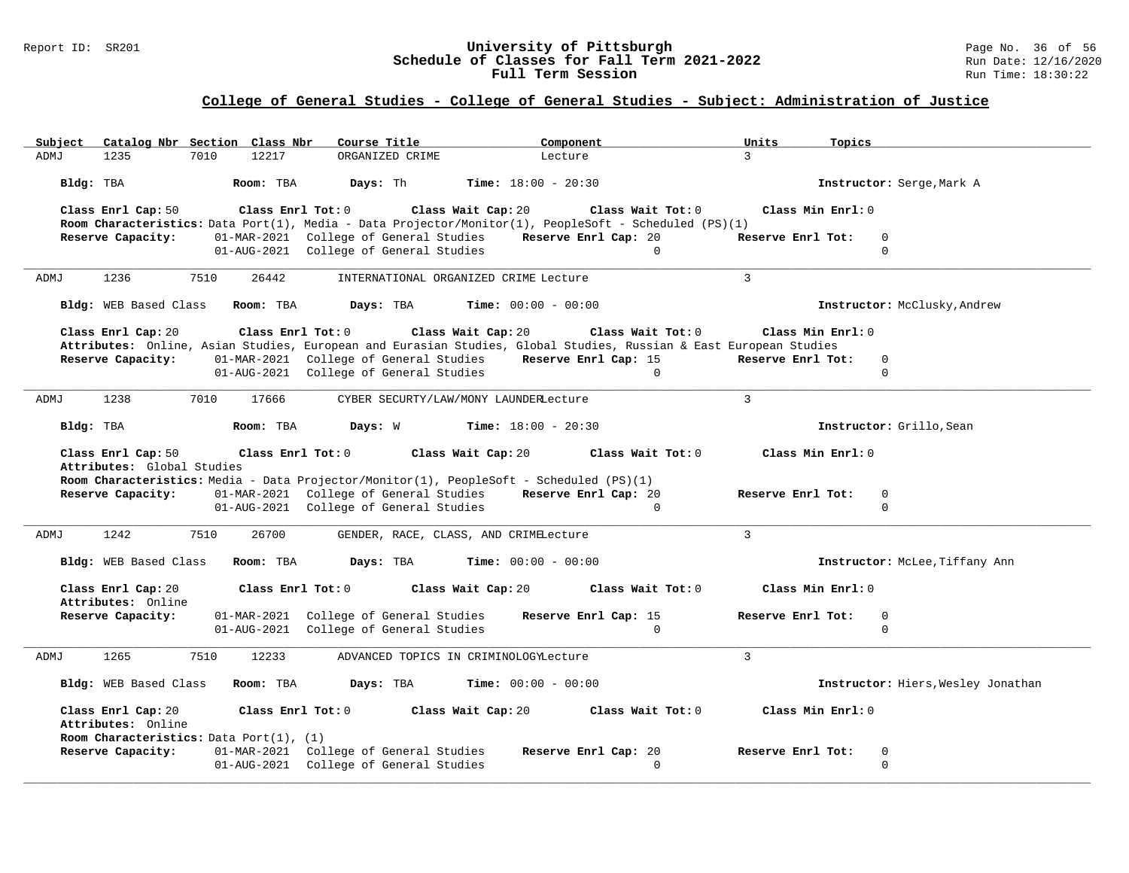### Report ID: SR201 **1988 Mage 10: SR201 University of Pittsburgh** Page No. 36 of 56<br>**Schedule of Classes for Fall Term 2021-2022** 2011 Page 12/16/2020 **Schedule of Classes for Fall Term 2021-2022** Run Date: 12/16/2020 **Full Term Session Rundall Term Session Rundall Term Session**

|      | Subject Catalog Nbr Section Class Nbr    |                   |           | Course Title            |                                                                                                                                                        |                              | Component                                                                                                                  | Units             | Topics                             |
|------|------------------------------------------|-------------------|-----------|-------------------------|--------------------------------------------------------------------------------------------------------------------------------------------------------|------------------------------|----------------------------------------------------------------------------------------------------------------------------|-------------------|------------------------------------|
| ADMJ | 1235                                     | 7010              | 12217     |                         | ORGANIZED CRIME                                                                                                                                        | Lecture                      |                                                                                                                            | $\mathcal{L}$     |                                    |
|      | Bldg: TBA                                |                   | Room: TBA | Days: Th                |                                                                                                                                                        | <b>Time:</b> $18:00 - 20:30$ |                                                                                                                            |                   | Instructor: Serge, Mark A          |
|      | Class Enrl Cap: 50                       | Class Enrl Tot: 0 |           |                         | Class Wait Cap: 20                                                                                                                                     |                              | Class Wait Tot: 0<br>Room Characteristics: Data Port(1), Media - Data Projector/Monitor(1), PeopleSoft - Scheduled (PS)(1) | Class Min Enrl: 0 |                                    |
|      | Reserve Capacity:                        |                   |           |                         | 01-MAR-2021 College of General Studies                                                                                                                 |                              | Reserve Enrl Cap: 20                                                                                                       | Reserve Enrl Tot: | $\Omega$                           |
|      |                                          |                   |           |                         | 01-AUG-2021 College of General Studies                                                                                                                 |                              | $\Omega$                                                                                                                   |                   | $\Omega$                           |
| ADMJ | 1236                                     | 7510              | 26442     |                         | INTERNATIONAL ORGANIZED CRIME Lecture                                                                                                                  |                              |                                                                                                                            | $\overline{3}$    |                                    |
|      | Bldg: WEB Based Class Room: TBA          |                   |           | Days: TBA               |                                                                                                                                                        | <b>Time:</b> $00:00 - 00:00$ |                                                                                                                            |                   | Instructor: McClusky, Andrew       |
|      | Class Enrl Cap: 20                       |                   |           | Class Enrl Tot: 0       | Class Wait Cap: 20                                                                                                                                     |                              | Class Wait Tot: 0                                                                                                          | Class Min Enrl: 0 |                                    |
|      | Reserve Capacity:                        |                   |           |                         | 01-MAR-2021 College of General Studies Reserve Enrl Cap: 15                                                                                            |                              | Attributes: Online, Asian Studies, European and Eurasian Studies, Global Studies, Russian & East European Studies          | Reserve Enrl Tot: | $\mathbf 0$                        |
|      |                                          |                   |           |                         | 01-AUG-2021 College of General Studies                                                                                                                 |                              | $\Omega$                                                                                                                   |                   | $\Omega$                           |
|      |                                          |                   |           |                         |                                                                                                                                                        |                              |                                                                                                                            |                   |                                    |
| ADMJ | 1238                                     | 7010              | 17666     |                         | CYBER SECURTY/LAW/MONY LAUNDERLecture                                                                                                                  |                              |                                                                                                                            | $\mathbf{3}$      |                                    |
|      | Bldg: TBA                                |                   | Room: TBA | Days: W                 |                                                                                                                                                        | $Time: 18:00 - 20:30$        |                                                                                                                            |                   | Instructor: Grillo, Sean           |
|      | Class Enrl Cap: 50                       | Class Enrl Tot: 0 |           |                         | Class Wait Cap: 20                                                                                                                                     |                              | Class Wait Tot: 0                                                                                                          | Class Min Enrl: 0 |                                    |
|      | Attributes: Global Studies               |                   |           |                         |                                                                                                                                                        |                              |                                                                                                                            |                   |                                    |
|      | Reserve Capacity:                        |                   |           |                         | Room Characteristics: Media - Data Projector/Monitor(1), PeopleSoft - Scheduled (PS)(1)<br>01-MAR-2021 College of General Studies Reserve Enrl Cap: 20 |                              |                                                                                                                            | Reserve Enrl Tot: | $\mathbf 0$                        |
|      |                                          |                   |           |                         | 01-AUG-2021 College of General Studies                                                                                                                 |                              | $\Omega$                                                                                                                   |                   | $\Omega$                           |
|      |                                          |                   |           |                         |                                                                                                                                                        |                              |                                                                                                                            |                   |                                    |
| ADMJ | 1242                                     | 7510              | 26700     |                         | GENDER, RACE, CLASS, AND CRIMELecture                                                                                                                  |                              |                                                                                                                            | $\overline{3}$    |                                    |
|      | Bldg: WEB Based Class                    |                   | Room: TBA | Days: TBA               |                                                                                                                                                        | <b>Time:</b> $00:00 - 00:00$ |                                                                                                                            |                   | Instructor: McLee, Tiffany Ann     |
|      | Class Enrl Cap: 20<br>Attributes: Online |                   |           | Class Enrl Tot: 0       | Class Wait Cap: 20                                                                                                                                     |                              | Class Wait Tot: 0                                                                                                          | Class Min Enrl: 0 |                                    |
|      | Reserve Capacity:                        |                   |           |                         | 01-MAR-2021 College of General Studies                                                                                                                 |                              | Reserve Enrl Cap: 15                                                                                                       | Reserve Enrl Tot: | $\Omega$                           |
|      |                                          |                   |           |                         | 01-AUG-2021 College of General Studies                                                                                                                 |                              | $\Omega$                                                                                                                   |                   | $\Omega$                           |
|      |                                          |                   |           |                         |                                                                                                                                                        |                              |                                                                                                                            |                   |                                    |
| ADMJ | 1265                                     | 7510              | 12233     |                         | ADVANCED TOPICS IN CRIMINOLOGYLecture                                                                                                                  |                              |                                                                                                                            | $\overline{3}$    |                                    |
|      | Bldg: WEB Based Class Room: TBA          |                   |           | Days: TBA               |                                                                                                                                                        | <b>Time:</b> $00:00 - 00:00$ |                                                                                                                            |                   | Instructor: Hiers, Wesley Jonathan |
|      | Class Enrl Cap: 20<br>Attributes: Online |                   |           | $Class$ $Enr1$ $Tot: 0$ | Class Wait Cap: 20                                                                                                                                     |                              | Class Wait Tot: 0                                                                                                          | Class Min Enrl: 0 |                                    |
|      | Room Characteristics: Data Port(1), (1)  |                   |           |                         |                                                                                                                                                        |                              |                                                                                                                            |                   |                                    |
|      | Reserve Capacity:                        |                   |           |                         | 01-MAR-2021 College of General Studies                                                                                                                 |                              | Reserve Enrl Cap: 20                                                                                                       | Reserve Enrl Tot: | $\mathbf 0$                        |
|      |                                          |                   |           |                         | 01-AUG-2021 College of General Studies                                                                                                                 |                              | $\Omega$                                                                                                                   |                   | $\Omega$                           |
|      |                                          |                   |           |                         |                                                                                                                                                        |                              |                                                                                                                            |                   |                                    |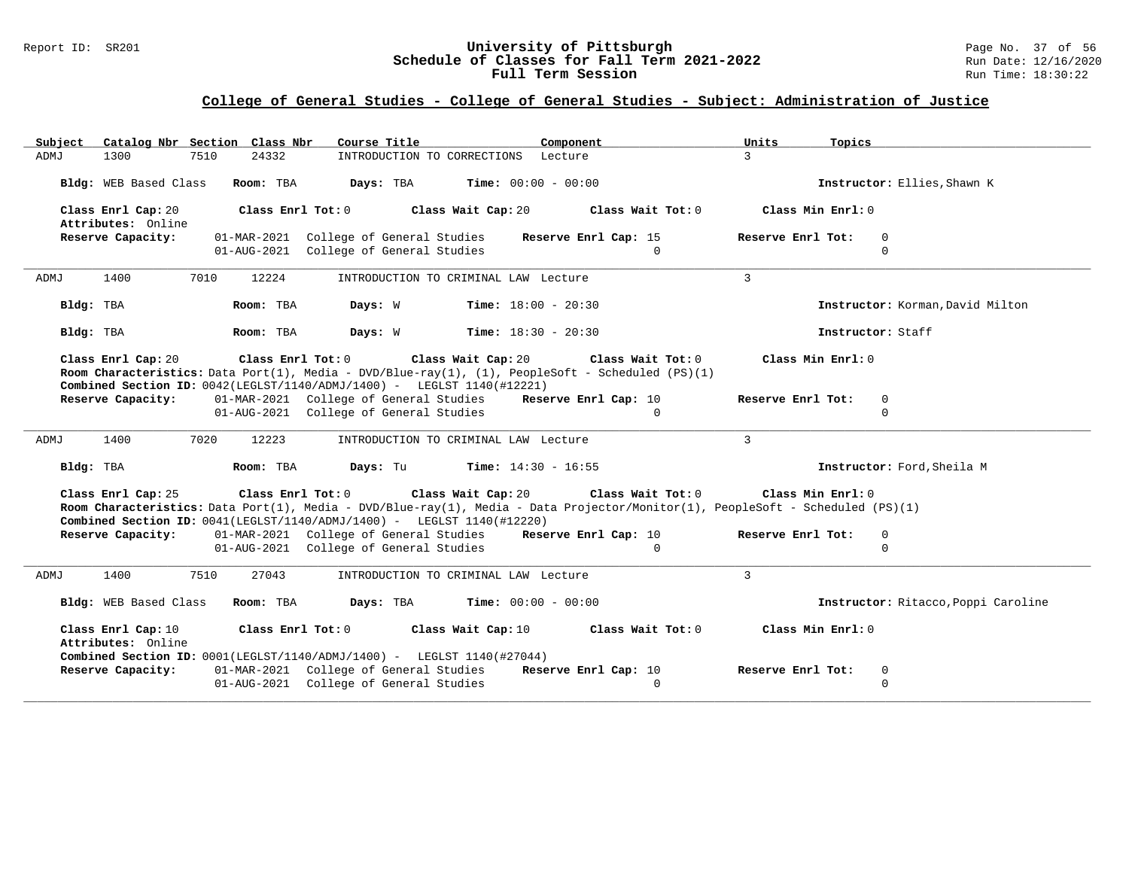### Report ID: SR201 **University of Pittsburgh University of Pittsburgh** Page No. 37 of 56<br>**Schedule of Classes for Fall Term 2021-2022** Run Date: 12/16/2020 **Schedule of Classes for Fall Term 2021-2022** Run Date: 12/16/2020 **Full Term Session Rundall Term Session Rundall Term Session**

| Catalog Nbr Section Class Nbr<br>Subject                                                                                                                                                                                       | Course Title                              | Component            | Units<br>Topics   |                                     |
|--------------------------------------------------------------------------------------------------------------------------------------------------------------------------------------------------------------------------------|-------------------------------------------|----------------------|-------------------|-------------------------------------|
| 1300<br>7510<br>24332<br><b>ADMJ</b>                                                                                                                                                                                           | INTRODUCTION TO CORRECTIONS Lecture       |                      | $\mathcal{R}$     |                                     |
| Bldg: WEB Based Class<br>Room: TBA                                                                                                                                                                                             | Days: TBA<br><b>Time:</b> $00:00 - 00:00$ |                      |                   | Instructor: Ellies, Shawn K         |
| Class Enrl Cap: 20<br>Class Enrl Tot: 0<br>Attributes: Online                                                                                                                                                                  | Class Wait Cap: 20                        | Class Wait Tot: 0    | Class Min Enrl: 0 |                                     |
| Reserve Capacity:                                                                                                                                                                                                              | 01-MAR-2021 College of General Studies    | Reserve Enrl Cap: 15 | Reserve Enrl Tot: | $\Omega$                            |
|                                                                                                                                                                                                                                | 01-AUG-2021 College of General Studies    | $\Omega$             |                   | $\Omega$                            |
| 1400<br>7010<br>12224<br>ADMJ                                                                                                                                                                                                  | INTRODUCTION TO CRIMINAL LAW Lecture      |                      | 3                 |                                     |
| Bldg: TBA<br>Room: TBA                                                                                                                                                                                                         | <b>Time:</b> $18:00 - 20:30$<br>Days: W   |                      |                   | Instructor: Korman, David Milton    |
| Room: TBA<br>Bldg: TBA                                                                                                                                                                                                         | Days: W<br><b>Time:</b> $18:30 - 20:30$   |                      | Instructor: Staff |                                     |
| Class Enrl Cap: 20<br>Room Characteristics: Data Port(1), Media - DVD/Blue-ray(1), (1), PeopleSoft - Scheduled (PS)(1)<br>Combined Section ID: 0042(LEGLST/1140/ADMJ/1400) - LEGLST 1140(#12221)                               | Class Enrl Tot: 0 Class Wait Cap: 20      | Class Wait Tot: 0    | Class Min Enrl: 0 |                                     |
| Reserve Capacity:                                                                                                                                                                                                              | 01-MAR-2021 College of General Studies    | Reserve Enrl Cap: 10 | Reserve Enrl Tot: | $\mathbf 0$                         |
|                                                                                                                                                                                                                                | 01-AUG-2021 College of General Studies    | $\Omega$             |                   | $\Omega$                            |
| 1400<br>7020<br>12223<br>ADMJ                                                                                                                                                                                                  | INTRODUCTION TO CRIMINAL LAW Lecture      |                      | $\mathbf{3}$      |                                     |
| Room: TBA<br>Bldg: TBA                                                                                                                                                                                                         | Days: Tu<br><b>Time:</b> $14:30 - 16:55$  |                      |                   | Instructor: Ford, Sheila M          |
| Class Enrl Cap: 25<br>Room Characteristics: Data Port(1), Media - DVD/Blue-ray(1), Media - Data Projector/Monitor(1), PeopleSoft - Scheduled (PS)(1)<br>Combined Section ID: 0041(LEGLST/1140/ADMJ/1400) - LEGLST 1140(#12220) | Class Enrl Tot: 0 Class Wait Cap: 20      | Class Wait Tot: 0    | Class Min Enrl: 0 |                                     |
| Reserve Capacity:                                                                                                                                                                                                              | 01-MAR-2021 College of General Studies    | Reserve Enrl Cap: 10 | Reserve Enrl Tot: | $\Omega$                            |
|                                                                                                                                                                                                                                | 01-AUG-2021 College of General Studies    | $\Omega$             |                   | $\Omega$                            |
| 1400<br>7510<br>27043<br>ADMJ                                                                                                                                                                                                  | INTRODUCTION TO CRIMINAL LAW Lecture      |                      | 3                 |                                     |
| Bldg: WEB Based Class<br>Room: TBA                                                                                                                                                                                             | <b>Time:</b> $00:00 - 00:00$<br>Days: TBA |                      |                   | Instructor: Ritacco, Poppi Caroline |
| Class Enrl Cap: 10<br>Class Enrl Tot: 0<br>Attributes: Online<br>Combined Section ID: 0001(LEGLST/1140/ADMJ/1400) - LEGLST 1140(#27044)                                                                                        | Class Wait Cap: 10                        | Class Wait Tot: 0    | Class Min Enrl: 0 |                                     |
| Reserve Capacity:                                                                                                                                                                                                              | 01-MAR-2021 College of General Studies    | Reserve Enrl Cap: 10 | Reserve Enrl Tot: | $\mathbf 0$                         |
|                                                                                                                                                                                                                                | 01-AUG-2021 College of General Studies    | $\Omega$             |                   | $\Omega$                            |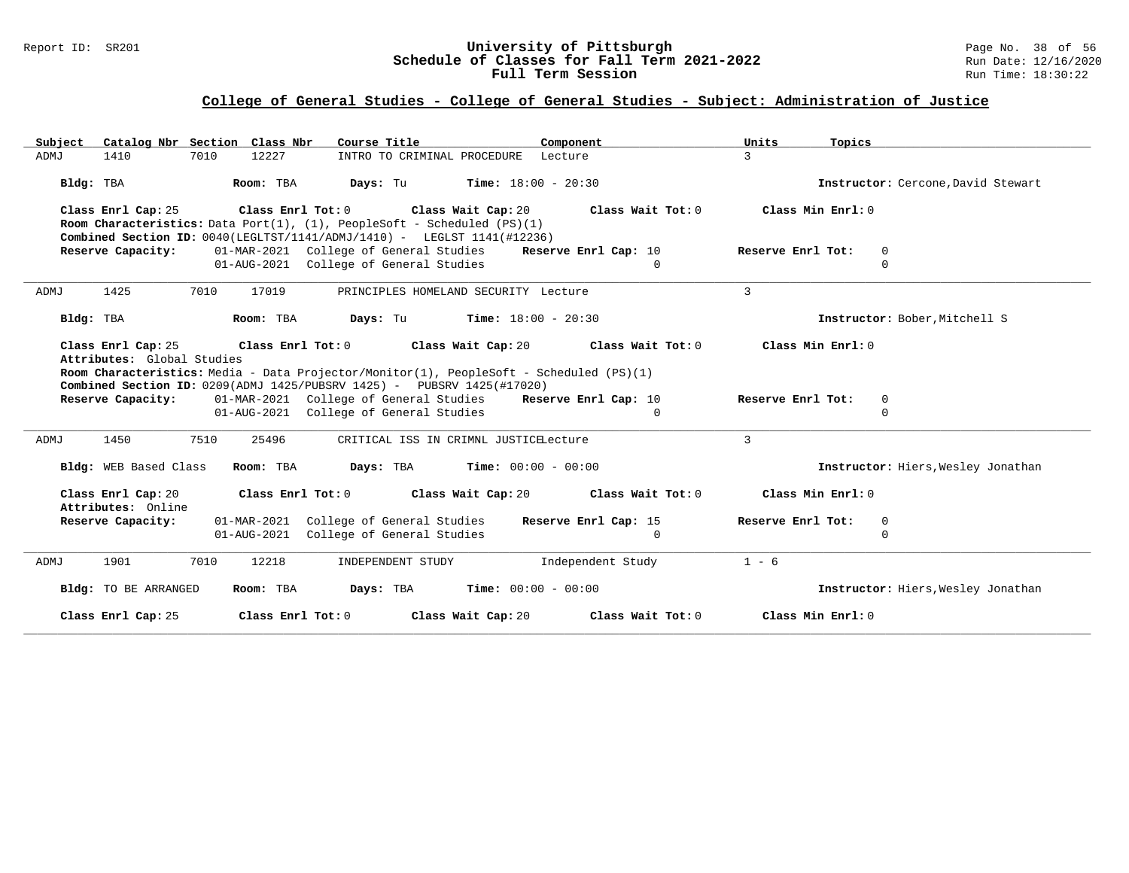### Report ID: SR201 **University of Pittsburgh University of Pittsburgh** Page No. 38 of 56<br>**Schedule of Classes for Fall Term 2021-2022** Run Date: 12/16/2020 **Schedule of Classes for Fall Term 2021-2022** Run Date: 12/16/2020 **Full Term Session Rundall Term Session Rundall Term Session**

| Catalog Nbr Section Class Nbr<br>Subject                                                                                                                                 | Course Title<br>Component                                                               | Units<br>Topics                     |
|--------------------------------------------------------------------------------------------------------------------------------------------------------------------------|-----------------------------------------------------------------------------------------|-------------------------------------|
| 7010<br>12227<br>ADMJ<br>1410                                                                                                                                            | INTRO TO CRIMINAL PROCEDURE<br>Lecture                                                  | 3                                   |
| Bldg: TBA<br>Room: TBA                                                                                                                                                   | Days: Tu<br><b>Time:</b> $18:00 - 20:30$                                                | Instructor: Cercone, David Stewart  |
| Class Enrl Cap: 25<br>Class Enrl Tot: 0                                                                                                                                  | Class Wait Cap: 20<br>Class Wait Tot: 0                                                 | Class Min Enrl: 0                   |
| <b>Room Characteristics:</b> Data Port(1), $(1)$ , PeopleSoft - Scheduled $(PS)(1)$<br><b>Combined Section ID:</b> $0040$ (LEGLTST/1141/ADMJ/1410) - LEGLST 1141(#12236) |                                                                                         |                                     |
| Reserve Capacity:                                                                                                                                                        | 01-MAR-2021 College of General Studies<br>Reserve Enrl Cap: 10                          | Reserve Enrl Tot:<br>$\overline{0}$ |
|                                                                                                                                                                          | 01-AUG-2021 College of General Studies<br>$\Omega$                                      | $\Omega$                            |
| 1425<br>7010<br>17019<br>ADMJ                                                                                                                                            | PRINCIPLES HOMELAND SECURITY Lecture                                                    | 3                                   |
| Bldg: TBA<br>Room: TBA                                                                                                                                                   | <b>Time:</b> $18:00 - 20:30$<br>Days: Tu                                                | Instructor: Bober, Mitchell S       |
| Class Enrl Cap: 25<br>Class Enrl Tot: 0                                                                                                                                  | Class Wait Cap: 20<br>Class Wait Tot: 0                                                 | Class Min Enrl: 0                   |
| Attributes: Global Studies                                                                                                                                               |                                                                                         |                                     |
| Combined Section ID: 0209(ADMJ 1425/PUBSRV 1425) - PUBSRV 1425(#17020)                                                                                                   | Room Characteristics: Media - Data Projector/Monitor(1), PeopleSoft - Scheduled (PS)(1) |                                     |
| Reserve Capacity:                                                                                                                                                        | 01-MAR-2021 College of General Studies<br>Reserve Enrl Cap: 10                          | Reserve Enrl Tot:<br>0              |
|                                                                                                                                                                          | 01-AUG-2021 College of General Studies<br>$\Omega$                                      | $\Omega$                            |
| 1450<br>7510<br>25496<br>ADMJ                                                                                                                                            | CRITICAL ISS IN CRIMNL JUSTICELecture                                                   | 3                                   |
| Bldg: WEB Based Class<br>Room: TBA                                                                                                                                       | Days: TBA<br><b>Time:</b> $00:00 - 00:00$                                               | Instructor: Hiers, Wesley Jonathan  |
| Class Enrl Cap: 20<br>Class Enrl Tot: 0<br>Attributes: Online                                                                                                            | Class Wait Tot: 0<br>Class Wait Cap: 20                                                 | Class Min Enrl: 0                   |
| Reserve Capacity:<br>01-MAR-2021                                                                                                                                         | College of General Studies<br>Reserve Enrl Cap: 15                                      | Reserve Enrl Tot:<br>0              |
| 01-AUG-2021                                                                                                                                                              | College of General Studies<br>$\mathbf{0}$                                              | $\mathbf 0$                         |
| 1901<br>7010<br>12218<br>ADMJ                                                                                                                                            | INDEPENDENT STUDY<br>Independent Study                                                  | $1 - 6$                             |
| Bldg: TO BE ARRANGED<br>Room: TBA                                                                                                                                        | Days: TBA<br><b>Time:</b> $00:00 - 00:00$                                               | Instructor: Hiers, Wesley Jonathan  |
| Class Enrl Cap: 25<br>Class Enrl Tot: 0                                                                                                                                  | Class Wait Cap: 20<br>Class Wait Tot: 0                                                 | Class Min $Enrl: 0$                 |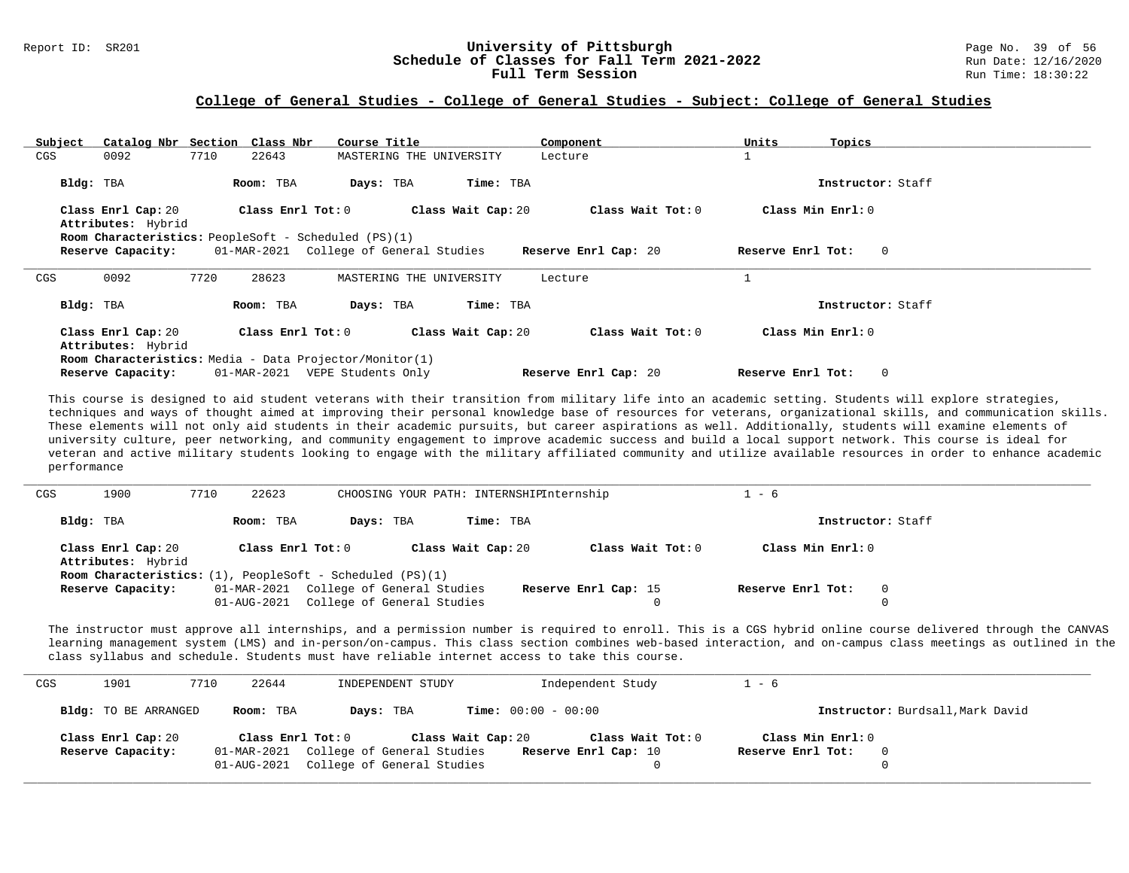#### Report ID: SR201 **1988 Constructed Supervisity of Pittsburgh** Page No. 39 of 56 **University of Pittsburgh** Page No. 39 of 56 **Schedule of Classes for Fall Term 2021-2022** Run Date: 12/16/2020 **Schedule of Classes for Fall Term 2021-2022** Run Date: 12/16/2021<br>**Full Term Session** Run Time: 18:30:22 Full Term Session

#### **College of General Studies - College of General Studies - Subject: College of General Studies**

| Subject | Catalog Nbr Section Class Nbr |      |                   | Course Title                                                                                          |                          | Component            | Units             | Topics            |
|---------|-------------------------------|------|-------------------|-------------------------------------------------------------------------------------------------------|--------------------------|----------------------|-------------------|-------------------|
| CGS     | 0092                          | 7710 | 22643             |                                                                                                       | MASTERING THE UNIVERSITY | Lecture              |                   |                   |
|         | Bldg: TBA                     |      | Room: TBA         | Days: TBA                                                                                             | Time: TBA                |                      |                   | Instructor: Staff |
|         | Class Enrl Cap: 20            |      | Class Enrl Tot: 0 |                                                                                                       | Class Wait Cap: 20       | Class Wait Tot: 0    |                   | Class Min Enrl: 0 |
|         | Attributes: Hybrid            |      |                   |                                                                                                       |                          |                      |                   |                   |
|         | Reserve Capacity:             |      |                   | <b>Room Characteristics:</b> PeopleSoft - Scheduled (PS)(1)<br>01-MAR-2021 College of General Studies |                          | Reserve Enrl Cap: 20 | Reserve Enrl Tot: | $\mathbf{0}$      |
|         |                               |      |                   |                                                                                                       |                          |                      |                   |                   |
| CGS     | 0092                          | 7720 | 28623             |                                                                                                       | MASTERING THE UNIVERSITY | Lecture              |                   |                   |
|         | Bldg: TBA                     |      | Room: TBA         | Days: TBA                                                                                             | Time: TBA                |                      |                   | Instructor: Staff |
|         | Class Enrl Cap: 20            |      | Class Enrl Tot: 0 |                                                                                                       | Class Wait Cap: 20       | Class Wait Tot: 0    |                   | Class Min Enrl: 0 |
|         | Attributes: Hybrid            |      |                   |                                                                                                       |                          |                      |                   |                   |
|         |                               |      |                   | Room Characteristics: Media - Data Projector/Monitor(1)                                               |                          |                      |                   |                   |

This course is designed to aid student veterans with their transition from military life into an academic setting. Students will explore strategies, techniques and ways of thought aimed at improving their personal knowledge base of resources for veterans, organizational skills, and communication skills. These elements will not only aid students in their academic pursuits, but career aspirations as well. Additionally, students will examine elements of university culture, peer networking, and community engagement to improve academic success and build a local support network. This course is ideal for veteran and active military students looking to engage with the military affiliated community and utilize available resources in order to enhance academic performance

| CGS | 1900                                     | 7710 | 22623             |                                                                       | CHOOSING YOUR PATH: INTERNSHIPInternship |                      | - 6                |                   |
|-----|------------------------------------------|------|-------------------|-----------------------------------------------------------------------|------------------------------------------|----------------------|--------------------|-------------------|
|     | Bldg: TBA                                |      | Room: TBA         | Days: TBA                                                             | Time: TBA                                |                      |                    | Instructor: Staff |
|     | Class Enrl Cap: 20<br>Attributes: Hybrid |      | Class Enrl Tot: 0 |                                                                       | Class Wait Cap: 20                       | Class Wait Tot: $0$  | Class Min $Enr1:0$ |                   |
|     |                                          |      |                   | <b>Room Characteristics:</b> $(1)$ , PeopleSoft - Scheduled $(PS)(1)$ |                                          |                      |                    |                   |
|     | Reserve Capacity:                        |      |                   | 01-MAR-2021 College of General Studies                                |                                          | Reserve Enrl Cap: 15 | Reserve Enrl Tot:  |                   |
|     |                                          |      | 01-AUG-2021       | College of General Studies                                            |                                          |                      |                    |                   |

The instructor must approve all internships, and a permission number is required to enroll. This is a CGS hybrid online course delivered through the CANVAS learning management system (LMS) and in-person/on-campus. This class section combines web-based interaction, and on-campus class meetings as outlined in the class syllabus and schedule. Students must have reliable internet access to take this course.

| CGS | 1901                 | 22644<br>7710 | INDEPENDENT STUDY                      | Independent Study                       | $1 - 6$                          |
|-----|----------------------|---------------|----------------------------------------|-----------------------------------------|----------------------------------|
|     | Bldg: TO BE ARRANGED | Room: TBA     | Days: TBA                              | <b>Time:</b> $00:00 - 00:00$            | Instructor: Burdsall, Mark David |
|     | Class Enrl Cap: 20   |               | Class Enrl Tot: 0                      | Class Wait Tot: 0<br>Class Wait Cap: 20 | Class Min Enrl: 0                |
|     | Reserve Capacity:    |               | 01-MAR-2021 College of General Studies | Reserve Enrl Cap: 10                    | Reserve Enrl Tot:<br>0           |
|     |                      |               | 01-AUG-2021 College of General Studies |                                         |                                  |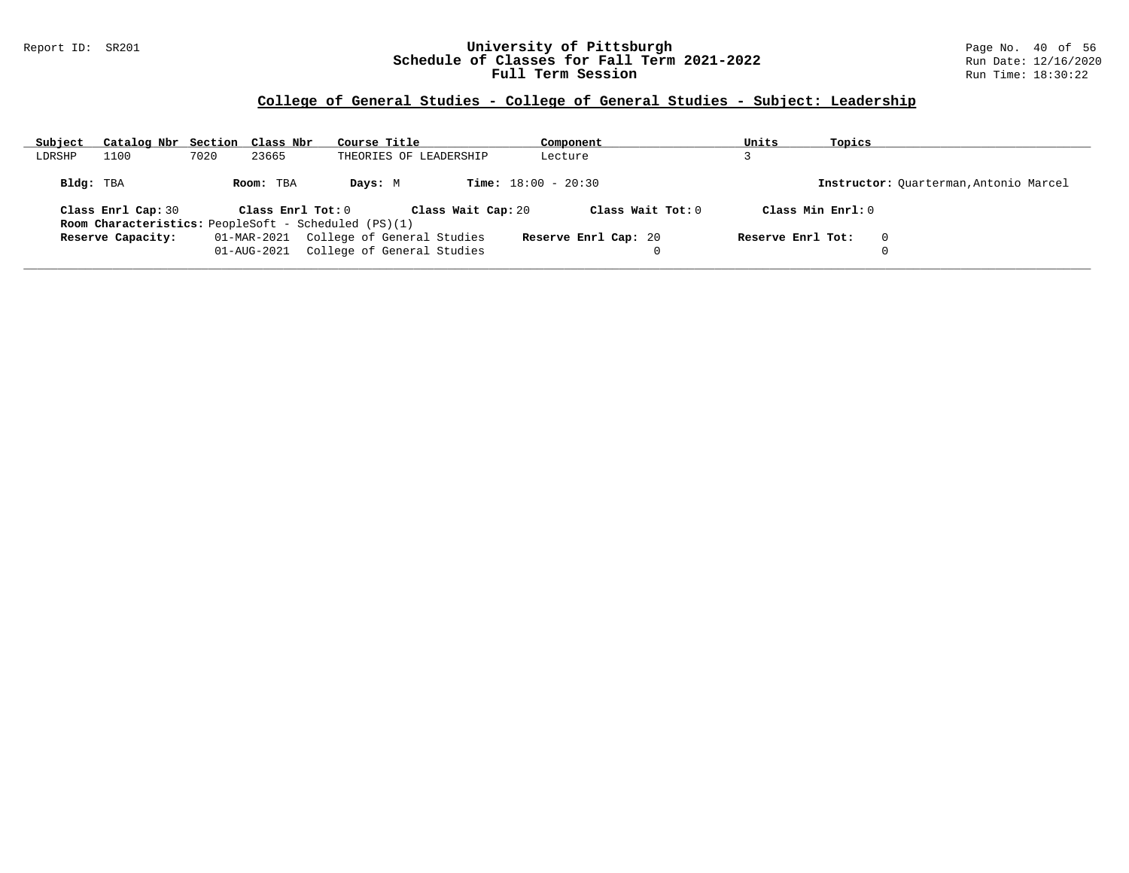### Report ID: SR201 **University of Pittsburgh** Page No. 40 of 56 **Schedule of Classes for Fall Term 2021-2022** Run Date: 12/16/2020 **Full Term Session Rundall Term Session Rundall Term Session**

### **College of General Studies - College of General Studies - Subject: Leadership**

| Subject   | Catalog Nbr Section Class Nbr |      |                   | Course Title                                                                      | Component                    | Units             | Topics                                 |
|-----------|-------------------------------|------|-------------------|-----------------------------------------------------------------------------------|------------------------------|-------------------|----------------------------------------|
| LDRSHP    | 1100                          | 7020 | 23665             | THEORIES OF LEADERSHIP                                                            | Lecture                      |                   |                                        |
| Bldg: TBA |                               |      | Room: TBA         | Days: M                                                                           | <b>Time:</b> $18:00 - 20:30$ |                   | Instructor: Ouarterman, Antonio Marcel |
|           | Class Enrl Cap: 30            |      | Class Enrl Tot: 0 | Class Wait Cap: 20<br><b>Room Characteristics:</b> PeopleSoft - Scheduled (PS)(1) | Class Wait Tot: 0            |                   | Class Min Enrl: 0                      |
|           | Reserve Capacity:             |      | 01-AUG-2021       | 01-MAR-2021 College of General Studies<br>College of General Studies              | Reserve Enrl Cap: 20         | Reserve Enrl Tot: | $\Omega$                               |
|           |                               |      |                   |                                                                                   |                              |                   |                                        |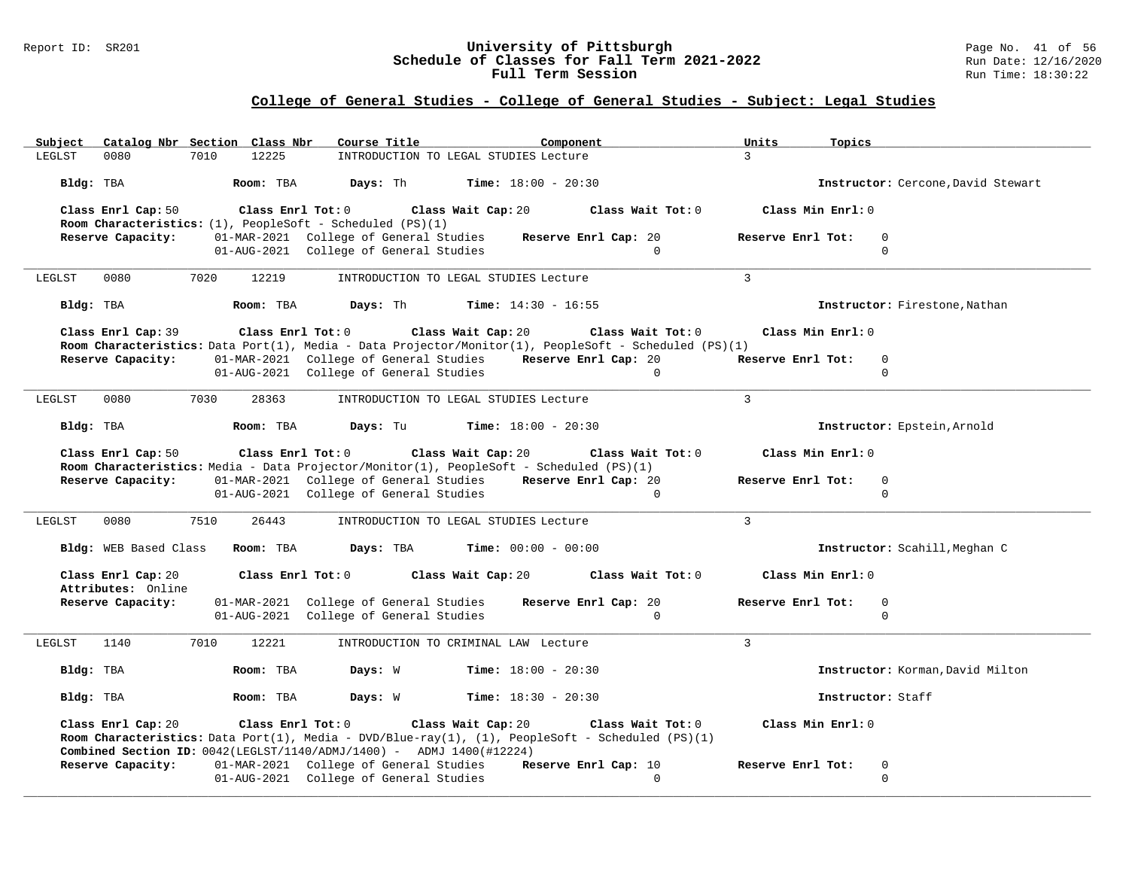### Report ID: SR201 **University of Pittsburgh** Page No. 41 of 56 **Schedule of Classes for Fall Term 2021-2022** Run Date: 12/16/2020 **Full Term Session Rundall Term Session Rundall Term Session**

# **College of General Studies - College of General Studies - Subject: Legal Studies**

| Subject Catalog Nbr Section Class Nbr                                                        | Course Title                           | Component                                                                                                                                        | Units<br>Topics                              |  |
|----------------------------------------------------------------------------------------------|----------------------------------------|--------------------------------------------------------------------------------------------------------------------------------------------------|----------------------------------------------|--|
| 7010<br>LEGLST<br>0080                                                                       | 12225                                  | INTRODUCTION TO LEGAL STUDIES Lecture                                                                                                            | $\mathcal{L}$                                |  |
| Bldg: TBA                                                                                    | Room: TBA<br>Days: Th                  | <b>Time:</b> $18:00 - 20:30$                                                                                                                     | Instructor: Cercone, David Stewart           |  |
| Class Enrl Cap: 50<br>Room Characteristics: (1), PeopleSoft - Scheduled (PS)(1)              | Class Enrl Tot: 0                      | Class Wait Cap: 20<br>Class Wait Tot: 0                                                                                                          | Class Min Enrl: 0                            |  |
| Reserve Capacity:                                                                            | 01-MAR-2021 College of General Studies | Reserve Enrl Cap: 20                                                                                                                             | Reserve Enrl Tot:<br>0                       |  |
|                                                                                              | 01-AUG-2021 College of General Studies | $\Omega$                                                                                                                                         | $\Omega$                                     |  |
| 0080<br>7020<br>LEGLST                                                                       | 12219                                  | INTRODUCTION TO LEGAL STUDIES Lecture                                                                                                            | $\mathbf{3}$                                 |  |
| Bldg: TBA                                                                                    | Room: TBA<br>Davs: Th                  | <b>Time:</b> $14:30 - 16:55$                                                                                                                     | Instructor: Firestone, Nathan                |  |
| Class Enrl Cap: 39                                                                           | Class Enrl Tot: 0                      | Class Wait Cap: 20<br>Class Wait Tot: 0<br>Room Characteristics: Data Port(1), Media - Data Projector/Monitor(1), PeopleSoft - Scheduled (PS)(1) | Class Min Enrl: 0                            |  |
| Reserve Capacity:                                                                            | 01-MAR-2021 College of General Studies | Reserve Enrl Cap: 20                                                                                                                             | Reserve Enrl Tot:<br>$\Omega$                |  |
|                                                                                              | 01-AUG-2021 College of General Studies | $\Omega$                                                                                                                                         | $\Omega$                                     |  |
| 0080<br>7030<br>LEGLST                                                                       | 28363                                  | INTRODUCTION TO LEGAL STUDIES Lecture                                                                                                            | 3                                            |  |
| Bldg: TBA                                                                                    | Days: Tu<br>Room: TBA                  | <b>Time:</b> $18:00 - 20:30$                                                                                                                     | Instructor: Epstein, Arnold                  |  |
| Class Enrl Cap: 50                                                                           | Class Enrl Tot: 0 Class Wait Cap: 20   | Class Wait Tot: 0                                                                                                                                | Class Min Enrl: 0                            |  |
|                                                                                              |                                        |                                                                                                                                                  |                                              |  |
|                                                                                              |                                        | Room Characteristics: Media - Data Projector/Monitor(1), PeopleSoft - Scheduled (PS)(1)                                                          |                                              |  |
| Reserve Capacity:                                                                            | 01-AUG-2021 College of General Studies | 01-MAR-2021 College of General Studies Reserve Enrl Cap: 20<br>$\Omega$                                                                          | Reserve Enrl Tot:<br>$\mathbf 0$<br>$\Omega$ |  |
|                                                                                              |                                        |                                                                                                                                                  |                                              |  |
| 0080<br>7510<br>LEGLST                                                                       | 26443                                  | INTRODUCTION TO LEGAL STUDIES Lecture                                                                                                            | $\mathbf{3}$                                 |  |
| Bldg: WEB Based Class                                                                        | Room: TBA<br>Days: TBA                 | <b>Time:</b> $00:00 - 00:00$                                                                                                                     | Instructor: Scahill, Meghan C                |  |
| Class Enrl Cap: 20                                                                           | Class Enrl Tot: 0                      | Class Wait Cap: 20<br>Class Wait Tot: 0                                                                                                          | Class Min Enrl: 0                            |  |
| Attributes: Online<br>Reserve Capacity:                                                      | 01-MAR-2021 College of General Studies | Reserve Enrl Cap: 20                                                                                                                             | Reserve Enrl Tot:<br>$\mathbf 0$             |  |
|                                                                                              | 01-AUG-2021 College of General Studies | $\Omega$                                                                                                                                         | $\Omega$                                     |  |
| 7010<br>1140<br>LEGLST                                                                       | 12221                                  | INTRODUCTION TO CRIMINAL LAW Lecture                                                                                                             | $\mathcal{E}$                                |  |
| Bldg: TBA                                                                                    | Days: W<br>Room: TBA                   | <b>Time:</b> $18:00 - 20:30$                                                                                                                     | Instructor: Korman, David Milton             |  |
| Bldg: TBA                                                                                    | Days: W<br>Room: TBA                   | <b>Time:</b> $18:30 - 20:30$                                                                                                                     | Instructor: Staff                            |  |
| Class Enrl Cap: 20                                                                           | Class Enrl Tot: 0                      | Class Wait Cap: 20<br>Class Wait Tot: 0<br>Room Characteristics: Data Port(1), Media - DVD/Blue-ray(1), (1), PeopleSoft - Scheduled (PS)(1)      | Class Min Enrl: 0                            |  |
| Combined Section ID: $0042$ (LEGLST/1140/ADMJ/1400) - ADMJ 1400(#12224)<br>Reserve Capacity: | 01-MAR-2021 College of General Studies | Reserve Enrl Cap: 10                                                                                                                             | Reserve Enrl Tot:<br>0                       |  |
|                                                                                              | 01-AUG-2021 College of General Studies | $\Omega$                                                                                                                                         | $\Omega$                                     |  |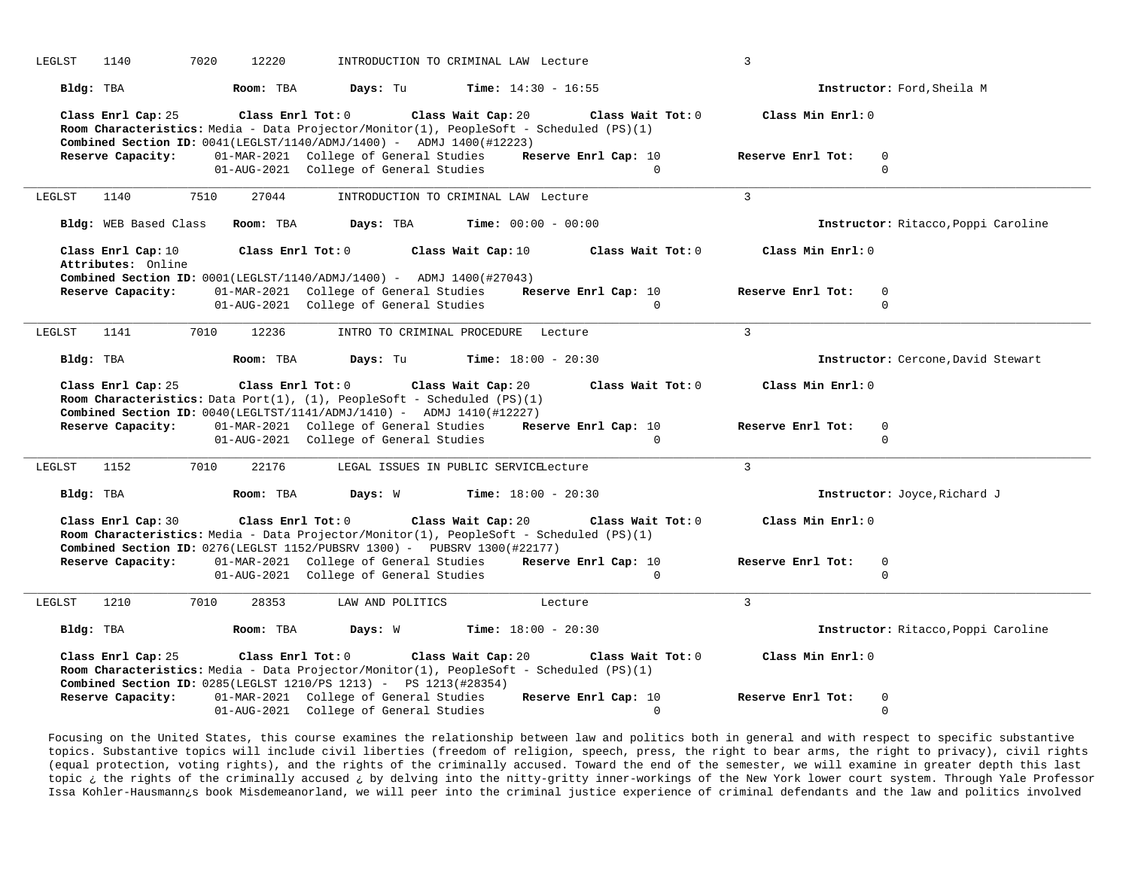| LEGLST<br>1140<br>7020<br>12220                                                              | INTRODUCTION TO CRIMINAL LAW Lecture                                                                                                                                                                                                | 3                                               |
|----------------------------------------------------------------------------------------------|-------------------------------------------------------------------------------------------------------------------------------------------------------------------------------------------------------------------------------------|-------------------------------------------------|
| Room: TBA<br>Bldg: TBA                                                                       | Days: Tu<br><b>Time:</b> $14:30 - 16:55$                                                                                                                                                                                            | Instructor: Ford, Sheila M                      |
| Class Enrl Cap: 25                                                                           | Class Wait Cap: 20<br>Class Enrl Tot: 0<br>Class Wait Tot: 0<br>Room Characteristics: Media - Data Projector/Monitor(1), PeopleSoft - Scheduled (PS)(1)<br>Combined Section ID: 0041(LEGLST/1140/ADMJ/1400) - ADMJ 1400(#12223)     | Class Min Enrl: 0                               |
| Reserve Capacity:                                                                            | 01-MAR-2021 College of General Studies<br>Reserve Enrl Cap: 10                                                                                                                                                                      | Reserve Enrl Tot:<br>0                          |
|                                                                                              | 01-AUG-2021 College of General Studies<br>$\Omega$                                                                                                                                                                                  | $\Omega$                                        |
|                                                                                              |                                                                                                                                                                                                                                     |                                                 |
| 1140<br>7510<br>27044<br>LEGLST                                                              | INTRODUCTION TO CRIMINAL LAW Lecture                                                                                                                                                                                                | 3                                               |
| Bldg: WEB Based Class<br>Room: TBA                                                           | Days: TBA<br><b>Time:</b> $00:00 - 00:00$                                                                                                                                                                                           | Instructor: Ritacco, Poppi Caroline             |
| Class Enrl Cap: 10                                                                           | Class Enrl Tot: 0<br>Class Wait Cap: 10<br>Class Wait Tot: 0                                                                                                                                                                        | Class Min Enrl: 0                               |
| Attributes: Online<br>Reserve Capacity:                                                      | <b>Combined Section ID:</b> $0001(LEGLST/1140/ADMJ/1400) -$ ADMJ 1400(#27043)<br>01-MAR-2021 College of General Studies<br>Reserve Enrl Cap: 10<br>01-AUG-2021 College of General Studies<br>$\Omega$                               | $\mathbf 0$<br>Reserve Enrl Tot:<br>$\mathbf 0$ |
| 7010<br>12236<br>LEGLST<br>1141                                                              | INTRO TO CRIMINAL PROCEDURE Lecture                                                                                                                                                                                                 | $\mathcal{L}$                                   |
| Bldg: TBA<br>Room: TBA                                                                       | <b>Time:</b> $18:00 - 20:30$<br>Days: Tu                                                                                                                                                                                            | Instructor: Cercone, David Stewart              |
| Class Enrl Cap: 25<br>Class Enrl Tot: 0                                                      | Class Wait Cap: 20<br>Class Wait Tot: 0<br>Room Characteristics: Data Port(1), (1), PeopleSoft - Scheduled (PS)(1)<br>Combined Section ID: 0040(LEGLTST/1141/ADMJ/1410) - ADMJ 1410(#12227)                                         | Class Min Enrl: 0                               |
| Reserve Capacity:                                                                            | 01-MAR-2021 College of General Studies<br>Reserve Enrl Cap: 10<br>01-AUG-2021 College of General Studies<br>$\Omega$                                                                                                                | Reserve Enrl Tot:<br>$\mathbf 0$<br>$\Omega$    |
|                                                                                              |                                                                                                                                                                                                                                     |                                                 |
| 7010<br>22176<br>LEGLST<br>1152                                                              | LEGAL ISSUES IN PUBLIC SERVICELecture                                                                                                                                                                                               | $\mathcal{L}$                                   |
| Bldg: TBA<br>Room: TBA                                                                       | Days: W<br><b>Time:</b> $18:00 - 20:30$                                                                                                                                                                                             | Instructor: Joyce, Richard J                    |
| Class Enrl Cap: 30                                                                           | Class Enrl Tot: 0<br>Class Wait Cap: 20<br>Class Wait Tot: 0<br>Room Characteristics: Media - Data Projector/Monitor(1), PeopleSoft - Scheduled (PS)(1)<br>Combined Section ID: 0276(LEGLST 1152/PUBSRV 1300) - PUBSRV 1300(#22177) | Class Min Enrl: 0                               |
| Reserve Capacity:                                                                            | Reserve Enrl Cap: 10<br>01-MAR-2021 College of General Studies<br>01-AUG-2021 College of General Studies<br>$\Omega$                                                                                                                | Reserve Enrl Tot:<br>$\mathbf 0$<br>$\mathbf 0$ |
| <b>LEGLST</b><br>1210<br>7010<br>28353                                                       | LAW AND POLITICS<br>Lecture                                                                                                                                                                                                         | 3                                               |
| Bldg: TBA<br>Room: TBA                                                                       | Days: W<br><b>Time:</b> $18:00 - 20:30$                                                                                                                                                                                             | Instructor: Ritacco, Poppi Caroline             |
|                                                                                              |                                                                                                                                                                                                                                     |                                                 |
| Class Enrl Cap: 25                                                                           | Class Wait Cap: 20<br>Class Enrl Tot: 0<br>Class Wait Tot: 0                                                                                                                                                                        | Class Min Enrl: 0                               |
|                                                                                              | Room Characteristics: Media - Data Projector/Monitor(1), PeopleSoft - Scheduled (PS)(1)                                                                                                                                             |                                                 |
| <b>Combined Section ID:</b> 0285(LEGLST 1210/PS 1213) - PS 1213(#28354)<br>Reserve Capacity: | 01-MAR-2021 College of General Studies<br>Reserve Enrl Cap: 10                                                                                                                                                                      | Reserve Enrl Tot:<br>$\mathbf 0$                |

Focusing on the United States, this course examines the relationship between law and politics both in general and with respect to specific substantive topics. Substantive topics will include civil liberties (freedom of religion, speech, press, the right to bear arms, the right to privacy), civil rights (equal protection, voting rights), and the rights of the criminally accused. Toward the end of the semester, we will examine in greater depth this last topic ¿ the rights of the criminally accused ¿ by delving into the nitty-gritty inner-workings of the New York lower court system. Through Yale Professor Issa Kohler-Hausmann¿s book Misdemeanorland, we will peer into the criminal justice experience of criminal defendants and the law and politics involved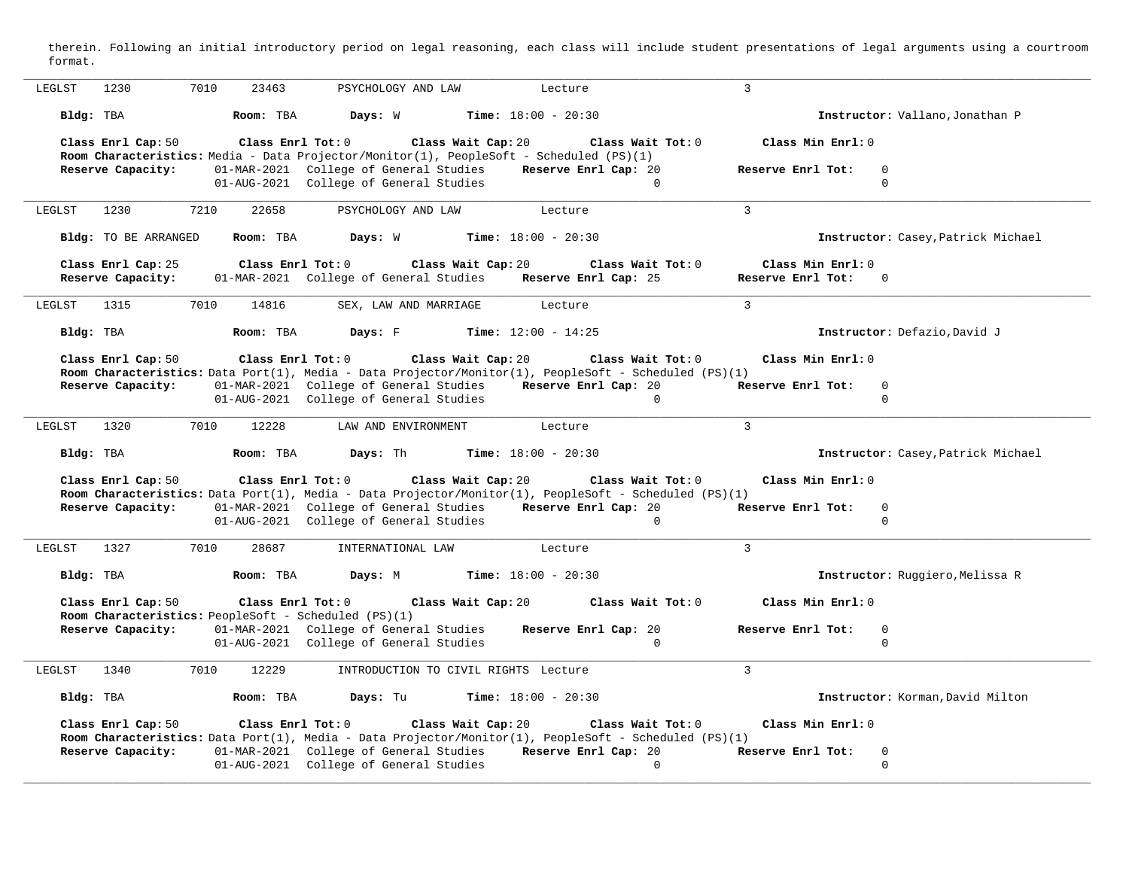therein. Following an initial introductory period on legal reasoning, each class will include student presentations of legal arguments using a courtroom format.

| 1230<br>7010<br>23463<br>LEGLST                      | PSYCHOLOGY AND LAW                                                                                                                               | Lecture                          | 3                                            |
|------------------------------------------------------|--------------------------------------------------------------------------------------------------------------------------------------------------|----------------------------------|----------------------------------------------|
|                                                      |                                                                                                                                                  |                                  |                                              |
| Bldg: TBA<br>Room: TBA                               | Days: W                                                                                                                                          | Time: $18:00 - 20:30$            | Instructor: Vallano, Jonathan P              |
| Class Enrl Cap: 50                                   | Class Enrl Tot: 0<br>Class Wait Cap: 20                                                                                                          | Class Wait Tot: 0                | Class Min Enrl: 0                            |
|                                                      | Room Characteristics: Media - Data Projector/Monitor(1), PeopleSoft - Scheduled (PS)(1)                                                          |                                  |                                              |
| Reserve Capacity:                                    | 01-MAR-2021 College of General Studies                                                                                                           | Reserve Enrl Cap: 20<br>$\Omega$ | Reserve Enrl Tot:<br>$\Omega$<br>$\mathbf 0$ |
|                                                      | 01-AUG-2021 College of General Studies                                                                                                           |                                  |                                              |
| LEGLST<br>1230<br>7210<br>22658                      | PSYCHOLOGY AND LAW                                                                                                                               | Lecture                          | $\overline{3}$                               |
| Bldg: TO BE ARRANGED<br>Room: TBA                    | Days: W                                                                                                                                          | <b>Time:</b> $18:00 - 20:30$     | Instructor: Casey, Patrick Michael           |
| Class Enrl Cap: 25                                   | Class Enrl Tot: 0<br>Class Wait Cap: 20                                                                                                          | Class Wait Tot: 0                | Class Min Enrl: 0                            |
| Reserve Capacity:                                    | 01-MAR-2021 College of General Studies                                                                                                           | Reserve Enrl Cap: 25             | Reserve Enrl Tot:<br>$\Omega$                |
| 1315<br>7010<br>LEGLST<br>14816                      | SEX, LAW AND MARRIAGE                                                                                                                            | Lecture                          | $\overline{3}$                               |
| Bldg: TBA<br>Room: TBA                               | Days: F                                                                                                                                          | Time: $12:00 - 14:25$            | Instructor: Defazio, David J                 |
| Class Enrl Cap: 50                                   | Class Enrl Tot: 0<br>Class Wait Cap: 20                                                                                                          | Class Wait Tot: 0                | Class Min Enrl: 0                            |
|                                                      | Room Characteristics: Data Port(1), Media - Data Projector/Monitor(1), PeopleSoft - Scheduled (PS)(1)                                            |                                  |                                              |
| Reserve Capacity:                                    | 01-MAR-2021 College of General Studies                                                                                                           | Reserve Enrl Cap: 20             | Reserve Enrl Tot:<br>$\Omega$                |
|                                                      | 01-AUG-2021 College of General Studies                                                                                                           | $\Omega$                         | $\mathbf 0$                                  |
| 7010<br>12228<br>1320<br>LEGLST                      | LAW AND ENVIRONMENT                                                                                                                              | Lecture                          | 3                                            |
|                                                      |                                                                                                                                                  |                                  |                                              |
| Bldg: TBA<br>Room: TBA                               | Days: Th                                                                                                                                         | <b>Time:</b> $18:00 - 20:30$     | Instructor: Casey, Patrick Michael           |
|                                                      |                                                                                                                                                  |                                  |                                              |
| Class Enrl Cap: 50                                   | Class Enrl Tot: 0<br>Class Wait Cap: 20                                                                                                          | Class Wait Tot: 0                | Class Min Enrl: 0                            |
|                                                      | Room Characteristics: Data Port(1), Media - Data Projector/Monitor(1), PeopleSoft - Scheduled (PS)(1)                                            |                                  |                                              |
| Reserve Capacity:                                    | 01-MAR-2021 College of General Studies                                                                                                           | Reserve Enrl Cap: 20             | Reserve Enrl Tot:<br>$\overline{0}$          |
|                                                      | 01-AUG-2021 College of General Studies                                                                                                           | $\Omega$                         | $\mathbf 0$                                  |
|                                                      |                                                                                                                                                  |                                  |                                              |
| 1327<br>7010<br>LEGLST<br>28687                      | INTERNATIONAL LAW                                                                                                                                | Lecture                          | 3                                            |
| Bldg: TBA<br>Room: TBA                               | Days: M                                                                                                                                          | <b>Time:</b> $18:00 - 20:30$     | Instructor: Ruggiero, Melissa R              |
| Class Enrl Cap: 50                                   | Class Enrl Tot: 0<br>Class Wait Cap: 20                                                                                                          | Class Wait Tot: 0                | Class Min Enrl: 0                            |
| Room Characteristics: PeopleSoft - Scheduled (PS)(1) |                                                                                                                                                  |                                  |                                              |
| Reserve Capacity:                                    | 01-MAR-2021 College of General Studies                                                                                                           | Reserve Enrl Cap: 20             | Reserve Enrl Tot:<br>$\mathbf 0$             |
|                                                      | 01-AUG-2021 College of General Studies                                                                                                           | $\Omega$                         | $\mathbf 0$                                  |
| LEGLST<br>1340<br>7010<br>12229                      | INTRODUCTION TO CIVIL RIGHTS Lecture                                                                                                             |                                  | $\mathbf{3}$                                 |
| Bldg: TBA<br>Room: TBA                               | Days: Tu                                                                                                                                         | <b>Time:</b> $18:00 - 20:30$     | Instructor: Korman, David Milton             |
|                                                      |                                                                                                                                                  | Class Wait Tot: 0                | Class Min Enrl: 0                            |
| Class Enrl Cap: 50                                   | Class Enrl Tot: 0<br>Class Wait Cap: 20<br>Room Characteristics: Data Port(1), Media - Data Projector/Monitor(1), PeopleSoft - Scheduled (PS)(1) |                                  |                                              |
| Reserve Capacity:                                    | 01-MAR-2021 College of General Studies                                                                                                           | Reserve Enrl Cap: 20             | Reserve Enrl Tot:<br>$\overline{0}$          |
|                                                      | 01-AUG-2021 College of General Studies                                                                                                           | $\Omega$                         | $\mathbf{0}$                                 |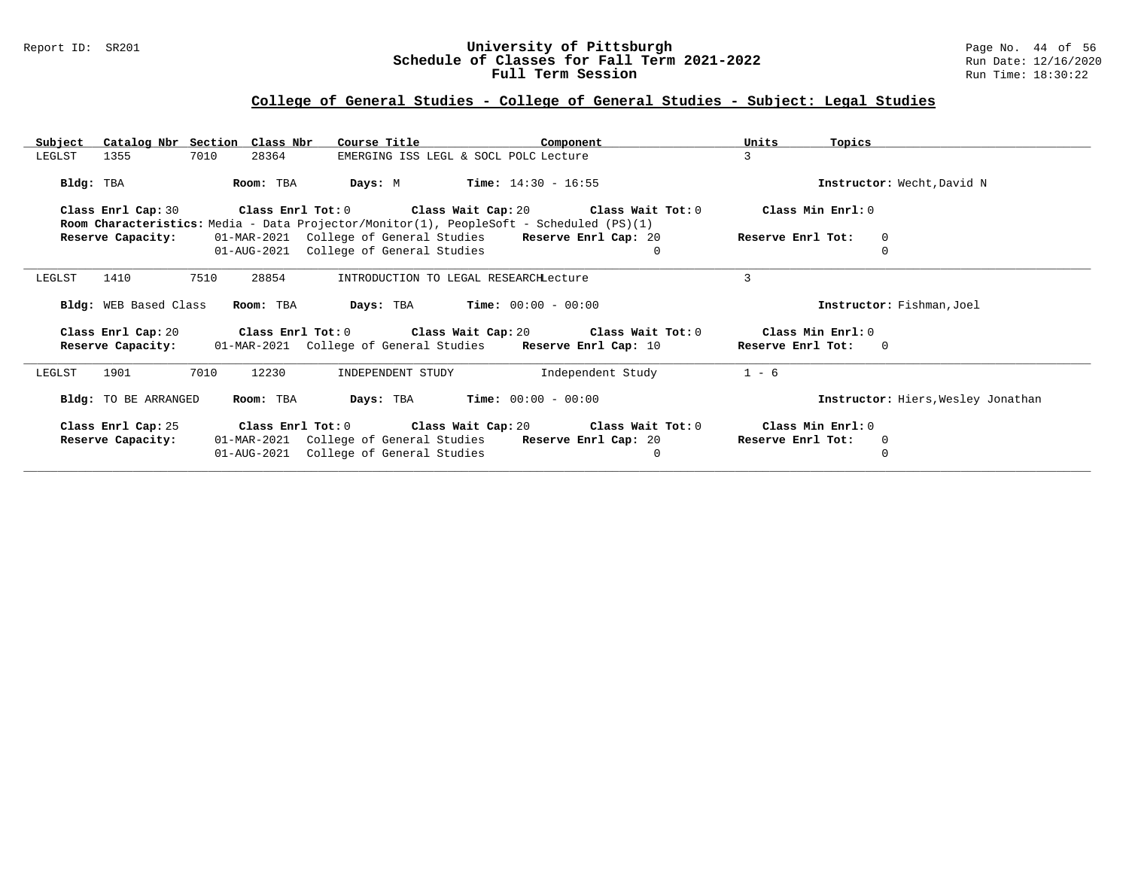### Report ID: SR201 **University of Pittsburgh** Page No. 44 of 56 **Schedule of Classes for Fall Term 2021-2022** Run Date: 12/16/2020 **Full Term Session Rundall Term Session Rundall Term Session**

# **College of General Studies - College of General Studies - Subject: Legal Studies**

| Subject Catalog Nbr Section Class Nbr                                                                         | Course Title                                                 | Units<br>Component           | Topics                                   |
|---------------------------------------------------------------------------------------------------------------|--------------------------------------------------------------|------------------------------|------------------------------------------|
| 7010<br>28364<br>1355<br>LEGLST                                                                               | EMERGING ISS LEGL & SOCL POLC Lecture                        | 3                            |                                          |
| Bldg: TBA<br>Room: TBA                                                                                        | <b>Days:</b> M <b>Time:</b> $14:30 - 16:55$                  |                              | Instructor: Wecht, David N               |
| Class Enrl Cap: 30<br>Room Characteristics: Media - Data Projector/Monitor(1), PeopleSoft - Scheduled (PS)(1) | Class Enrl Tot: $0$ Class Wait Cap: $20$ Class Wait Tot: $0$ |                              | Class Min Enrl: 0                        |
| Reserve Capacity:                                                                                             | 01-MAR-2021 College of General Studies Reserve Enrl Cap: 20  |                              | Reserve Enrl Tot:<br>$\circ$             |
|                                                                                                               | 01-AUG-2021 College of General Studies                       | $\mathbf{0}$                 |                                          |
| 7510<br>28854<br>1410<br>LEGLST                                                                               | INTRODUCTION TO LEGAL RESEARCHLecture                        | 3                            |                                          |
| Bldg: WEB Based Class<br>Room: TBA                                                                            | <b>Days:</b> TBA <b>Time:</b> $00:00 - 00:00$                |                              | Instructor: Fishman, Joel                |
| Class Enrl Cap: 20<br><b>Reserve Capacity:</b> 01-MAR-2021 College of General Studies Reserve Enrl Cap: 10    | Class Enrl Tot: $0$ Class Wait Cap: $20$ Class Wait Tot: $0$ |                              | Class Min Enrl: 0<br>Reserve Enrl Tot: 0 |
| 7010<br>12230<br>1901<br>LEGLST                                                                               | INDEPENDENT STUDY                                            | Independent Study<br>$1 - 6$ |                                          |
| Bldg: TO BE ARRANGED<br>Room: TBA                                                                             | <b>Days:</b> TBA <b>Time:</b> $00:00 - 00:00$                |                              | Instructor: Hiers, Wesley Jonathan       |
| Class Enrl Cap: 25                                                                                            | Class Enrl Tot: $0$ Class Wait Cap: $20$ Class Wait Tot: $0$ |                              | Class Min Enrl: 0                        |
| Reserve Capacity:                                                                                             | 01-MAR-2021 College of General Studies                       | <b>Reserve Enrl Cap:</b> 20  | Reserve Enrl Tot:<br>0                   |
| 01-AUG-2021                                                                                                   | College of General Studies                                   | $\Omega$                     | $\Omega$                                 |
|                                                                                                               |                                                              |                              |                                          |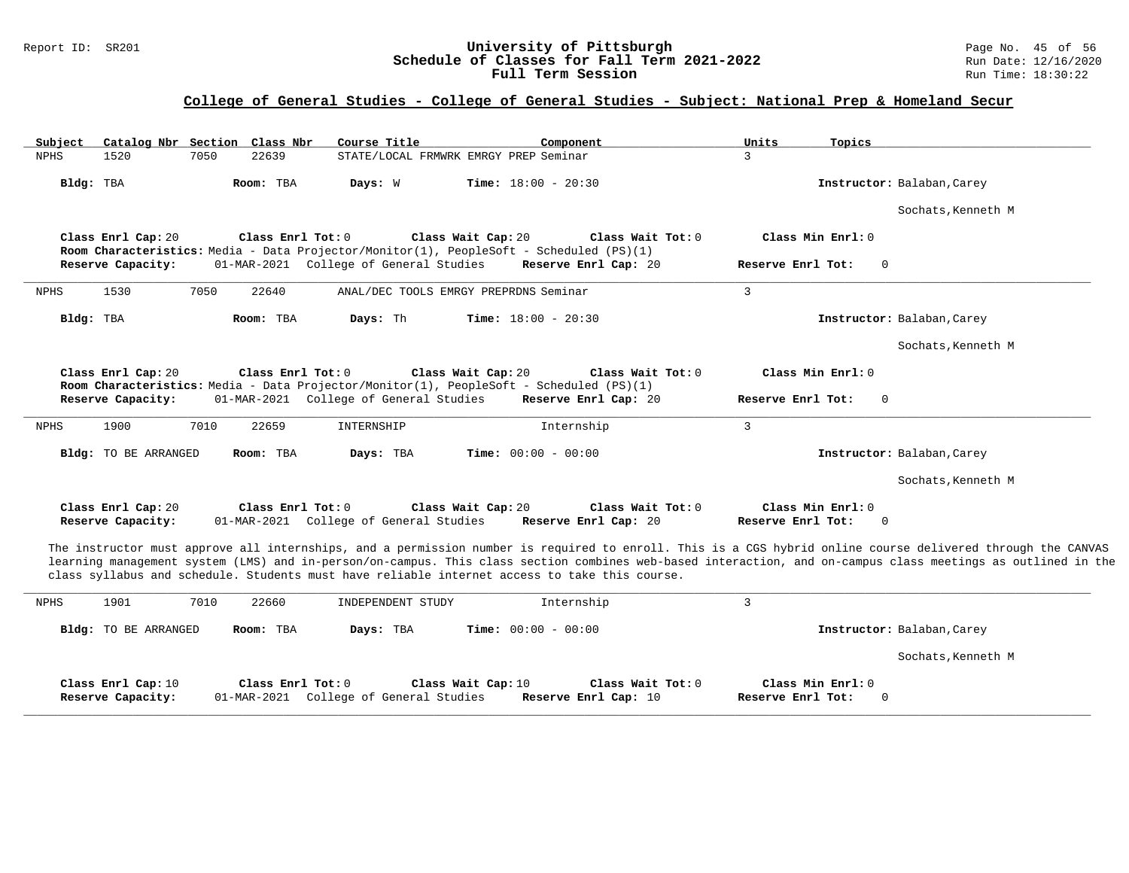#### Report ID: SR201 **1988 Mage 19: SR201 University of Pittsburgh** Page No. 45 of 56<br>**Schedule of Classes for Fall Term 2021-2022** 2011 Page No. 45 of 56 **Schedule of Classes for Fall Term 2021-2022** Run Date: 12/16/2021<br>**Full Term Session** Run Time: 18:30:22 Full Term Session

### **College of General Studies - College of General Studies - Subject: National Prep & Homeland Secur**

| Subject     | Catalog Nbr Section Class Nbr           |      |                   | Course Title                           | Component                                                                                                       | Units                                  | Topics                                                                                                                                                                                                                                                                                                                      |
|-------------|-----------------------------------------|------|-------------------|----------------------------------------|-----------------------------------------------------------------------------------------------------------------|----------------------------------------|-----------------------------------------------------------------------------------------------------------------------------------------------------------------------------------------------------------------------------------------------------------------------------------------------------------------------------|
| <b>NPHS</b> | 1520                                    | 7050 | 22639             |                                        | STATE/LOCAL FRMWRK EMRGY PREP Seminar                                                                           | 3                                      |                                                                                                                                                                                                                                                                                                                             |
| Bldg: TBA   |                                         |      | Room: TBA         | Days: W                                | <b>Time:</b> $18:00 - 20:30$                                                                                    |                                        | Instructor: Balaban, Carey                                                                                                                                                                                                                                                                                                  |
|             |                                         |      |                   |                                        |                                                                                                                 |                                        | Sochats, Kenneth M                                                                                                                                                                                                                                                                                                          |
|             | Class Enrl Cap: 20                      |      | Class Enrl Tot: 0 |                                        | Class Wait Cap: 20                                                                                              | Class Wait Tot: 0                      | Class Min Enrl: 0                                                                                                                                                                                                                                                                                                           |
|             | Reserve Capacity:                       |      |                   | 01-MAR-2021 College of General Studies | Room Characteristics: Media - Data Projector/Monitor(1), PeopleSoft - Scheduled (PS)(1)<br>Reserve Enrl Cap: 20 | Reserve Enrl Tot:                      | $\Omega$                                                                                                                                                                                                                                                                                                                    |
| <b>NPHS</b> | 1530                                    | 7050 | 22640             |                                        | ANAL/DEC TOOLS EMRGY PREPRDNS Seminar                                                                           | 3                                      |                                                                                                                                                                                                                                                                                                                             |
| Bldg: TBA   |                                         |      | Room: TBA         | Days: Th                               | <b>Time:</b> $18:00 - 20:30$                                                                                    |                                        | Instructor: Balaban, Carey                                                                                                                                                                                                                                                                                                  |
|             |                                         |      |                   |                                        |                                                                                                                 |                                        | Sochats, Kenneth M                                                                                                                                                                                                                                                                                                          |
|             | Class Enrl Cap: 20                      |      | Class Enrl Tot: 0 |                                        | Class Wait Cap: 20<br>Room Characteristics: Media - Data Projector/Monitor(1), PeopleSoft - Scheduled (PS)(1)   | Class Wait Tot: 0                      | Class Min Enrl: 0                                                                                                                                                                                                                                                                                                           |
|             | Reserve Capacity:                       |      |                   | 01-MAR-2021 College of General Studies | Reserve Enrl Cap: 20                                                                                            | Reserve Enrl Tot:                      | $\Omega$                                                                                                                                                                                                                                                                                                                    |
| <b>NPHS</b> | 1900                                    | 7010 | 22659             | INTERNSHIP                             | Internship                                                                                                      | $\overline{3}$                         |                                                                                                                                                                                                                                                                                                                             |
|             | Bldg: TO BE ARRANGED                    |      | Room: TBA         | Days: TBA                              | <b>Time:</b> $00:00 - 00:00$                                                                                    |                                        | Instructor: Balaban, Carey                                                                                                                                                                                                                                                                                                  |
|             |                                         |      |                   |                                        |                                                                                                                 |                                        | Sochats, Kenneth M                                                                                                                                                                                                                                                                                                          |
|             | Class Enrl Cap: 20<br>Reserve Capacity: |      | Class Enrl Tot: 0 | 01-MAR-2021 College of General Studies | Class Wait Cap: 20<br>Reserve Enrl Cap: 20                                                                      | Class Wait Tot: 0<br>Reserve Enrl Tot: | Class Min Enrl: 0<br>$\Omega$                                                                                                                                                                                                                                                                                               |
|             |                                         |      |                   |                                        | class syllabus and schedule. Students must have reliable internet access to take this course.                   |                                        | The instructor must approve all internships, and a permission number is required to enroll. This is a CGS hybrid online course delivered through the CANVAS<br>learning management system (LMS) and in-person/on-campus. This class section combines web-based interaction, and on-campus class meetings as outlined in the |
| <b>NPHS</b> | 1901                                    | 7010 | 22660             | INDEPENDENT STUDY                      | Internship                                                                                                      | 3                                      |                                                                                                                                                                                                                                                                                                                             |
|             | <b>Bldg:</b> TO BE ARRANGED             |      | Room: TBA         | Days: TBA                              | <b>Time:</b> $00:00 - 00:00$                                                                                    |                                        | Instructor: Balaban, Carey                                                                                                                                                                                                                                                                                                  |
|             |                                         |      |                   |                                        |                                                                                                                 |                                        | Sochats, Kenneth M                                                                                                                                                                                                                                                                                                          |
|             | Class Enrl Cap: 10<br>Reserve Capacity: |      | Class Enrl Tot: 0 | 01-MAR-2021 College of General Studies | Class Wait Cap: 10<br>Reserve Enrl Cap: 10                                                                      | Class Wait Tot: 0<br>Reserve Enrl Tot: | Class Min Enrl: 0<br>$\Omega$                                                                                                                                                                                                                                                                                               |

**\_\_\_\_\_\_\_\_\_\_\_\_\_\_\_\_\_\_\_\_\_\_\_\_\_\_\_\_\_\_\_\_\_\_\_\_\_\_\_\_\_\_\_\_\_\_\_\_\_\_\_\_\_\_\_\_\_\_\_\_\_\_\_\_\_\_\_\_\_\_\_\_\_\_\_\_\_\_\_\_\_\_\_\_\_\_\_\_\_\_\_\_\_\_\_\_\_\_\_\_\_\_\_\_\_\_\_\_\_\_\_\_\_\_\_\_\_\_\_\_\_\_\_\_\_\_\_\_\_\_\_\_\_\_\_\_\_\_\_\_\_\_\_\_\_\_\_\_\_\_\_\_\_\_\_\_**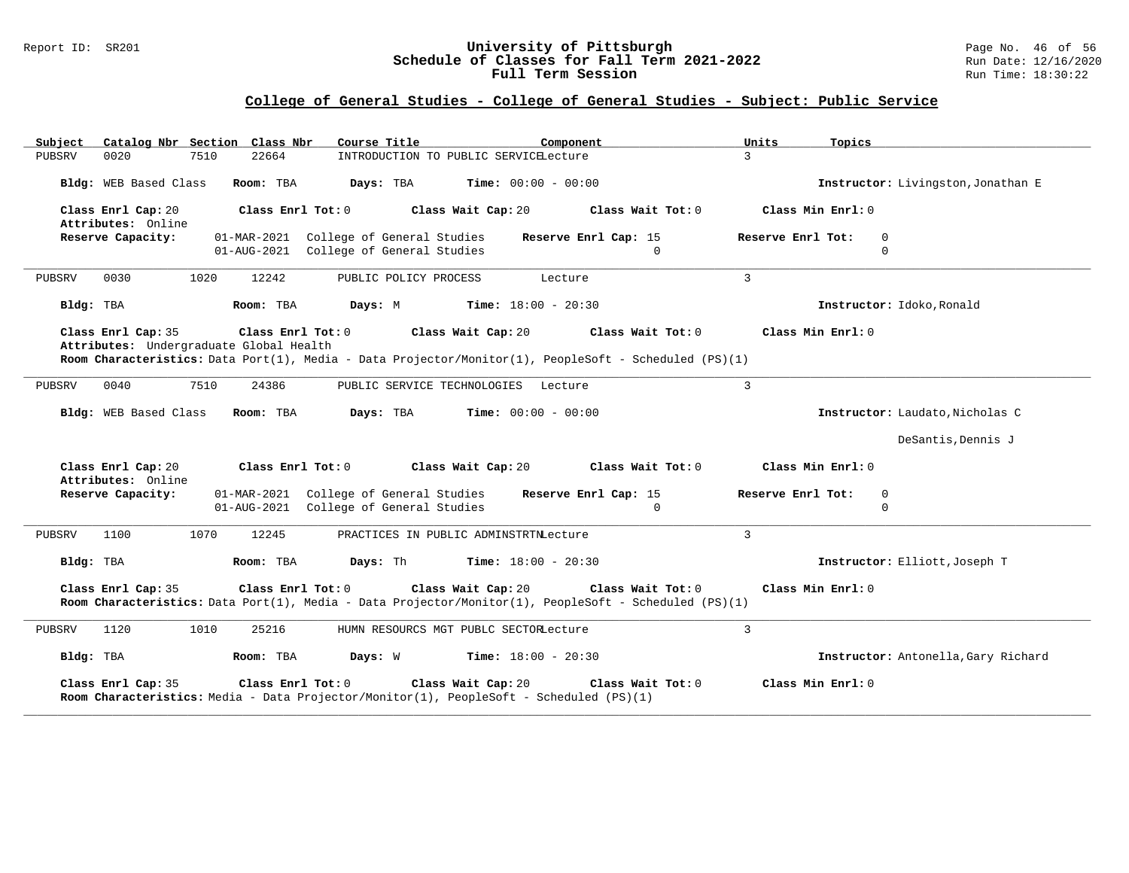### Report ID: SR201 **University of Pittsburgh** Page No. 46 of 56 **Schedule of Classes for Fall Term 2021-2022** Run Date: 12/16/2020 **Full Term Session Rundall Term Session Rundall Term Session**

# **College of General Studies - College of General Studies - Subject: Public Service**

| Catalog Nbr Section Class Nbr<br>Subject                      | Course Title                                                                     | Component                                                                                                                                        | Units<br>Topics                                 |
|---------------------------------------------------------------|----------------------------------------------------------------------------------|--------------------------------------------------------------------------------------------------------------------------------------------------|-------------------------------------------------|
| 0020<br>7510<br>PUBSRV                                        | 22664                                                                            | INTRODUCTION TO PUBLIC SERVICELecture                                                                                                            | $\overline{3}$                                  |
| Bldg: WEB Based Class                                         | Room: TBA<br>Days: TBA                                                           | <b>Time:</b> $00:00 - 00:00$                                                                                                                     | Instructor: Livingston, Jonathan E              |
| Class Enrl Cap: 20<br>Attributes: Online                      | Class Enrl Tot: 0                                                                | Class Wait Cap: 20<br>Class Wait Tot: 0                                                                                                          | Class Min Enrl: 0                               |
| Reserve Capacity:                                             | 01-MAR-2021 College of General Studies<br>01-AUG-2021 College of General Studies | Reserve Enrl Cap: 15<br>$\Omega$                                                                                                                 | Reserve Enrl Tot:<br>0<br>$\Omega$              |
| 0030<br>1020<br>PUBSRV                                        | 12242<br>PUBLIC POLICY PROCESS                                                   | Lecture                                                                                                                                          | $\mathbf{3}$                                    |
| Bldg: TBA                                                     | Room: TBA<br>Days: M                                                             | <b>Time:</b> $18:00 - 20:30$                                                                                                                     | Instructor: Idoko, Ronald                       |
| Class Enrl Cap: 35<br>Attributes: Undergraduate Global Health | Class Enrl Tot: 0                                                                | Class Wait Cap: 20<br>Class Wait Tot: 0                                                                                                          | Class Min Enrl: 0                               |
|                                                               |                                                                                  | Room Characteristics: Data Port(1), Media - Data Projector/Monitor(1), PeopleSoft - Scheduled (PS)(1)                                            |                                                 |
| 7510<br>0040<br>PUBSRV                                        | 24386                                                                            | PUBLIC SERVICE TECHNOLOGIES Lecture                                                                                                              | $\overline{3}$                                  |
| Bldg: WEB Based Class                                         | Room: TBA<br>Days: TBA                                                           | <b>Time:</b> $00:00 - 00:00$                                                                                                                     | Instructor: Laudato, Nicholas C                 |
|                                                               |                                                                                  |                                                                                                                                                  | DeSantis, Dennis J                              |
| Class Enrl Cap: 20<br>Attributes: Online                      | Class Enrl Tot: 0                                                                | Class Wait Cap: 20<br>Class Wait Tot: 0                                                                                                          | Class Min Enrl: 0                               |
| Reserve Capacity:                                             | 01-MAR-2021 College of General Studies<br>01-AUG-2021 College of General Studies | Reserve Enrl Cap: 15<br>$\mathbf 0$                                                                                                              | Reserve Enrl Tot:<br>$\mathbf 0$<br>$\mathbf 0$ |
| 1070<br>1100<br>PUBSRV                                        | 12245                                                                            | PRACTICES IN PUBLIC ADMINSTRTNLecture                                                                                                            | $\mathbf{3}$                                    |
| Bldg: TBA                                                     | Days: Th<br>Room: TBA                                                            | <b>Time:</b> $18:00 - 20:30$                                                                                                                     | Instructor: Elliott, Joseph T                   |
| Class Enrl Cap: 35                                            | Class Enrl Tot: 0                                                                | Class Wait Cap: 20<br>Class Wait Tot: 0<br>Room Characteristics: Data Port(1), Media - Data Projector/Monitor(1), PeopleSoft - Scheduled (PS)(1) | Class Min Enrl: 0                               |
| 1120<br>PUBSRV<br>1010                                        | 25216                                                                            | HUMN RESOURCS MGT PUBLC SECTORLecture                                                                                                            | 3                                               |
| Bldg: TBA                                                     | Room: TBA<br>Days: W                                                             | <b>Time:</b> $18:00 - 20:30$                                                                                                                     | Instructor: Antonella, Gary Richard             |
| Class Enrl Cap: 35                                            | Class Enrl Tot: 0                                                                | Class Wait Cap: 20<br>Class Wait Tot: 0<br>Room Characteristics: Media - Data Projector/Monitor(1), PeopleSoft - Scheduled (PS)(1)               | Class Min Enrl: 0                               |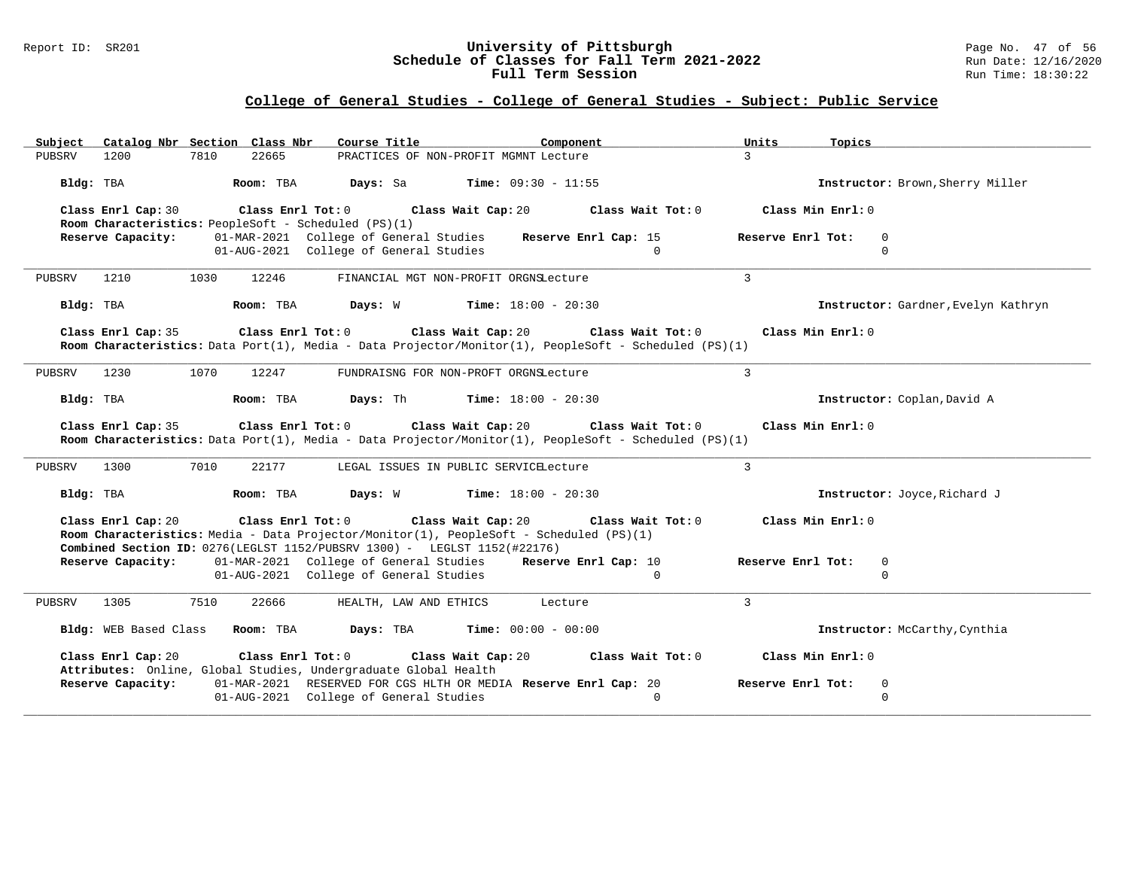### Report ID: SR201 **University of Pittsburgh** Page No. 47 of 56 **Schedule of Classes for Fall Term 2021-2022** Run Date: 12/16/2020 **Full Term Session Rundall Term Session Rundall Term Session**

# **College of General Studies - College of General Studies - Subject: Public Service**

| Catalog Nbr Section Class Nbr<br>Subject                                                        | Course Title <b>Sourse In the Search</b><br>Component                                                                                                                       | Units<br>Topics                     |
|-------------------------------------------------------------------------------------------------|-----------------------------------------------------------------------------------------------------------------------------------------------------------------------------|-------------------------------------|
| 1200<br>7810<br>22665<br>PUBSRV                                                                 | PRACTICES OF NON-PROFIT MGMNT Lecture                                                                                                                                       | $\overline{3}$                      |
| Room: TBA<br>Bldg: TBA                                                                          | <b>Days:</b> Sa <b>Time:</b> $09:30 - 11:55$                                                                                                                                | Instructor: Brown, Sherry Miller    |
| Class Enrl Cap: 30<br>Class Enrl Tot: 0<br>Room Characteristics: PeopleSoft - Scheduled (PS)(1) | Class Wait Cap: 20<br>Class Wait Tot: 0                                                                                                                                     | Class Min Enrl: 0                   |
| Reserve Capacity:                                                                               | 01-MAR-2021 College of General Studies<br>Reserve Enrl Cap: 15                                                                                                              | Reserve Enrl Tot:<br>0              |
|                                                                                                 | 01-AUG-2021 College of General Studies<br>$\Omega$                                                                                                                          | $\Omega$                            |
| 12246<br>PUBSRV<br>1210<br>1030                                                                 | FINANCIAL MGT NON-PROFIT ORGNSLecture                                                                                                                                       | $\mathbf{3}$                        |
| Bldg: TBA<br>Room: TBA                                                                          | Days: W<br><b>Time:</b> $18:00 - 20:30$                                                                                                                                     | Instructor: Gardner, Evelyn Kathryn |
| Class Enrl Cap: 35                                                                              | $Class$ $Enrl$ $Tot: 0$<br>Class Wait Cap: 20<br>Class Wait Tot: 0<br>Room Characteristics: Data Port(1), Media - Data Projector/Monitor(1), PeopleSoft - Scheduled (PS)(1) | Class Min Enrl: 0                   |
| 1230<br>1070<br>12247<br>PUBSRV                                                                 | FUNDRAISNG FOR NON-PROFT ORGNSLecture                                                                                                                                       | $\mathbf{3}$                        |
| Room: TBA<br>Bldg: TBA                                                                          | <b>Days:</b> Th <b>Time:</b> $18:00 - 20:30$                                                                                                                                | Instructor: Coplan, David A         |
| Class Enrl Cap: 35                                                                              | $Class$ $Enr1$ $Tot: 0$<br>Class Wait Cap: 20<br>Class Wait Tot: 0<br>Room Characteristics: Data Port(1), Media - Data Projector/Monitor(1), PeopleSoft - Scheduled (PS)(1) | Class Min Enrl: 0                   |
| 7010<br>PUBSRV<br>1300<br>22177                                                                 | LEGAL ISSUES IN PUBLIC SERVICELecture                                                                                                                                       | $\mathbf{3}$                        |
| Room: TBA<br>Bldg: TBA                                                                          | <b>Days:</b> W <b>Time:</b> $18:00 - 20:30$                                                                                                                                 | Instructor: Joyce, Richard J        |
| Class Enrl Cap: 20<br>Combined Section ID: 0276(LEGLST 1152/PUBSRV 1300) - LEGLST 1152(#22176)  | Class Enrl Tot: 0<br>Class Wait Cap: 20 Class Wait Tot: 0<br>Room Characteristics: Media - Data Projector/Monitor(1), PeopleSoft - Scheduled (PS)(1)                        | Class Min Enrl: 0                   |
| Reserve Capacity:                                                                               | 01-MAR-2021 College of General Studies Reserve Enrl Cap: 10                                                                                                                 | Reserve Enrl Tot:<br>0              |
|                                                                                                 | 01-AUG-2021 College of General Studies<br>$\Omega$                                                                                                                          | $\Omega$                            |
| 1305<br>7510<br>22666<br>PUBSRV                                                                 | HEALTH, LAW AND ETHICS<br>Lecture                                                                                                                                           | $\overline{3}$                      |
| Bldg: WEB Based Class Room: TBA                                                                 | Days: TBA<br><b>Time:</b> $00:00 - 00:00$                                                                                                                                   | Instructor: McCarthy, Cynthia       |
| Class Enrl Cap: 20<br>Class Enrl Tot: 0                                                         | Class Wait Cap: 20<br>Class Wait Tot: 0                                                                                                                                     | Class Min Enrl: 0                   |
| Attributes: Online, Global Studies, Undergraduate Global Health<br>Reserve Capacity:            | 01-MAR-2021 RESERVED FOR CGS HLTH OR MEDIA Reserve Enrl Cap: 20                                                                                                             | Reserve Enrl Tot:<br>0              |
|                                                                                                 | $\Omega$<br>01-AUG-2021 College of General Studies                                                                                                                          | $\mathbf 0$                         |
|                                                                                                 |                                                                                                                                                                             |                                     |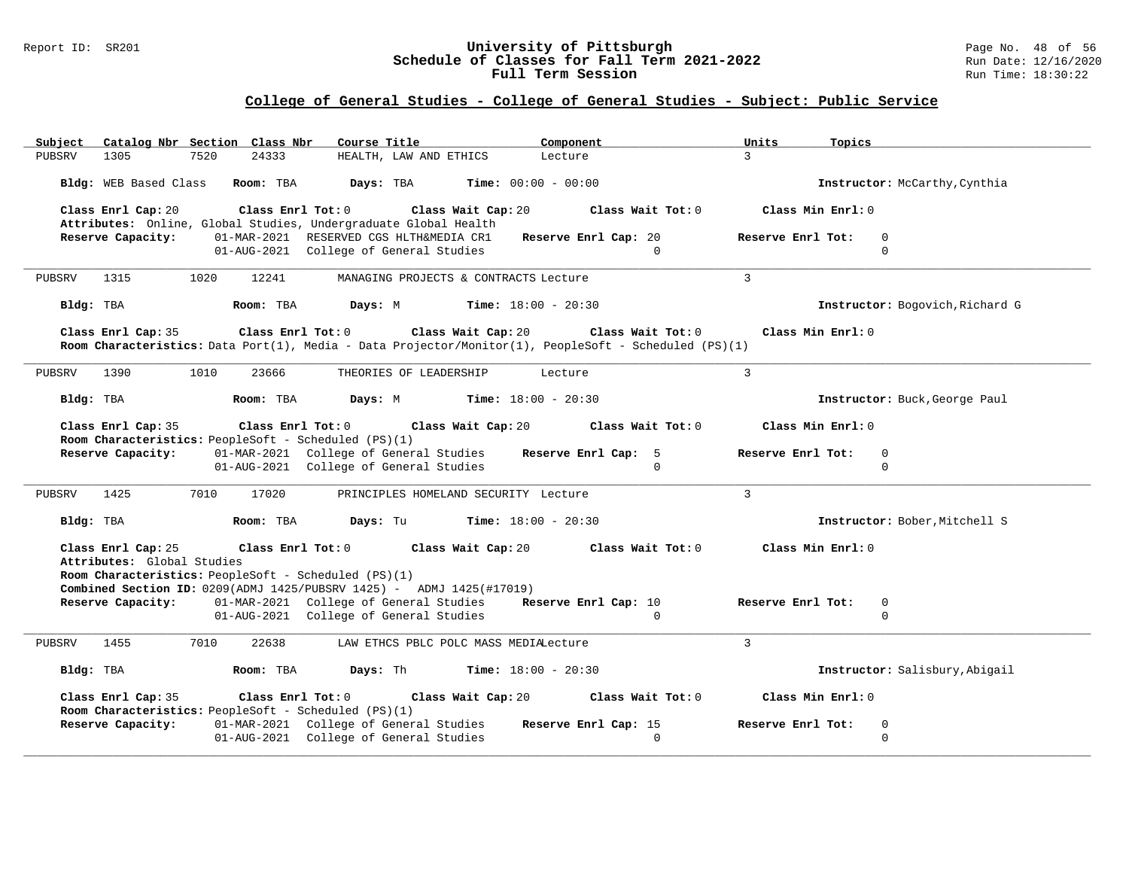#### Report ID: SR201 **University of Pittsburgh** Page No. 48 of 56 **Schedule of Classes for Fall Term 2021-2022** Run Date: 12/16/2020 **Full Term Session Rundall Term Session Rundall Term Session**

# **College of General Studies - College of General Studies - Subject: Public Service**

| Subject                                                                   | Catalog Nbr Section Class Nbr          | Course Title                                                                                                                                                     | Component                                                                                                                                                             | Units<br>Topics                           |
|---------------------------------------------------------------------------|----------------------------------------|------------------------------------------------------------------------------------------------------------------------------------------------------------------|-----------------------------------------------------------------------------------------------------------------------------------------------------------------------|-------------------------------------------|
| PUBSRV<br>1305                                                            | 7520<br>24333                          | HEALTH, LAW AND ETHICS                                                                                                                                           | Lecture                                                                                                                                                               | $\mathcal{R}$                             |
|                                                                           |                                        | <b>Bldg:</b> WEB Based Class <b>Room:</b> TBA <b>Days:</b> TBA <b>Time:</b> 00:00 - 00:00                                                                        |                                                                                                                                                                       | Instructor: McCarthy, Cynthia             |
| Class Enrl Cap: 20                                                        |                                        | Class Enrl Tot: $0$ Class Wait Cap: $20$<br>Attributes: Online, Global Studies, Undergraduate Global Health                                                      | Class Wait Tot: 0                                                                                                                                                     | Class Min Enrl: 0                         |
| Reserve Capacity:                                                         |                                        | 01-MAR-2021 RESERVED CGS HLTH&MEDIA CR1 Reserve Enrl Cap: 20                                                                                                     |                                                                                                                                                                       | Reserve Enrl Tot:<br>$\Omega$             |
|                                                                           |                                        | 01-AUG-2021 College of General Studies                                                                                                                           | $\Omega$                                                                                                                                                              | $\Omega$                                  |
| 1315<br>PUBSRV                                                            | 1020<br>12241                          | MANAGING PROJECTS & CONTRACTS Lecture                                                                                                                            |                                                                                                                                                                       | $\mathcal{L}$                             |
| Bldg: TBA                                                                 |                                        | <b>Room:</b> TBA <b>Days:</b> M <b>Time:</b> 18:00 - 20:30                                                                                                       |                                                                                                                                                                       | Instructor: Bogovich, Richard G           |
| Class Enrl Cap: 35                                                        |                                        |                                                                                                                                                                  | Class Enrl Tot: $0$ Class Wait Cap: $20$ Class Wait Tot: $0$<br>Room Characteristics: Data Port(1), Media - Data Projector/Monitor(1), PeopleSoft - Scheduled (PS)(1) | Class Min Enrl: 0                         |
| 1390<br>PUBSRV                                                            | 1010<br>23666                          | THEORIES OF LEADERSHIP                                                                                                                                           | Lecture                                                                                                                                                               | $\mathcal{L}$                             |
| Bldg: TBA                                                                 | Room: TBA Days: M                      |                                                                                                                                                                  | <b>Time:</b> $18:00 - 20:30$                                                                                                                                          | Instructor: Buck, George Paul             |
| Class Enrl Cap: 35                                                        |                                        |                                                                                                                                                                  | Class Enrl Tot: $0$ Class Wait Cap: $20$ Class Wait Tot: $0$                                                                                                          | Class Min Enrl: 0                         |
| Room Characteristics: PeopleSoft - Scheduled (PS)(1)                      |                                        |                                                                                                                                                                  |                                                                                                                                                                       |                                           |
|                                                                           |                                        | Reserve Capacity: 01-MAR-2021 College of General Studies Reserve Enrl Cap: 5                                                                                     | $\Omega$                                                                                                                                                              | Reserve Enrl Tot:<br>$\Omega$<br>$\Omega$ |
|                                                                           |                                        |                                                                                                                                                                  |                                                                                                                                                                       |                                           |
|                                                                           | 01-AUG-2021 College of General Studies |                                                                                                                                                                  |                                                                                                                                                                       |                                           |
| PUBSRV 1425                                                               | 7010<br>17020                          | PRINCIPLES HOMELAND SECURITY Lecture                                                                                                                             |                                                                                                                                                                       | $\mathcal{E}$                             |
| Bldg: TBA                                                                 | Room: TBA                              | Days: Tu                                                                                                                                                         | <b>Time:</b> $18:00 - 20:30$                                                                                                                                          | Instructor: Bober, Mitchell S             |
| Class Enrl Cap: 25                                                        |                                        | Class Enrl Tot: 0 Class Wait Cap: 20                                                                                                                             | Class Wait Tot: 0                                                                                                                                                     | Class Min Enrl: 0                         |
| Attributes: Global Studies                                                |                                        |                                                                                                                                                                  |                                                                                                                                                                       |                                           |
| Room Characteristics: PeopleSoft - Scheduled (PS)(1)                      |                                        |                                                                                                                                                                  |                                                                                                                                                                       |                                           |
|                                                                           |                                        | <b>Combined Section ID:</b> $0209(ADMJ 1425/PUBSRV 1425) -$ ADMJ $1425(#17019)$<br>Reserve Capacity: 01-MAR-2021 College of General Studies Reserve Enrl Cap: 10 |                                                                                                                                                                       | Reserve Enrl Tot:<br>0                    |
|                                                                           |                                        | 01-AUG-2021 College of General Studies                                                                                                                           | $\overline{0}$                                                                                                                                                        | $\Omega$                                  |
| PUBSRV 1455                                                               | 7010<br>22638                          | LAW ETHCS PBLC POLC MASS MEDIALecture                                                                                                                            |                                                                                                                                                                       | $\mathcal{L}$                             |
| Bldg: TBA                                                                 | Room: TBA                              | <b>Days:</b> Th $\frac{18:00 - 20:30}{1000}$                                                                                                                     |                                                                                                                                                                       | Instructor: Salisbury, Abigail            |
| Class Enrl Cap: 35                                                        |                                        | Class Enrl Tot: 0 Class Wait Cap: 20                                                                                                                             | Class Wait Tot: 0                                                                                                                                                     | Class Min Enrl: 0                         |
| Room Characteristics: PeopleSoft - Scheduled (PS)(1)<br>Reserve Capacity: |                                        | 01-MAR-2021 College of General Studies                                                                                                                           | Reserve Enrl Cap: 15                                                                                                                                                  | Reserve Enrl Tot:<br>$\mathbf 0$          |
|                                                                           |                                        | 01-AUG-2021 College of General Studies                                                                                                                           | $\Omega$                                                                                                                                                              | $\Omega$                                  |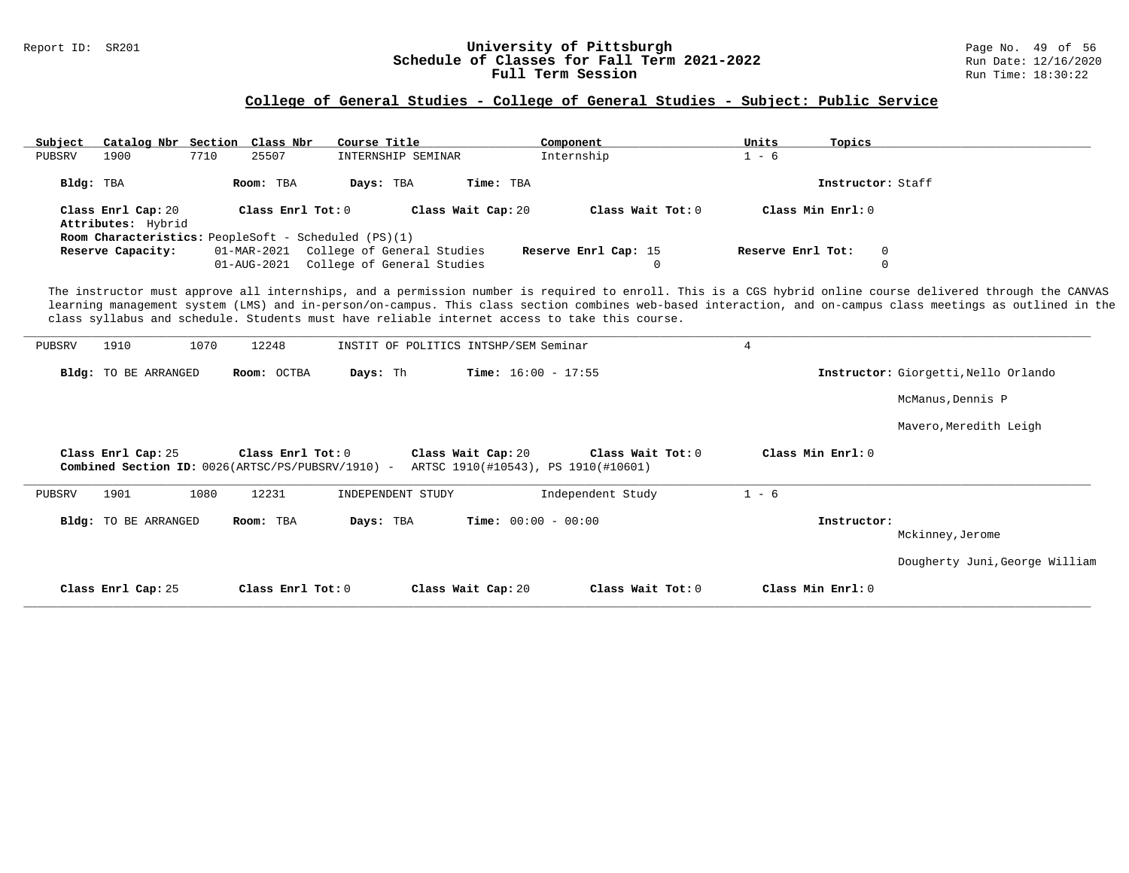### Report ID: SR201 **University of Pittsburgh University of Pittsburgh** Page No. 49 of 56<br>**Schedule of Classes for Fall Term 2021-2022** Run Date: 12/16/2020 **Schedule of Classes for Fall Term 2021-2022** Run Date: 12/16/2020 **Full Term Session Rundall Term Session Rundall Term Session**

# **College of General Studies - College of General Studies - Subject: Public Service**

| Subject                                  | Catalog Nbr Section Class Nbr                                            | Course Title                                                                                  | Component                                                | Units<br>Topics   |                                                                                                                                                                                                                                                                                                                             |
|------------------------------------------|--------------------------------------------------------------------------|-----------------------------------------------------------------------------------------------|----------------------------------------------------------|-------------------|-----------------------------------------------------------------------------------------------------------------------------------------------------------------------------------------------------------------------------------------------------------------------------------------------------------------------------|
| PUBSRV<br>1900                           | 7710<br>25507                                                            | INTERNSHIP SEMINAR                                                                            | Internship                                               | $1 - 6$           |                                                                                                                                                                                                                                                                                                                             |
| Bldg: TBA                                | Room: TBA                                                                | Time: TBA<br>Days: TBA                                                                        |                                                          |                   | Instructor: Staff                                                                                                                                                                                                                                                                                                           |
| Class Enrl Cap: 20<br>Attributes: Hybrid | Class Enrl Tot: 0                                                        | Class Wait Cap: 20                                                                            | Class Wait Tot: 0                                        | Class Min Enrl: 0 |                                                                                                                                                                                                                                                                                                                             |
| Reserve Capacity:                        | Room Characteristics: PeopleSoft - Scheduled (PS)(1)                     | 01-MAR-2021 College of General Studies<br>01-AUG-2021 College of General Studies              | Reserve Enrl Cap: 15<br>0                                | Reserve Enrl Tot: | 0<br>0                                                                                                                                                                                                                                                                                                                      |
|                                          |                                                                          | class syllabus and schedule. Students must have reliable internet access to take this course. |                                                          |                   | The instructor must approve all internships, and a permission number is required to enroll. This is a CGS hybrid online course delivered through the CANVAS<br>learning management system (LMS) and in-person/on-campus. This class section combines web-based interaction, and on-campus class meetings as outlined in the |
| PUBSRV<br>1910                           | 1070<br>12248                                                            | INSTIT OF POLITICS INTSHP/SEM Seminar                                                         |                                                          | 4                 |                                                                                                                                                                                                                                                                                                                             |
| Bldg: TO BE ARRANGED                     | Room: OCTBA                                                              | Days: Th                                                                                      | Time: $16:00 - 17:55$                                    |                   | Instructor: Giorgetti, Nello Orlando                                                                                                                                                                                                                                                                                        |
|                                          |                                                                          |                                                                                               |                                                          |                   | McManus, Dennis P                                                                                                                                                                                                                                                                                                           |
|                                          |                                                                          |                                                                                               |                                                          |                   | Mavero, Meredith Leigh                                                                                                                                                                                                                                                                                                      |
| Class Enrl Cap: 25                       | Class Enrl Tot: $0$<br>Combined Section ID: 0026(ARTSC/PS/PUBSRV/1910) - | Class Wait Cap: 20                                                                            | Class Wait Tot: 0<br>ARTSC 1910(#10543), PS 1910(#10601) | Class Min Enrl: 0 |                                                                                                                                                                                                                                                                                                                             |
| 1901<br>PUBSRV                           | 1080<br>12231                                                            | INDEPENDENT STUDY                                                                             | Independent Study                                        | $1 - 6$           |                                                                                                                                                                                                                                                                                                                             |
| Bldg: TO BE ARRANGED                     | Room: TBA                                                                | Days: TBA                                                                                     | <b>Time:</b> $00:00 - 00:00$                             | Instructor:       | Mckinney, Jerome                                                                                                                                                                                                                                                                                                            |
|                                          |                                                                          |                                                                                               |                                                          |                   | Dougherty Juni, George William                                                                                                                                                                                                                                                                                              |

**\_\_\_\_\_\_\_\_\_\_\_\_\_\_\_\_\_\_\_\_\_\_\_\_\_\_\_\_\_\_\_\_\_\_\_\_\_\_\_\_\_\_\_\_\_\_\_\_\_\_\_\_\_\_\_\_\_\_\_\_\_\_\_\_\_\_\_\_\_\_\_\_\_\_\_\_\_\_\_\_\_\_\_\_\_\_\_\_\_\_\_\_\_\_\_\_\_\_\_\_\_\_\_\_\_\_\_\_\_\_\_\_\_\_\_\_\_\_\_\_\_\_\_\_\_\_\_\_\_\_\_\_\_\_\_\_\_\_\_\_\_\_\_\_\_\_\_\_\_\_\_\_\_\_\_\_**

**Class Enrl Cap:** 25 **Class Enrl Tot:** 0 **Class Wait Cap:** 20 **Class Wait Tot:** 0 **Class Min Enrl:** 0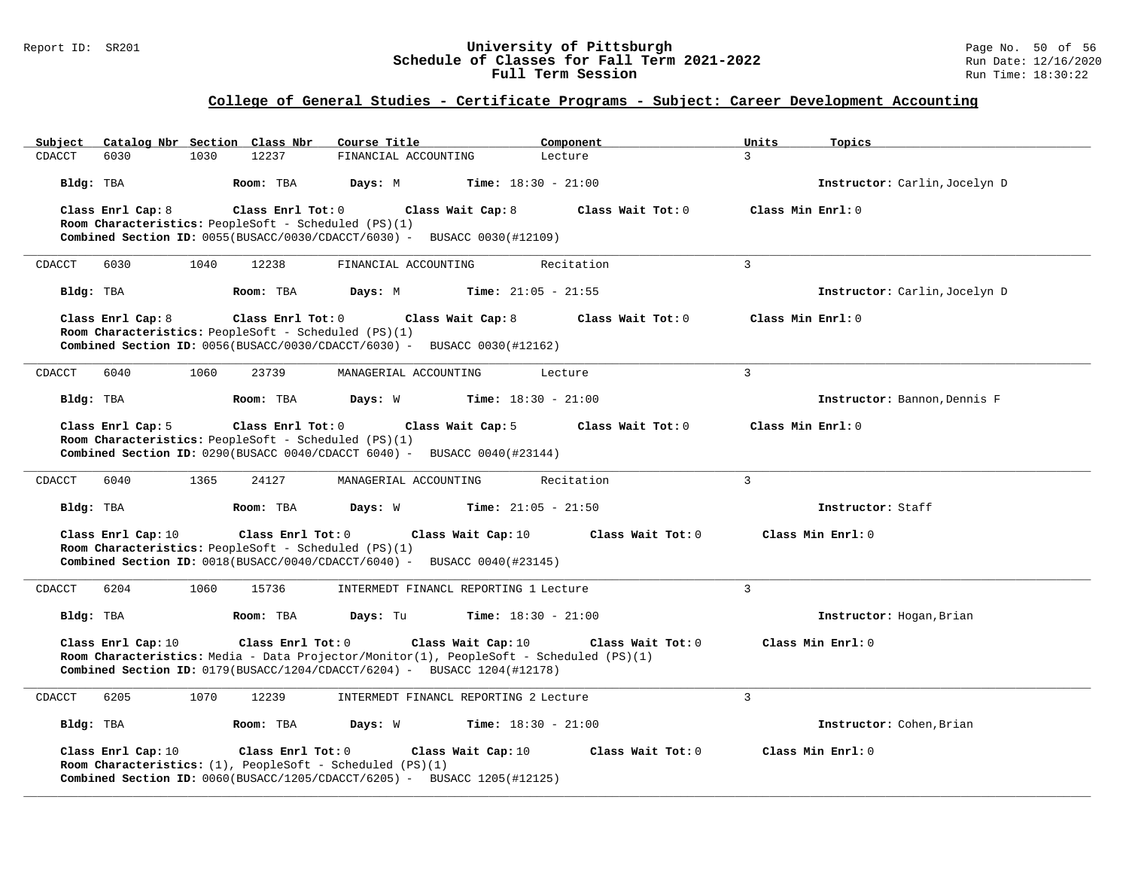### Report ID: SR201 **University of Pittsburgh** Page No. 50 of 56 **Schedule of Classes for Fall Term 2021-2022** Run Date: 12/16/2020 **Full Term Session Rundall Term Session Rundall Term Session**

### **College of General Studies - Certificate Programs - Subject: Career Development Accounting**

| Subject   |                    |      | Catalog Nbr Section Class Nbr                        | Course Title                                                                                |                                       | Component                                                                               | Units             | Topics                        |
|-----------|--------------------|------|------------------------------------------------------|---------------------------------------------------------------------------------------------|---------------------------------------|-----------------------------------------------------------------------------------------|-------------------|-------------------------------|
| CDACCT    | 6030               | 1030 | 12237                                                | FINANCIAL ACCOUNTING                                                                        |                                       | Lecture                                                                                 | 3                 |                               |
| Bldg: TBA |                    |      | Room: TBA                                            | Days: M                                                                                     | <b>Time:</b> $18:30 - 21:00$          |                                                                                         |                   | Instructor: Carlin, Jocelyn D |
|           | Class Enrl Cap: 8  |      | Class Enrl Tot: 0                                    |                                                                                             | Class Wait Cap: 8                     | Class Wait Tot: 0                                                                       | Class Min Enrl: 0 |                               |
|           |                    |      | Room Characteristics: PeopleSoft - Scheduled (PS)(1) |                                                                                             |                                       |                                                                                         |                   |                               |
|           |                    |      |                                                      | <b>Combined Section ID:</b> $0055(BUSACC/0030/CDACCT/6030)$ - BUSACC $0030(\text{\#12109})$ |                                       |                                                                                         |                   |                               |
| CDACCT    | 6030               | 1040 | 12238                                                | FINANCIAL ACCOUNTING                                                                        |                                       | Recitation                                                                              | 3                 |                               |
| Bldg: TBA |                    |      | Room: TBA                                            | Days: M                                                                                     | <b>Time:</b> $21:05 - 21:55$          |                                                                                         |                   | Instructor: Carlin, Jocelyn D |
|           | Class Enrl Cap: 8  |      | Class Enrl Tot: 0                                    |                                                                                             | Class Wait Cap: 8                     | Class Wait Tot: 0                                                                       | Class Min Enrl: 0 |                               |
|           |                    |      | Room Characteristics: PeopleSoft - Scheduled (PS)(1) |                                                                                             |                                       |                                                                                         |                   |                               |
|           |                    |      |                                                      | Combined Section ID: 0056(BUSACC/0030/CDACCT/6030) - BUSACC 0030(#12162)                    |                                       |                                                                                         |                   |                               |
| CDACCT    | 6040               | 1060 | 23739                                                | MANAGERIAL ACCOUNTING                                                                       |                                       | Lecture                                                                                 | $\overline{3}$    |                               |
| Bldg: TBA |                    |      | Room: TBA                                            | Days: W                                                                                     | <b>Time:</b> $18:30 - 21:00$          |                                                                                         |                   | Instructor: Bannon, Dennis F  |
|           | Class Enrl Cap: 5  |      | Class Enrl Tot: 0                                    |                                                                                             | Class Wait Cap: 5                     | Class Wait Tot: 0                                                                       | Class Min Enrl: 0 |                               |
|           |                    |      | Room Characteristics: PeopleSoft - Scheduled (PS)(1) |                                                                                             |                                       |                                                                                         |                   |                               |
|           |                    |      |                                                      | Combined Section ID: 0290(BUSACC 0040/CDACCT 6040) - BUSACC 0040(#23144)                    |                                       |                                                                                         |                   |                               |
| CDACCT    | 6040               | 1365 | 24127                                                | MANAGERIAL ACCOUNTING                                                                       |                                       | Recitation                                                                              | $\mathbf{3}$      |                               |
| Bldg: TBA |                    |      | Room: TBA                                            | Days: W                                                                                     | $Time: 21:05 - 21:50$                 |                                                                                         |                   | Instructor: Staff             |
|           | Class Enrl Cap: 10 |      | Class Enrl Tot: 0                                    |                                                                                             | Class Wait Cap: 10                    | Class Wait Tot: 0                                                                       |                   | Class Min Enrl: 0             |
|           |                    |      | Room Characteristics: PeopleSoft - Scheduled (PS)(1) |                                                                                             |                                       |                                                                                         |                   |                               |
|           |                    |      |                                                      | <b>Combined Section ID:</b> $0018(BUSACC/0040/CDACCT/6040)$ - BUSACC $0040(\#23145)$        |                                       |                                                                                         |                   |                               |
| CDACCT    | 6204               | 1060 | 15736                                                |                                                                                             | INTERMEDT FINANCL REPORTING 1 Lecture |                                                                                         | $\mathbf{3}$      |                               |
| Bldg: TBA |                    |      | Room: TBA                                            | Days: Tu                                                                                    | <b>Time:</b> $18:30 - 21:00$          |                                                                                         |                   | Instructor: Hogan, Brian      |
|           | Class Enrl Cap: 10 |      | Class Enrl Tot: 0                                    |                                                                                             | Class Wait Cap: 10                    | Class Wait Tot: 0                                                                       |                   | Class Min Enrl: 0             |
|           |                    |      |                                                      |                                                                                             |                                       | Room Characteristics: Media - Data Projector/Monitor(1), PeopleSoft - Scheduled (PS)(1) |                   |                               |
|           |                    |      |                                                      | Combined Section ID: 0179(BUSACC/1204/CDACCT/6204) - BUSACC 1204(#12178)                    |                                       |                                                                                         |                   |                               |
| CDACCT    | 6205               | 1070 | 12239                                                |                                                                                             | INTERMEDT FINANCL REPORTING 2 Lecture |                                                                                         | $\mathbf{3}$      |                               |
| Bldg: TBA |                    |      | Room: TBA                                            | Days: W                                                                                     | <b>Time:</b> $18:30 - 21:00$          |                                                                                         |                   | Instructor: Cohen, Brian      |
|           | Class Enrl Cap: 10 |      | Class Enrl Tot: 0                                    |                                                                                             | Class Wait Cap: 10                    | Class Wait Tot: 0                                                                       |                   | Class Min Enrl: 0             |
|           |                    |      |                                                      | Room Characteristics: $(1)$ , PeopleSoft - Scheduled $(PS)(1)$                              |                                       |                                                                                         |                   |                               |
|           |                    |      |                                                      | <b>Combined Section ID:</b> $0060(BUSACC/1205/CDACCT/6205)$ - BUSACC 1205(#12125)           |                                       |                                                                                         |                   |                               |
|           |                    |      |                                                      |                                                                                             |                                       |                                                                                         |                   |                               |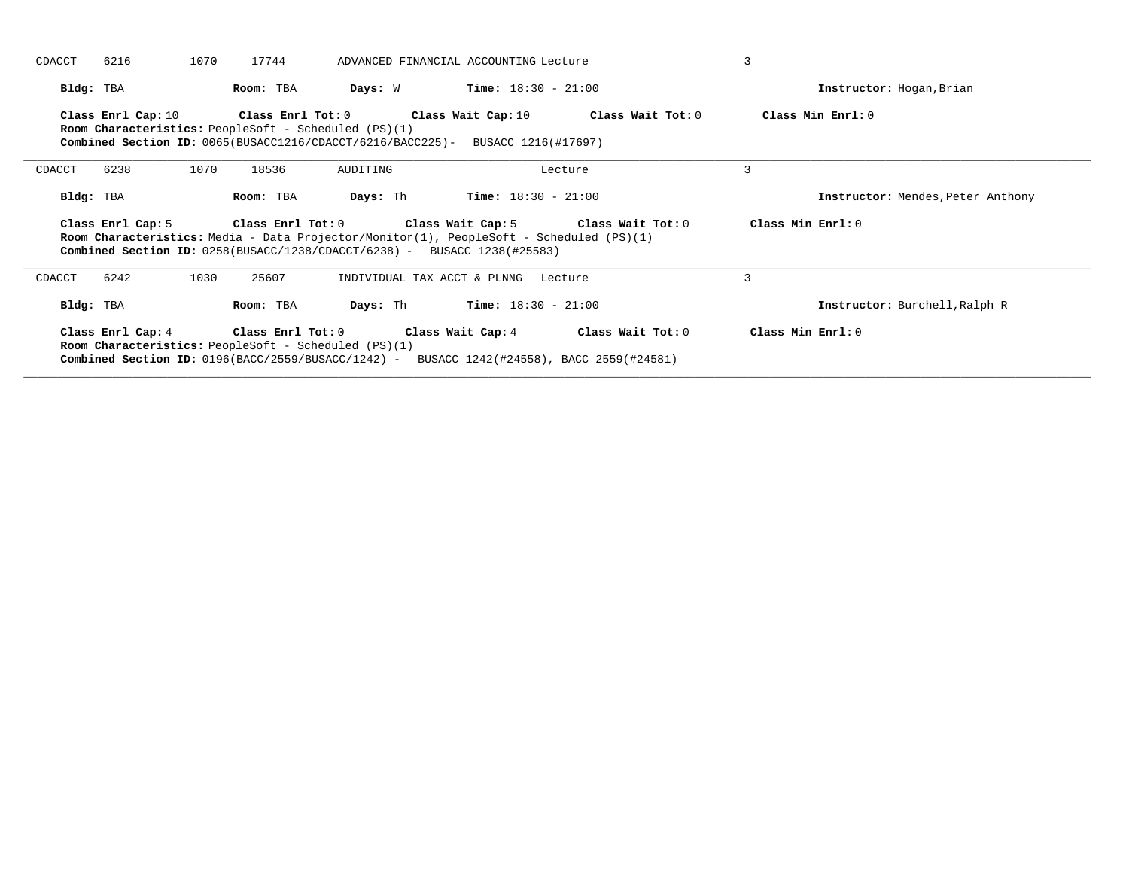| CDACCT<br>6216     | 1070 | 17744                                                                                              |                                                                                           | ADVANCED FINANCIAL ACCOUNTING Lecture                                                          |                                                             |                                   |
|--------------------|------|----------------------------------------------------------------------------------------------------|-------------------------------------------------------------------------------------------|------------------------------------------------------------------------------------------------|-------------------------------------------------------------|-----------------------------------|
| Bldg: TBA          |      | Room: TBA                                                                                          | Days: W                                                                                   | $Time: 18:30 - 21:00$                                                                          |                                                             | Instructor: Hogan, Brian          |
| Class Enrl Cap: 10 |      | <b>Room Characteristics:</b> PeopleSoft - Scheduled (PS)(1)                                        | Class Enrl Tot: 0 Class Wait Cap: 10                                                      | <b>Combined Section ID:</b> $0065(BUSACC1216/CDACCT/6216/BACC225)$ - BUSACC 1216(#17697)       | Class Wait Tot: 0                                           | Class Min Enrl: 0                 |
| 6238<br>CDACCT     | 1070 | 18536                                                                                              | AUDITING                                                                                  |                                                                                                | Lecture                                                     | 3                                 |
| Bldg: TBA          |      | Room: TBA                                                                                          | Days: Th                                                                                  | $Time: 18:30 - 21:00$                                                                          |                                                             | Instructor: Mendes, Peter Anthony |
| Class Enrl Cap: 5  |      |                                                                                                    | <b>Combined Section ID:</b> $0258(BUSACC/1238/CDACCT/6238)$ - BUSACC 1238(#25583)         | <b>Room Characteristics:</b> Media - Data Projector/Monitor(1), PeopleSoft - Scheduled (PS)(1) | Class Enrl Tot: $0$ Class Wait Cap: $5$ Class Wait Tot: $0$ | Class Min Enrl: 0                 |
| 6242<br>CDACCT     | 1030 | 25607                                                                                              |                                                                                           | INDIVIDUAL TAX ACCT & PLNNG Lecture                                                            |                                                             | 3                                 |
| Bldg: TBA          |      | Room: TBA                                                                                          | Days: Th                                                                                  | $Time: 18:30 - 21:00$                                                                          |                                                             | Instructor: Burchell, Ralph R     |
|                    |      | Class Enrl Cap: 4 Class Enrl Tot: 0<br><b>Room Characteristics:</b> PeopleSoft - Scheduled (PS)(1) | Combined Section ID: 0196(BACC/2559/BUSACC/1242) - BUSACC 1242(#24558), BACC 2559(#24581) | Class Wait Cap: 4                                                                              | Class Wait Tot: 0                                           | Class Min Enrl: 0                 |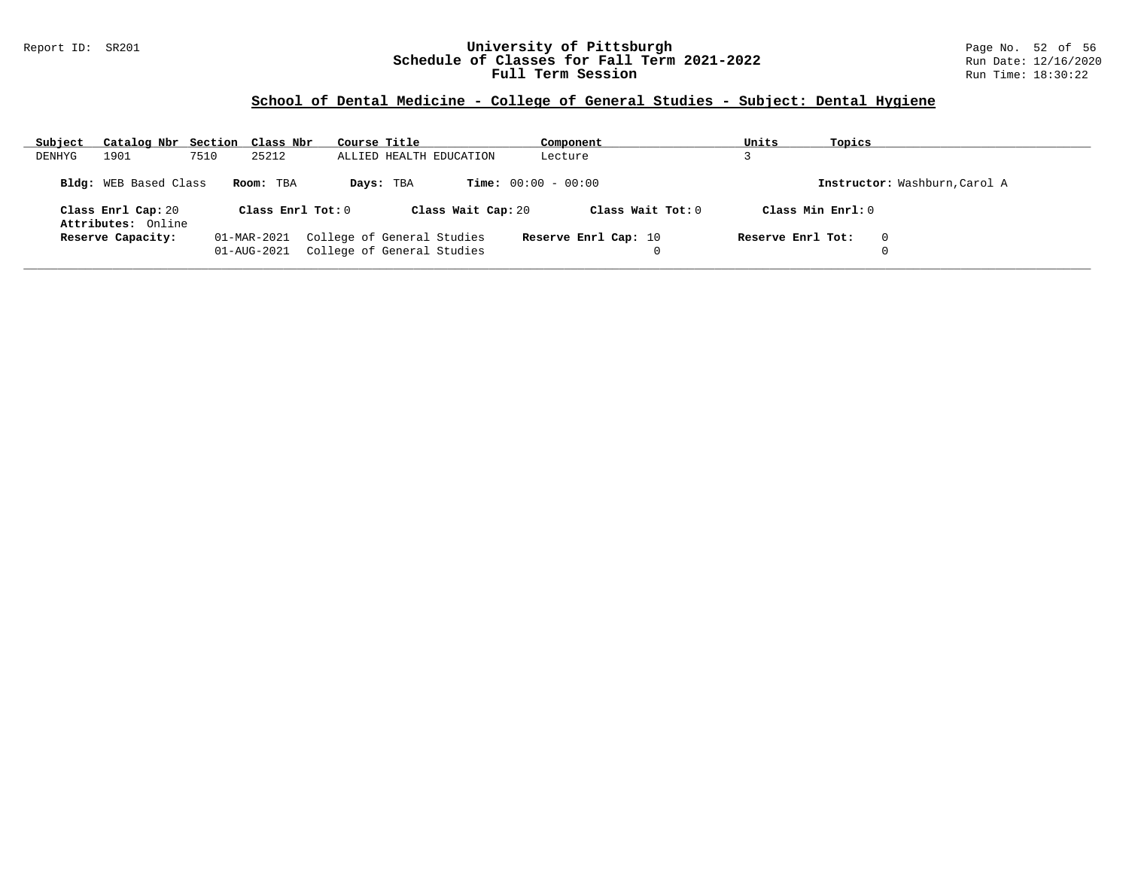### Report ID: SR201 **University of Pittsburgh** Page No. 52 of 56 **Schedule of Classes for Fall Term 2021-2022** Run Date: 12/16/2020 **Full Term Session Rundall Term Session Rundall Term Session**

# **School of Dental Medicine - College of General Studies - Subject: Dental Hygiene**

| Subject | Catalog Nbr Section Class Nbr            |      |                            | Course Title |                                                          | Component                    | Units             | Topics                        |
|---------|------------------------------------------|------|----------------------------|--------------|----------------------------------------------------------|------------------------------|-------------------|-------------------------------|
| DENHYG  | 1901                                     | 7510 | 25212                      |              | ALLIED HEALTH EDUCATION                                  | Lecture                      |                   |                               |
|         | <b>Bldg:</b> WEB Based Class             |      | Room: TBA                  |              | Days: TBA                                                | <b>Time:</b> $00:00 - 00:00$ |                   | Instructor: Washburn, Carol A |
|         | Class Enrl Cap: 20<br>Attributes: Online |      | Class Enrl Tot: 0          |              | Class Wait Cap: 20                                       | Class Wait Tot: $0$          |                   | Class Min Enrl: 0             |
|         | Reserve Capacity:                        |      | 01-MAR-2021<br>01-AUG-2021 |              | College of General Studies<br>College of General Studies | Reserve Enrl Cap: 10         | Reserve Enrl Tot: | $\mathbf{0}$<br>$\Omega$      |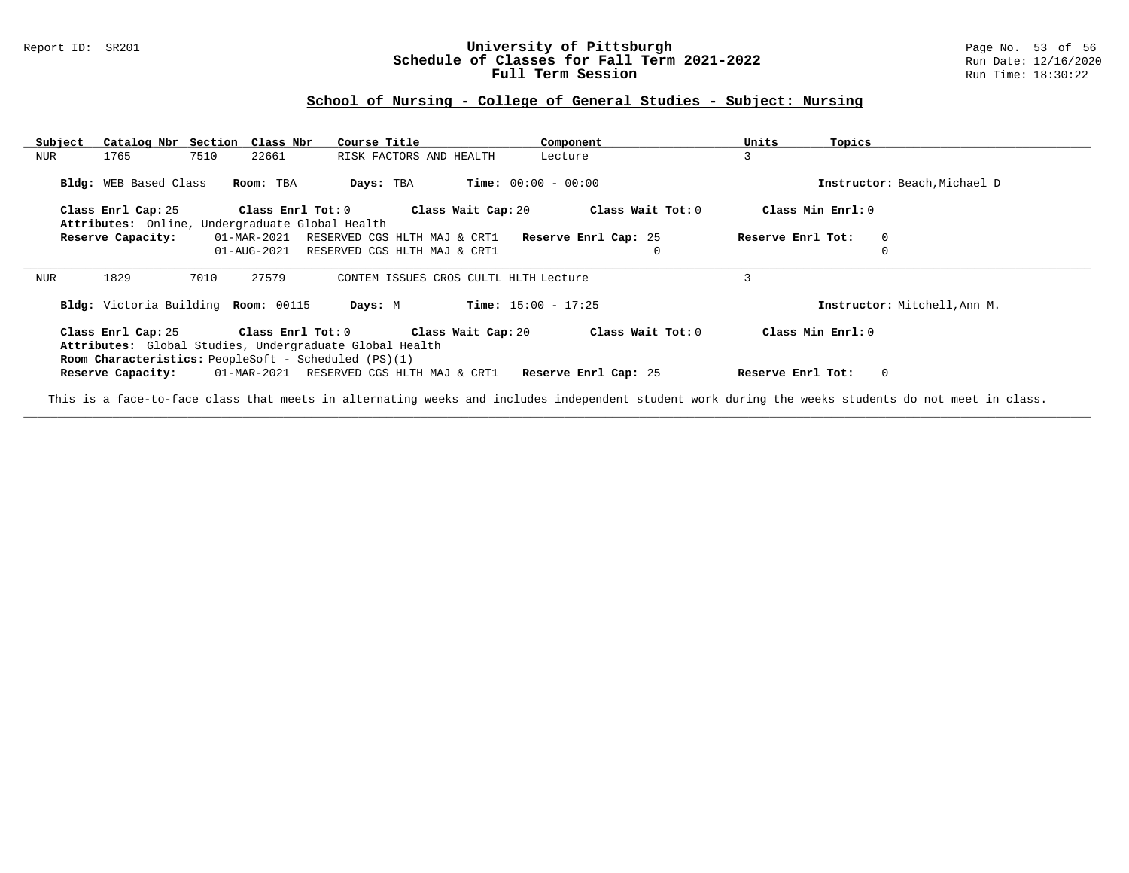### Report ID: SR201 **University of Pittsburgh** Page No. 53 of 56 **Schedule of Classes for Fall Term 2021-2022** Run Date: 12/16/2020 **Full Term Session Rundall Term Session Rundall Term Session**

### **School of Nursing - College of General Studies - Subject: Nursing**

| Subject | Catalog Nbr Section Class Nbr       |                                                                                                                                      | Course Title                             | Component                    | Units<br>Topics                                                                                                                                    |
|---------|-------------------------------------|--------------------------------------------------------------------------------------------------------------------------------------|------------------------------------------|------------------------------|----------------------------------------------------------------------------------------------------------------------------------------------------|
| NUR     | 7510<br>1765                        | 22661                                                                                                                                | RISK FACTORS AND HEALTH                  | Lecture                      | 3                                                                                                                                                  |
|         | Bldg: WEB Based Class               | Room: TBA                                                                                                                            | Days: TBA                                | <b>Time:</b> $00:00 - 00:00$ | Instructor: Beach, Michael D                                                                                                                       |
|         | Class Enrl Cap: 25                  | Class Enrl Tot: 0                                                                                                                    | Class Wait Cap: 20                       | Class Wait Tot: 0            | Class Min Enrl: 0                                                                                                                                  |
|         |                                     | Attributes: Online, Undergraduate Global Health                                                                                      |                                          |                              |                                                                                                                                                    |
|         | Reserve Capacity:                   | 01-MAR-2021                                                                                                                          | RESERVED CGS HLTH MAJ & CRT1             | Reserve Enrl Cap: 25         | Reserve Enrl Tot:<br>$\Omega$                                                                                                                      |
|         |                                     | 01-AUG-2021                                                                                                                          | RESERVED CGS HLTH MAJ & CRT1             | $\mathbf{0}$                 |                                                                                                                                                    |
| NUR     | 1829<br>7010                        | 27579                                                                                                                                | CONTEM ISSUES CROS CULTL HLTH Lecture    |                              | 3                                                                                                                                                  |
|         | Bldg: Victoria Building Room: 00115 |                                                                                                                                      | Days: M                                  | $Time: 15:00 - 17:25$        | Instructor: Mitchell, Ann M.                                                                                                                       |
|         | Class Enrl Cap: 25                  | Class Enrl Tot: 0<br>Attributes: Global Studies, Undergraduate Global Health<br>Room Characteristics: PeopleSoft - Scheduled (PS)(1) | Class Wait Cap: 20                       | Class Wait Tot: 0            | Class Min Enrl: 0                                                                                                                                  |
|         | Reserve Capacity:                   |                                                                                                                                      | 01-MAR-2021 RESERVED CGS HLTH MAJ & CRT1 | Reserve Enrl Cap: 25         | $\Omega$<br>Reserve Enrl Tot:                                                                                                                      |
|         |                                     |                                                                                                                                      |                                          |                              | This is a face-to-face class that meets in alternating weeks and includes independent student work during the weeks students do not meet in class. |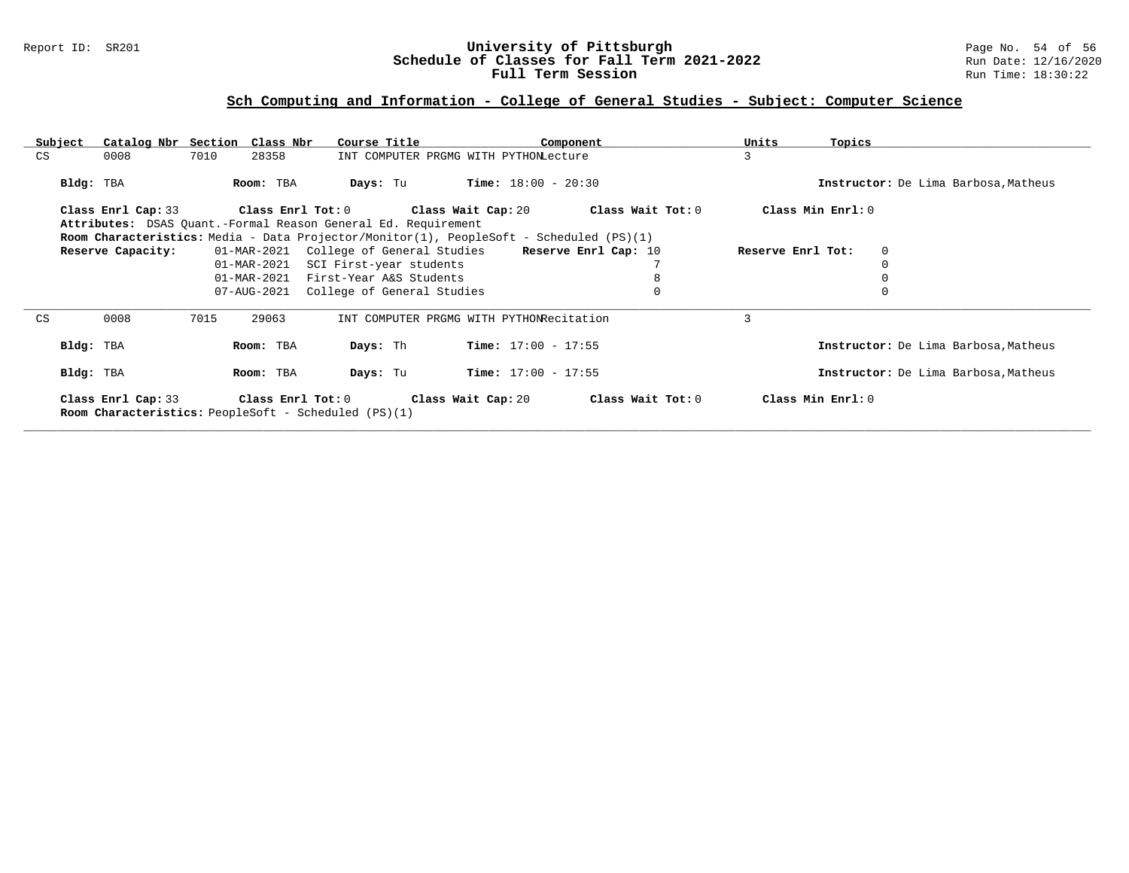### Report ID: SR201 **University of Pittsburgh** Page No. 54 of 56 **Schedule of Classes for Fall Term 2021-2022** Run Date: 12/16/2020 **Full Term Session Rundall Term Session Rundall Term Session**

### **Sch Computing and Information - College of General Studies - Subject: Computer Science**

| Subject | Catalog Nbr Section Class Nbr |      |             | Course Title                                                                                                                      |                                          | Component                                                    | Units<br>Topics   |                                      |
|---------|-------------------------------|------|-------------|-----------------------------------------------------------------------------------------------------------------------------------|------------------------------------------|--------------------------------------------------------------|-------------------|--------------------------------------|
| CS      | 0008                          | 7010 | 28358       |                                                                                                                                   | INT COMPUTER PRGMG WITH PYTHONLecture    |                                                              | 3                 |                                      |
|         | Bldg: TBA                     |      | Room: TBA   | Days: Tu                                                                                                                          | <b>Time:</b> $18:00 - 20:30$             |                                                              |                   | Instructor: De Lima Barbosa, Matheus |
|         | Class Enrl Cap: 33            |      |             | Attributes: DSAS Quant.-Formal Reason General Ed. Requirement                                                                     |                                          | Class Enrl Tot: $0$ Class Wait Cap: $20$ Class Wait Tot: $0$ | Class Min Enrl: 0 |                                      |
|         | Reserve Capacity:             |      |             | Room Characteristics: Media - Data Projector/Monitor(1), PeopleSoft - Scheduled (PS)(1)<br>01-MAR-2021 College of General Studies |                                          | Reserve Enrl Cap: 10                                         | Reserve Enrl Tot: | 0                                    |
|         |                               |      | 01-MAR-2021 | SCI First-year students                                                                                                           |                                          |                                                              |                   |                                      |
|         |                               |      | 01-MAR-2021 | First-Year A&S Students                                                                                                           |                                          |                                                              |                   |                                      |
|         |                               |      | 07-AUG-2021 | College of General Studies                                                                                                        |                                          |                                                              |                   |                                      |
| CS      | 0008                          | 7015 | 29063       |                                                                                                                                   | INT COMPUTER PRGMG WITH PYTHONRecitation |                                                              | 3                 |                                      |
|         | Bldg: TBA                     |      | Room: TBA   | Days: Th                                                                                                                          | Time: $17:00 - 17:55$                    |                                                              |                   | Instructor: De Lima Barbosa, Matheus |
|         | Bldg: TBA                     |      | Room: TBA   | Days: Tu                                                                                                                          | <b>Time:</b> $17:00 - 17:55$             |                                                              |                   | Instructor: De Lima Barbosa, Matheus |
|         | Class Enrl Cap: 33            |      |             | Class Enrl Tot: 0 Class Wait Cap: 20<br>Room Characteristics: PeopleSoft - Scheduled (PS)(1)                                      |                                          | Class Wait Tot: 0                                            | Class Min Enrl: 0 |                                      |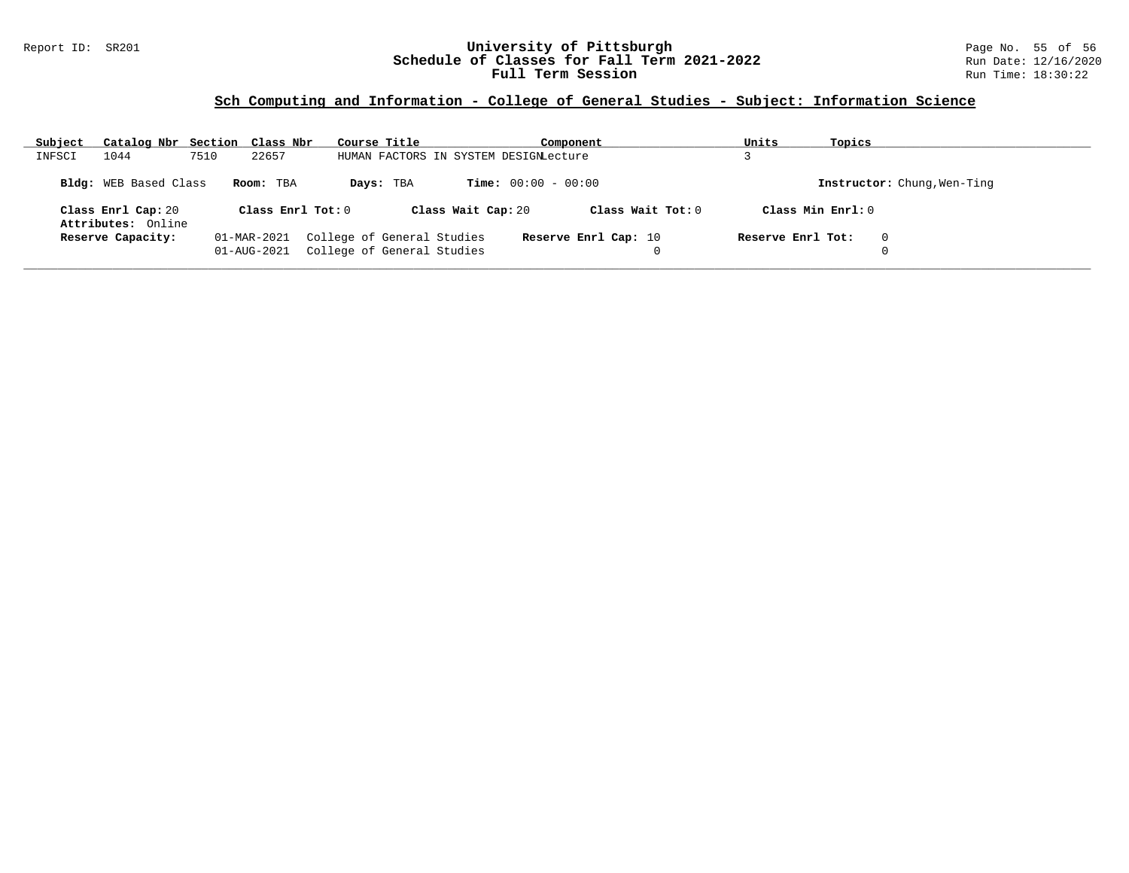### Report ID: SR201 **University of Pittsburgh** Page No. 55 of 56 **Schedule of Classes for Fall Term 2021-2022** Run Date: 12/16/2020 **Full Term Session Rundall Term Session Rundall Term Session**

### **Sch Computing and Information - College of General Studies - Subject: Information Science**

| Subject |                                          | Catalog Nbr Section Class Nbr | Course Title                                             |                                       | Component            | Units             | Topics                      |
|---------|------------------------------------------|-------------------------------|----------------------------------------------------------|---------------------------------------|----------------------|-------------------|-----------------------------|
| INFSCI  | 1044                                     | 7510<br>22657                 |                                                          | HUMAN FACTORS IN SYSTEM DESIGNLecture |                      |                   |                             |
|         | <b>Bldg:</b> WEB Based Class             | Room: TBA                     | Days: TBA                                                | <b>Time:</b> $00:00 - 00:00$          |                      |                   | Instructor: Chung, Wen-Ting |
|         | Class Enrl Cap: 20<br>Attributes: Online |                               | Class Enrl Tot: $0$                                      | Class Wait Cap: 20                    | Class Wait Tot: 0    | Class Min Enrl: 0 |                             |
|         | Reserve Capacity:                        | 01-MAR-2021<br>01-AUG-2021    | College of General Studies<br>College of General Studies |                                       | Reserve Enrl Cap: 10 | Reserve Enrl Tot: | 0                           |
|         |                                          |                               |                                                          |                                       |                      |                   |                             |